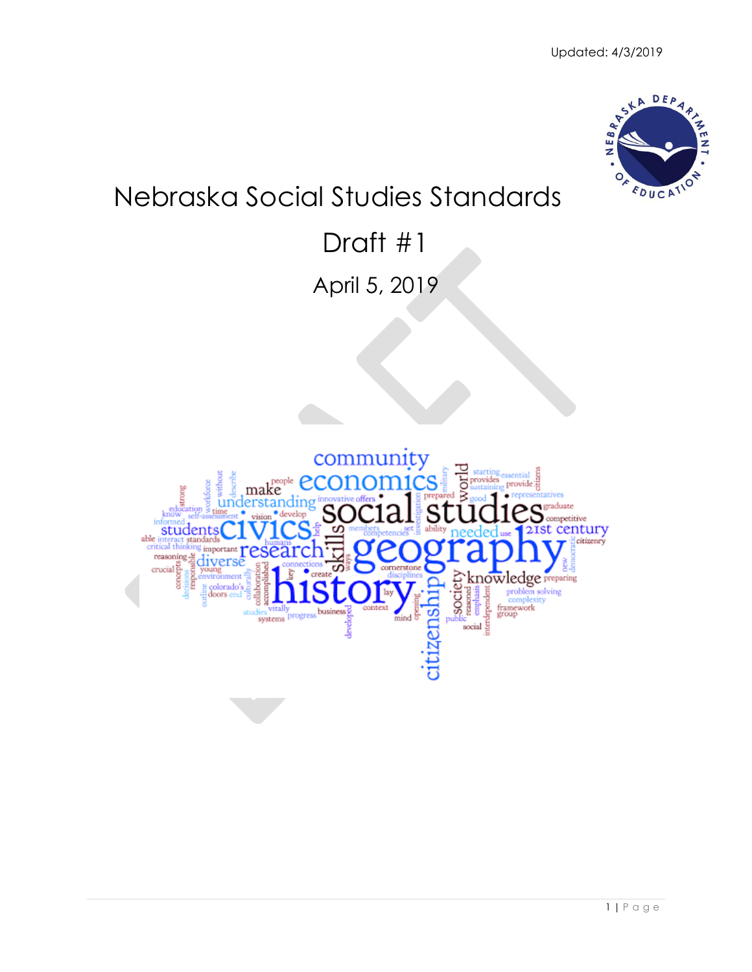

# Nebraska Social Studies Standards

## Draft #1

April 5, 2019

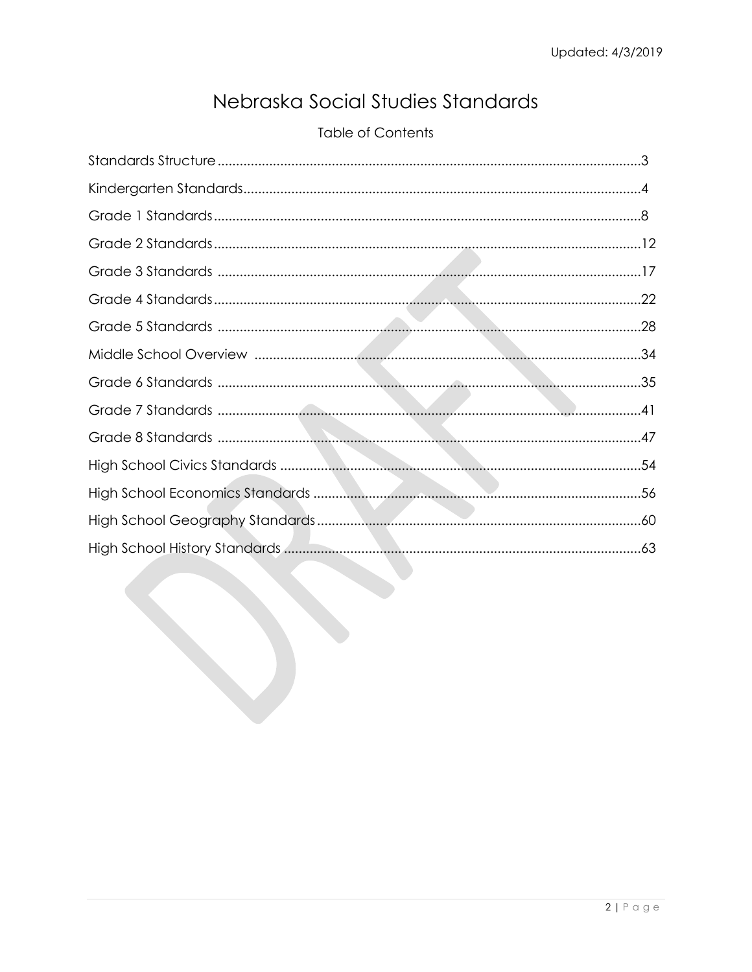## Nebraska Social Studies Standards

## **Table of Contents**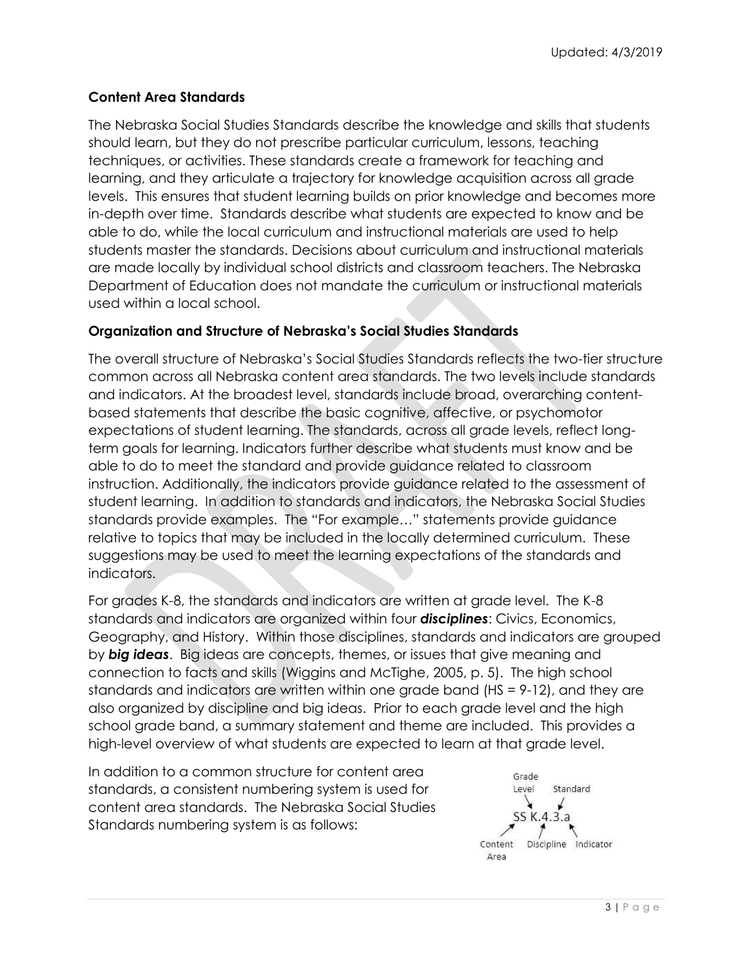## **Content Area Standards**

The Nebraska Social Studies Standards describe the knowledge and skills that students should learn, but they do not prescribe particular curriculum, lessons, teaching techniques, or activities. These standards create a framework for teaching and learning, and they articulate a trajectory for knowledge acquisition across all grade levels. This ensures that student learning builds on prior knowledge and becomes more in-depth over time. Standards describe what students are expected to know and be able to do, while the local curriculum and instructional materials are used to help students master the standards. Decisions about curriculum and instructional materials are made locally by individual school districts and classroom teachers. The Nebraska Department of Education does not mandate the curriculum or instructional materials used within a local school.

## **Organization and Structure of Nebraska's Social Studies Standards**

The overall structure of Nebraska's Social Studies Standards reflects the two-tier structure common across all Nebraska content area standards. The two levels include standards and indicators. At the broadest level, standards include broad, overarching contentbased statements that describe the basic cognitive, affective, or psychomotor expectations of student learning. The standards, across all grade levels, reflect longterm goals for learning. Indicators further describe what students must know and be able to do to meet the standard and provide guidance related to classroom instruction. Additionally, the indicators provide guidance related to the assessment of student learning. In addition to standards and indicators, the Nebraska Social Studies standards provide examples. The "For example…" statements provide guidance relative to topics that may be included in the locally determined curriculum. These suggestions may be used to meet the learning expectations of the standards and indicators.

For grades K-8, the standards and indicators are written at grade level. The K-8 standards and indicators are organized within four *disciplines*: Civics, Economics, Geography, and History. Within those disciplines, standards and indicators are grouped by *big ideas*. Big ideas are concepts, themes, or issues that give meaning and connection to facts and skills (Wiggins and McTighe, 2005, p. 5). The high school standards and indicators are written within one grade band (HS = 9-12), and they are also organized by discipline and big ideas. Prior to each grade level and the high school grade band, a summary statement and theme are included. This provides a high-level overview of what students are expected to learn at that grade level.

In addition to a common structure for content area standards, a consistent numbering system is used for content area standards. The Nebraska Social Studies Standards numbering system is as follows:

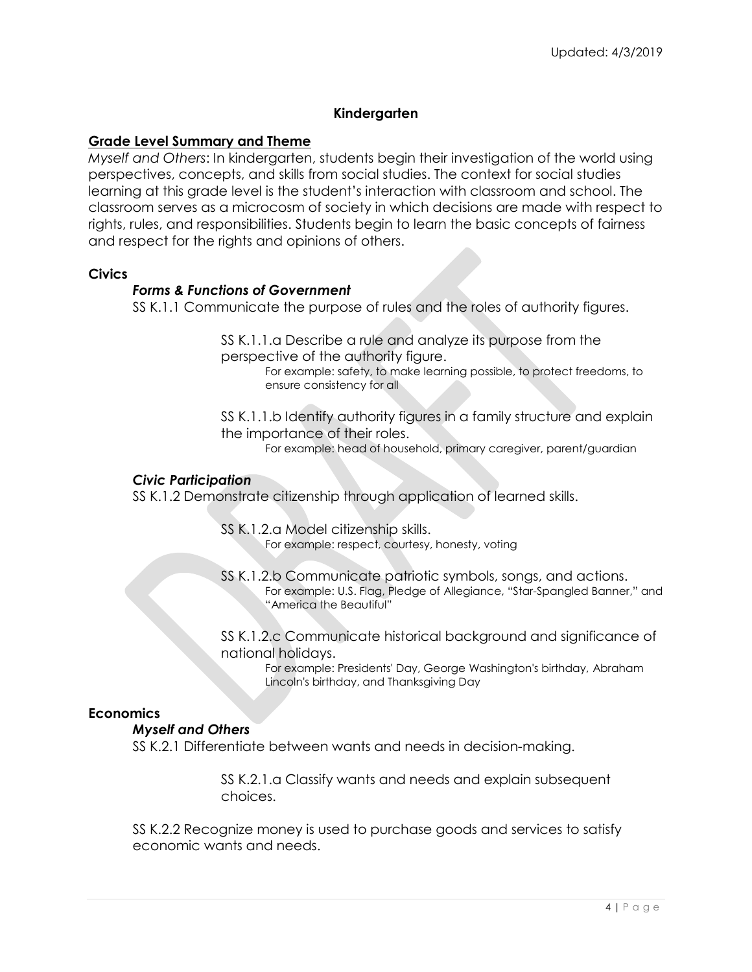## **Kindergarten**

## **Grade Level Summary and Theme**

*Myself and Others*: In kindergarten, students begin their investigation of the world using perspectives, concepts, and skills from social studies. The context for social studies learning at this grade level is the student's interaction with classroom and school. The classroom serves as a microcosm of society in which decisions are made with respect to rights, rules, and responsibilities. Students begin to learn the basic concepts of fairness and respect for the rights and opinions of others.

#### **Civics**

## *Forms & Functions of Government*

SS K.1.1 Communicate the purpose of rules and the roles of authority figures.

SS K.1.1.a Describe a rule and analyze its purpose from the perspective of the authority figure.

For example: safety, to make learning possible, to protect freedoms, to ensure consistency for all

SS K.1.1.b Identify authority figures in a family structure and explain the importance of their roles.

For example: head of household, primary caregiver, parent/guardian

#### *Civic Participation*

SS K.1.2 Demonstrate citizenship through application of learned skills.

SS K.1.2.a Model citizenship skills. For example: respect, courtesy, honesty, voting

SS K.1.2.b Communicate patriotic symbols, songs, and actions. For example: U.S. Flag, Pledge of Allegiance, "Star-Spangled Banner," and "America the Beautiful"

SS K.1.2.c Communicate historical background and significance of national holidays.

> For example: Presidents' Day, George Washington's birthday, Abraham Lincoln's birthday, and Thanksgiving Day

#### **Economics**

#### *Myself and Others*

SS K.2.1 Differentiate between wants and needs in decision-making.

SS K.2.1.a Classify wants and needs and explain subsequent choices.

SS K.2.2 Recognize money is used to purchase goods and services to satisfy economic wants and needs.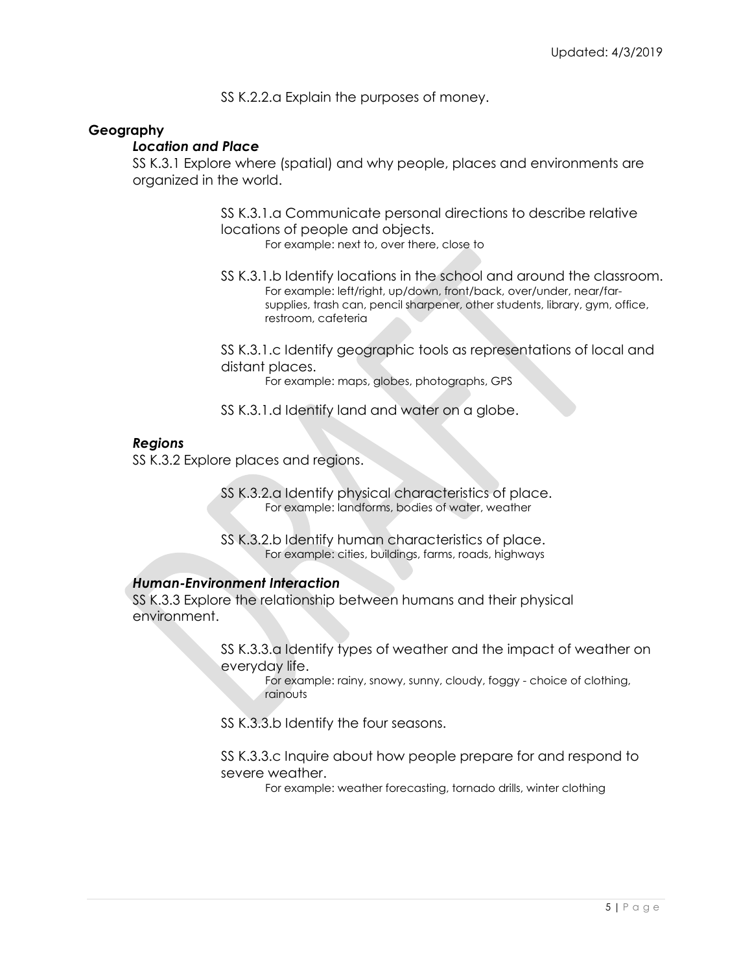SS K.2.2.a Explain the purposes of money.

## **Geography**

#### *Location and Place*

SS K.3.1 Explore where (spatial) and why people, places and environments are organized in the world.

> SS K.3.1.a Communicate personal directions to describe relative locations of people and objects.

For example: next to, over there, close to

SS K.3.1.b Identify locations in the school and around the classroom. For example: left/right, up/down, front/back, over/under, near/farsupplies, trash can, pencil sharpener, other students, library, gym, office, restroom, cafeteria

SS K.3.1.c Identify geographic tools as representations of local and distant places.

For example: maps, globes, photographs, GPS

SS K.3.1.d Identify land and water on a globe.

## *Regions*

SS K.3.2 Explore places and regions.

SS K.3.2.a Identify physical characteristics of place. For example: landforms, bodies of water, weather

SS K.3.2.b Identify human characteristics of place. For example: cities, buildings, farms, roads, highways

## *Human-Environment Interaction*

SS K.3.3 Explore the relationship between humans and their physical environment.

> SS K.3.3.a Identify types of weather and the impact of weather on everyday life.

For example: rainy, snowy, sunny, cloudy, foggy - choice of clothing, rainouts

SS K.3.3.b Identify the four seasons.

SS K.3.3.c Inquire about how people prepare for and respond to severe weather.

For example: weather forecasting, tornado drills, winter clothing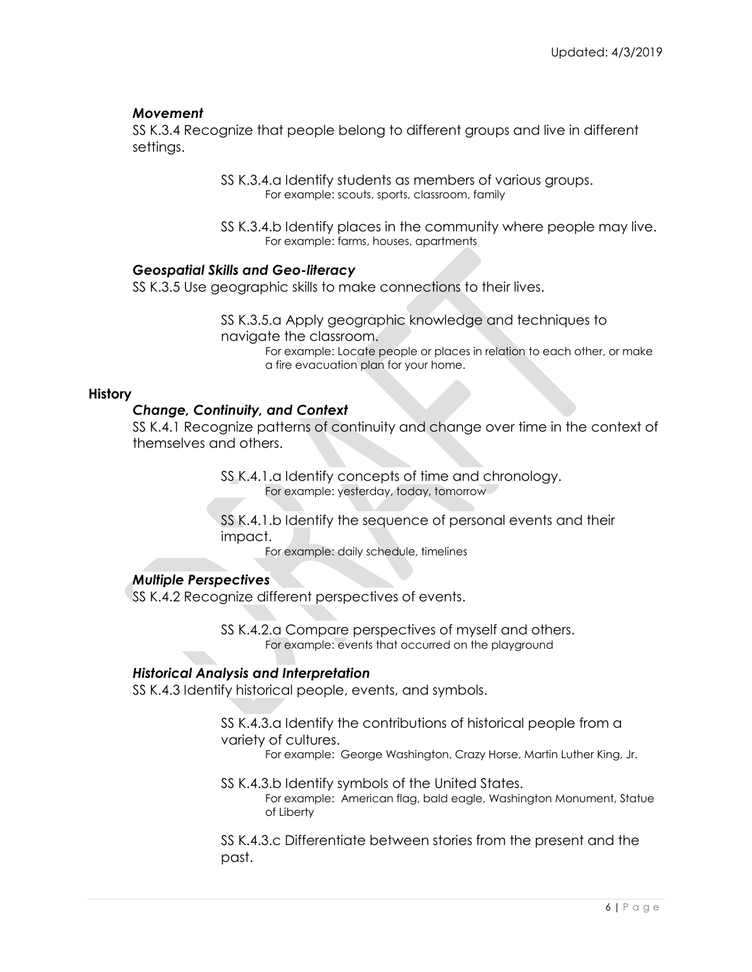## *Movement*

SS K.3.4 Recognize that people belong to different groups and live in different settings.

> SS K.3.4.a Identify students as members of various groups. For example: scouts, sports, classroom, family

SS K.3.4.b Identify places in the community where people may live. For example: farms, houses, apartments

## *Geospatial Skills and Geo-literacy*

SS K.3.5 Use geographic skills to make connections to their lives.

SS K.3.5.a Apply geographic knowledge and techniques to navigate the classroom. For example: Locate people or places in relation to each other, or make a fire evacuation plan for your home.

## **History**

## *Change, Continuity, and Context*

SS K.4.1 Recognize patterns of continuity and change over time in the context of themselves and others.

> SS K.4.1.a Identify concepts of time and chronology. For example: yesterday, today, tomorrow

SS K.4.1.b Identify the sequence of personal events and their impact.

For example: daily schedule, timelines

## *Multiple Perspectives*

SS K.4.2 Recognize different perspectives of events.

SS K.4.2.a Compare perspectives of myself and others. For example: events that occurred on the playground

## *Historical Analysis and Interpretation*

SS K.4.3 Identify historical people, events, and symbols.

SS K.4.3.a Identify the contributions of historical people from a variety of cultures.

For example: George Washington, Crazy Horse, Martin Luther King, Jr.

SS K.4.3.b Identify symbols of the United States. For example: American flag, bald eagle, Washington Monument, Statue of Liberty

SS K.4.3.c Differentiate between stories from the present and the past.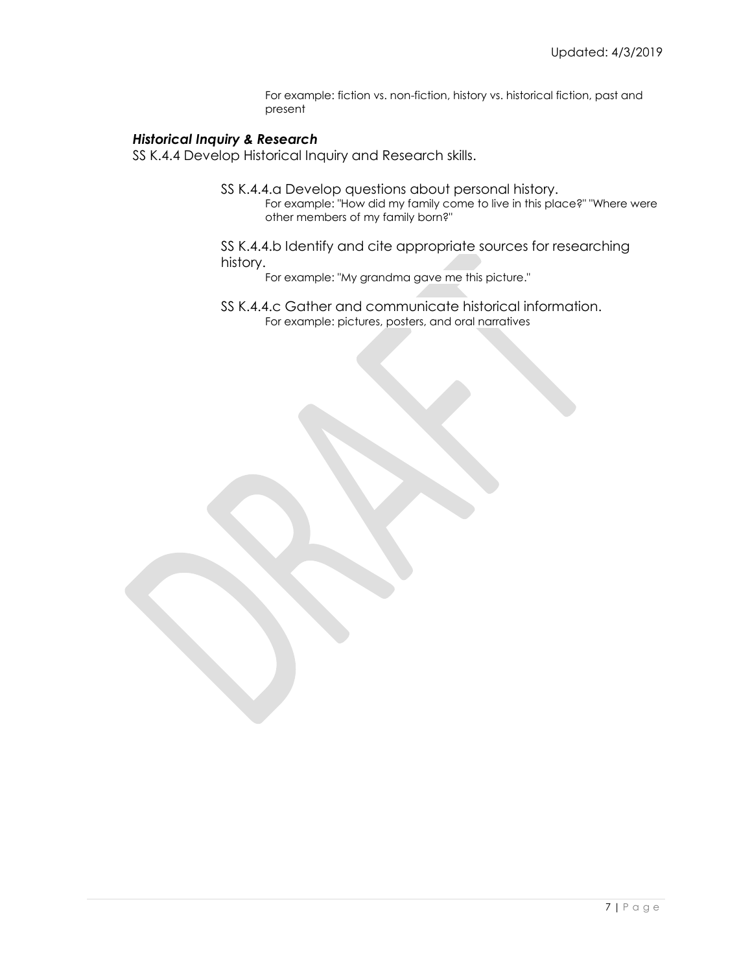For example: fiction vs. non-fiction, history vs. historical fiction, past and present

#### *Historical Inquiry & Research*

SS K.4.4 Develop Historical Inquiry and Research skills.

- SS K.4.4.a Develop questions about personal history. For example: "How did my family come to live in this place?" "Where were other members of my family born?"
- SS K.4.4.b Identify and cite appropriate sources for researching history.
	- For example: "My grandma gave me this picture."
- SS K.4.4.c Gather and communicate historical information. For example: pictures, posters, and oral narratives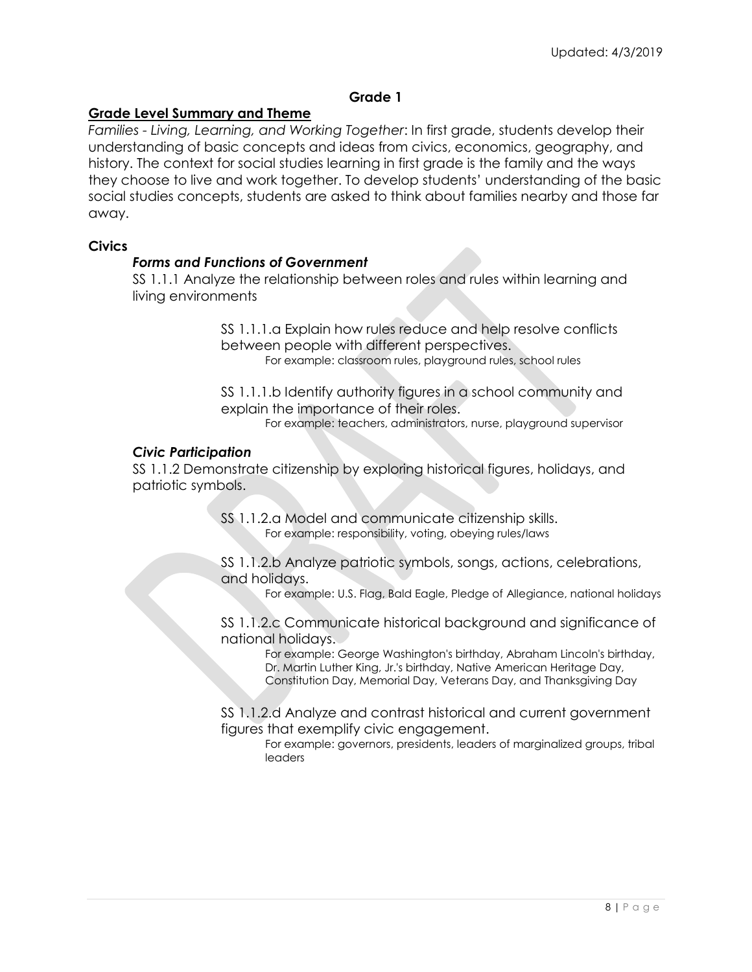## **Grade 1**

## **Grade Level Summary and Theme**

*Families - Living, Learning, and Working Together*: In first grade, students develop their understanding of basic concepts and ideas from civics, economics, geography, and history. The context for social studies learning in first grade is the family and the ways they choose to live and work together. To develop students' understanding of the basic social studies concepts, students are asked to think about families nearby and those far away.

#### **Civics**

#### *Forms and Functions of Government*

SS 1.1.1 Analyze the relationship between roles and rules within learning and living environments

> SS 1.1.1.a Explain how rules reduce and help resolve conflicts between people with different perspectives. For example: classroom rules, playground rules, school rules

SS 1.1.1.b Identify authority figures in a school community and explain the importance of their roles.

For example: teachers, administrators, nurse, playground supervisor

#### *Civic Participation*

SS 1.1.2 Demonstrate citizenship by exploring historical figures, holidays, and patriotic symbols.

> SS 1.1.2.a Model and communicate citizenship skills. For example: responsibility, voting, obeying rules/laws

SS 1.1.2.b Analyze patriotic symbols, songs, actions, celebrations, and holidays.

For example: U.S. Flag, Bald Eagle, Pledge of Allegiance, national holidays

SS 1.1.2.c Communicate historical background and significance of national holidays.

> For example: George Washington's birthday, Abraham Lincoln's birthday, Dr. Martin Luther King, Jr.'s birthday, Native American Heritage Day, Constitution Day, Memorial Day, Veterans Day, and Thanksgiving Day

SS 1.1.2.d Analyze and contrast historical and current government figures that exemplify civic engagement.

For example: governors, presidents, leaders of marginalized groups, tribal leaders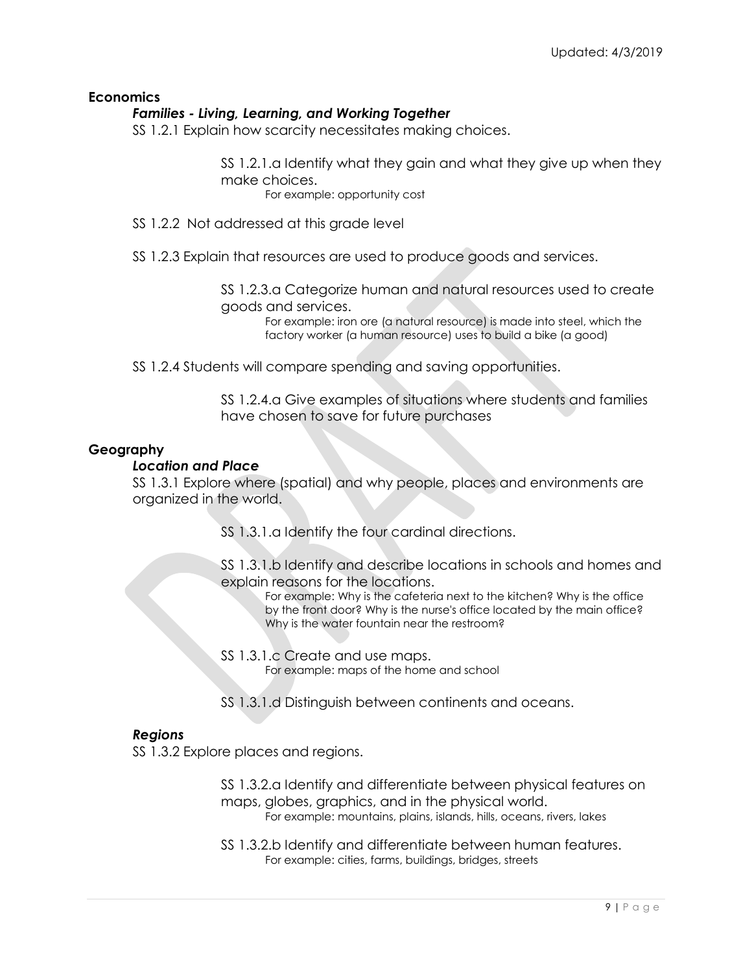## **Economics**

## *Families - Living, Learning, and Working Together*

SS 1.2.1 Explain how scarcity necessitates making choices.

SS 1.2.1.a Identify what they gain and what they give up when they make choices.

For example: opportunity cost

- SS 1.2.2 Not addressed at this grade level
- SS 1.2.3 Explain that resources are used to produce goods and services.

SS 1.2.3.a Categorize human and natural resources used to create goods and services.

> For example: iron ore (a natural resource) is made into steel, which the factory worker (a human resource) uses to build a bike (a good)

SS 1.2.4 Students will compare spending and saving opportunities.

SS 1.2.4.a Give examples of situations where students and families have chosen to save for future purchases

#### **Geography**

#### *Location and Place*

SS 1.3.1 Explore where (spatial) and why people, places and environments are organized in the world.

- SS 1.3.1.a Identify the four cardinal directions.
- SS 1.3.1.b Identify and describe locations in schools and homes and explain reasons for the locations.

For example: Why is the cafeteria next to the kitchen? Why is the office by the front door? Why is the nurse's office located by the main office? Why is the water fountain near the restroom?

- SS 1.3.1.c Create and use maps. For example: maps of the home and school
- SS 1.3.1.d Distinguish between continents and oceans.

#### *Regions*

SS 1.3.2 Explore places and regions.

- SS 1.3.2.a Identify and differentiate between physical features on maps, globes, graphics, and in the physical world.
	- For example: mountains, plains, islands, hills, oceans, rivers, lakes
- SS 1.3.2.b Identify and differentiate between human features. For example: cities, farms, buildings, bridges, streets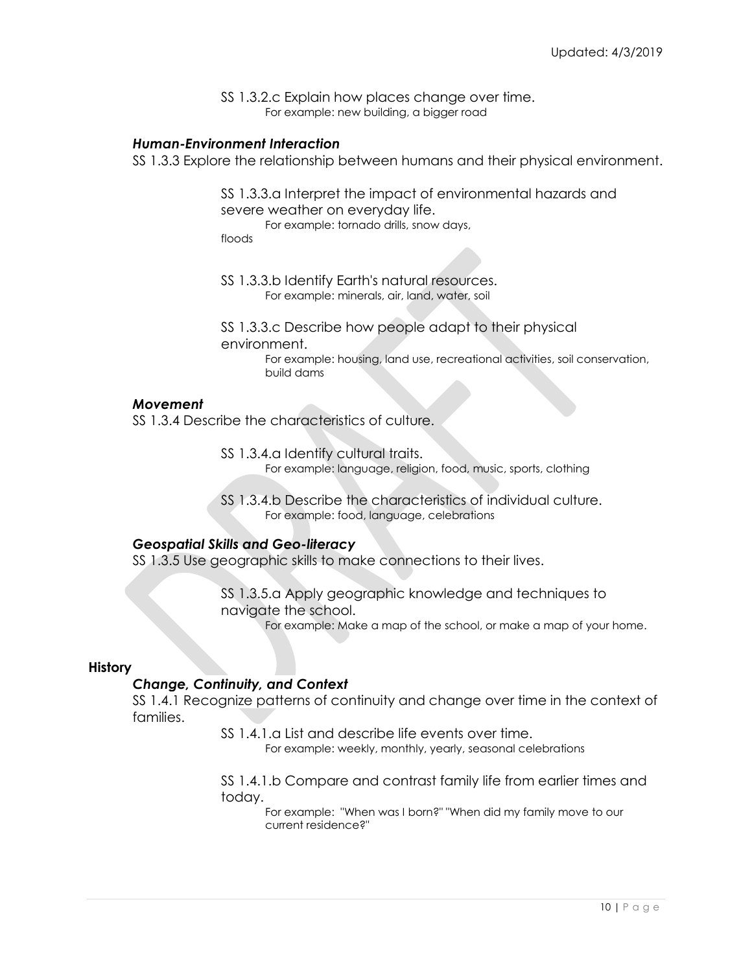SS 1.3.2.c Explain how places change over time. For example: new building, a bigger road

#### *Human-Environment Interaction*

SS 1.3.3 Explore the relationship between humans and their physical environment.

SS 1.3.3.a Interpret the impact of environmental hazards and severe weather on everyday life.

For example: tornado drills, snow days,

floods

SS 1.3.3.b Identify Earth's natural resources. For example: minerals, air, land, water, soil

SS 1.3.3.c Describe how people adapt to their physical environment.

> For example: housing, land use, recreational activities, soil conservation, build dams

#### *Movement*

SS 1.3.4 Describe the characteristics of culture.

SS 1.3.4.a Identify cultural traits. For example: language, religion, food, music, sports, clothing

SS 1.3.4.b Describe the characteristics of individual culture. For example: food, language, celebrations

#### *Geospatial Skills and Geo-literacy*

SS 1.3.5 Use geographic skills to make connections to their lives.

SS 1.3.5.a Apply geographic knowledge and techniques to navigate the school.

For example: Make a map of the school, or make a map of your home.

#### **History**

#### *Change, Continuity, and Context*

SS 1.4.1 Recognize patterns of continuity and change over time in the context of families.

SS 1.4.1.a List and describe life events over time.

For example: weekly, monthly, yearly, seasonal celebrations

SS 1.4.1.b Compare and contrast family life from earlier times and today.

For example: "When was I born?" "When did my family move to our current residence?"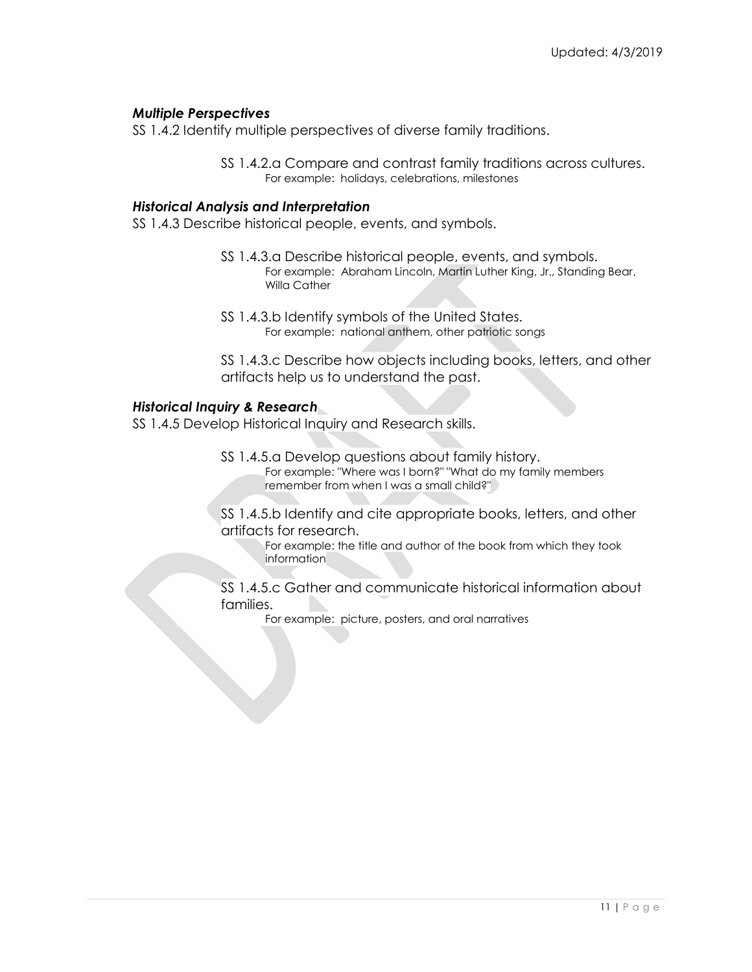## *Multiple Perspectives*

SS 1.4.2 Identify multiple perspectives of diverse family traditions.

SS 1.4.2.a Compare and contrast family traditions across cultures. For example: holidays, celebrations, milestones

## *Historical Analysis and Interpretation*

SS 1.4.3 Describe historical people, events, and symbols.

- SS 1.4.3.a Describe historical people, events, and symbols. For example: Abraham Lincoln, Martin Luther King, Jr., Standing Bear, Willa Cather
- SS 1.4.3.b Identify symbols of the United States. For example: national anthem, other patriotic songs

SS 1.4.3.c Describe how objects including books, letters, and other artifacts help us to understand the past.

## *Historical Inquiry & Research*

SS 1.4.5 Develop Historical Inquiry and Research skills.

SS 1.4.5.a Develop questions about family history. For example: "Where was I born?" "What do my family members remember from when I was a small child?"

SS 1.4.5.b Identify and cite appropriate books, letters, and other artifacts for research.

For example: the title and author of the book from which they took information

SS 1.4.5.c Gather and communicate historical information about families.

For example: picture, posters, and oral narratives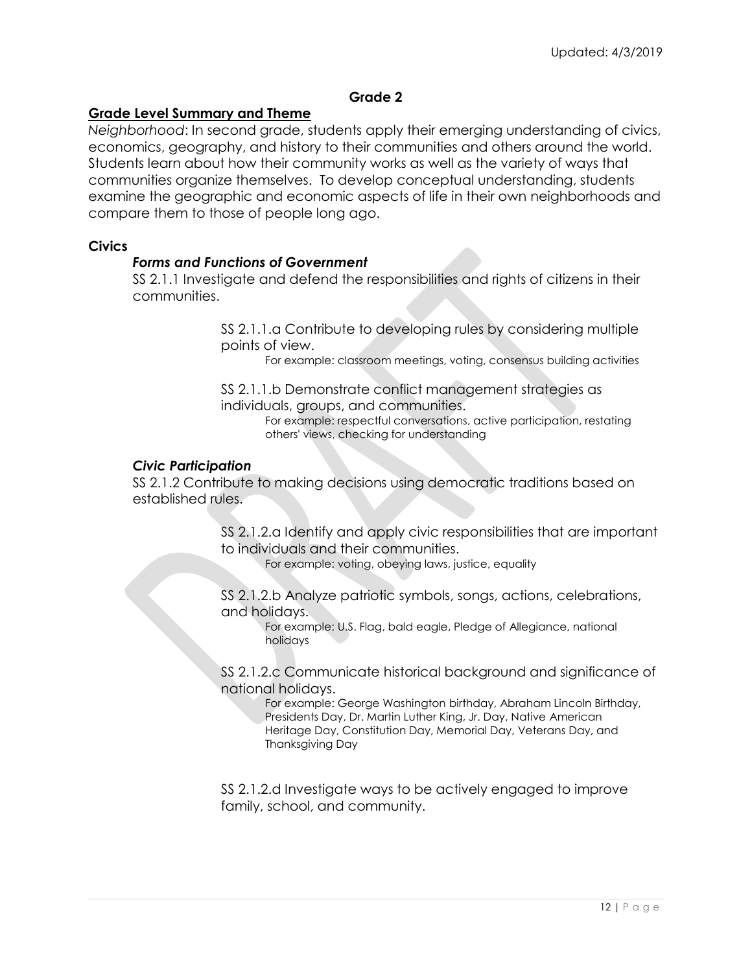## **Grade 2**

## **Grade Level Summary and Theme**

*Neighborhood*: In second grade, students apply their emerging understanding of civics, economics, geography, and history to their communities and others around the world. Students learn about how their community works as well as the variety of ways that communities organize themselves. To develop conceptual understanding, students examine the geographic and economic aspects of life in their own neighborhoods and compare them to those of people long ago.

#### **Civics**

## *Forms and Functions of Government*

SS 2.1.1 Investigate and defend the responsibilities and rights of citizens in their communities.

> SS 2.1.1.a Contribute to developing rules by considering multiple points of view.

For example: classroom meetings, voting, consensus building activities

SS 2.1.1.b Demonstrate conflict management strategies as individuals, groups, and communities.

For example: respectful conversations, active participation, restating others' views, checking for understanding

#### *Civic Participation*

SS 2.1.2 Contribute to making decisions using democratic traditions based on established rules.

> SS 2.1.2.a Identify and apply civic responsibilities that are important to individuals and their communities.

For example: voting, obeying laws, justice, equality

SS 2.1.2.b Analyze patriotic symbols, songs, actions, celebrations, and holidays.

For example: U.S. Flag, bald eagle, Pledge of Allegiance, national holidays

SS 2.1.2.c Communicate historical background and significance of national holidays.

For example: George Washington birthday, Abraham Lincoln Birthday, Presidents Day, Dr. Martin Luther King, Jr. Day, Native American Heritage Day, Constitution Day, Memorial Day, Veterans Day, and Thanksgiving Day

SS 2.1.2.d Investigate ways to be actively engaged to improve family, school, and community.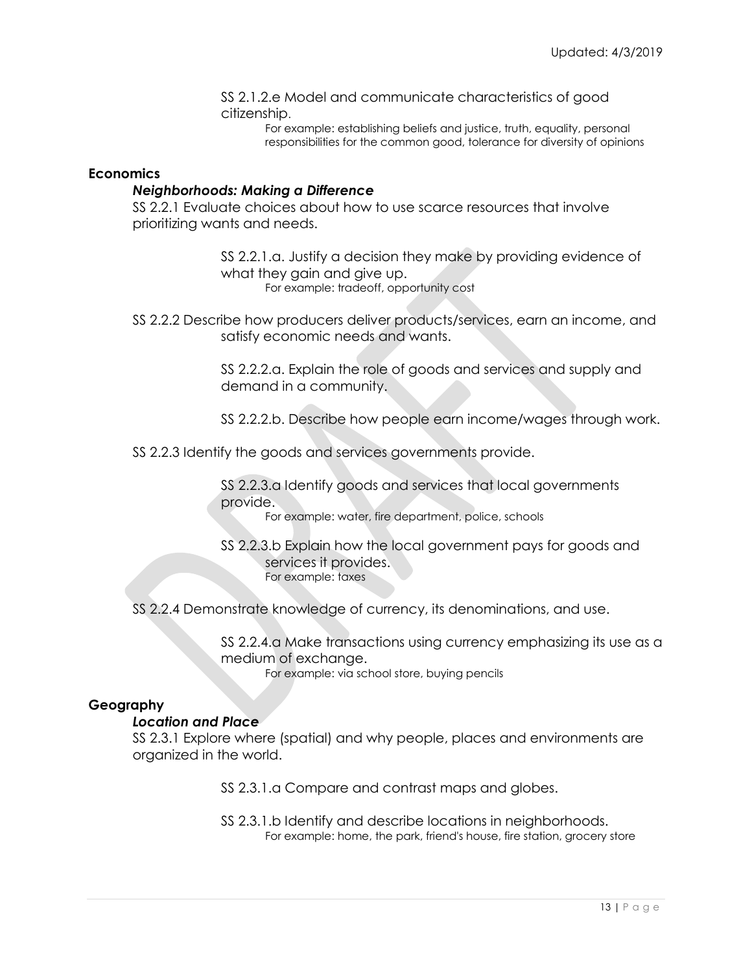SS 2.1.2.e Model and communicate characteristics of good citizenship.

> For example: establishing beliefs and justice, truth, equality, personal responsibilities for the common good, tolerance for diversity of opinions

#### **Economics**

#### *Neighborhoods: Making a Difference*

SS 2.2.1 Evaluate choices about how to use scarce resources that involve prioritizing wants and needs.

> SS 2.2.1.a. Justify a decision they make by providing evidence of what they gain and give up. For example: tradeoff, opportunity cost

SS 2.2.2 Describe how producers deliver products/services, earn an income, and satisfy economic needs and wants.

> SS 2.2.2.a. Explain the role of goods and services and supply and demand in a community.

SS 2.2.2.b. Describe how people earn income/wages through work.

SS 2.2.3 Identify the goods and services governments provide.

SS 2.2.3.a Identify goods and services that local governments provide.

For example: water, fire department, police, schools

SS 2.2.3.b Explain how the local government pays for goods and services it provides. For example: taxes

SS 2.2.4 Demonstrate knowledge of currency, its denominations, and use.

SS 2.2.4.a Make transactions using currency emphasizing its use as a medium of exchange.

For example: via school store, buying pencils

## **Geography**

#### *Location and Place*

SS 2.3.1 Explore where (spatial) and why people, places and environments are organized in the world.

SS 2.3.1.a Compare and contrast maps and globes.

SS 2.3.1.b Identify and describe locations in neighborhoods. For example: home, the park, friend's house, fire station, grocery store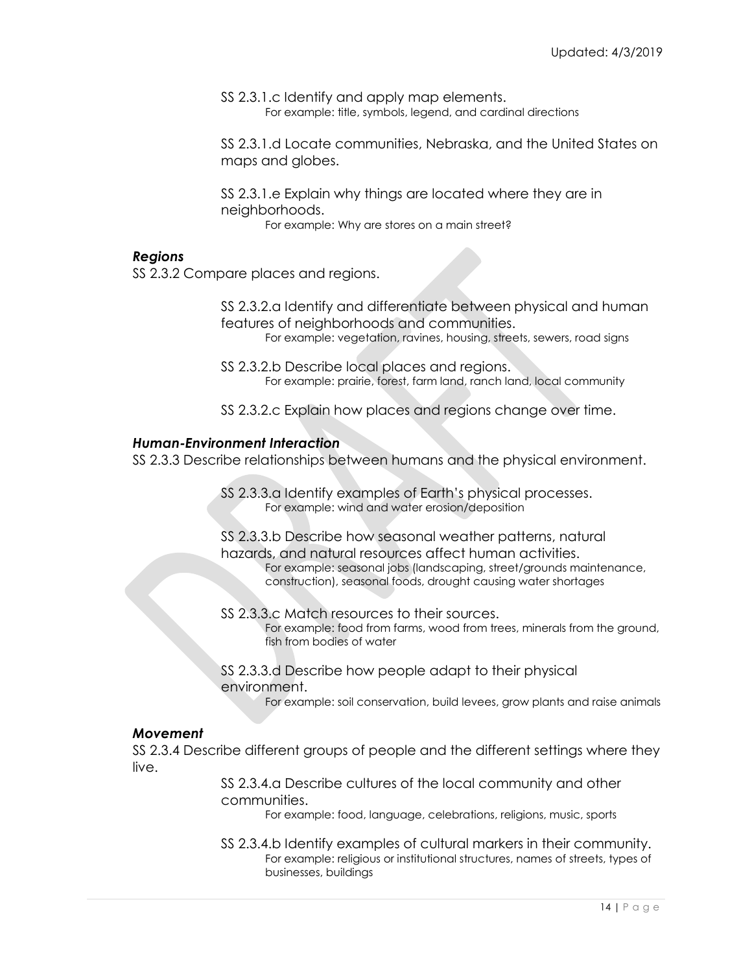SS 2.3.1.c Identify and apply map elements. For example: title, symbols, legend, and cardinal directions

SS 2.3.1.d Locate communities, Nebraska, and the United States on maps and globes.

SS 2.3.1.e Explain why things are located where they are in neighborhoods.

For example: Why are stores on a main street?

#### *Regions*

SS 2.3.2 Compare places and regions.

SS 2.3.2.a Identify and differentiate between physical and human features of neighborhoods and communities. For example: vegetation, ravines, housing, streets, sewers, road signs

SS 2.3.2.b Describe local places and regions. For example: prairie, forest, farm land, ranch land, local community

SS 2.3.2.c Explain how places and regions change over time.

#### *Human-Environment Interaction*

SS 2.3.3 Describe relationships between humans and the physical environment.

SS 2.3.3.a Identify examples of Earth's physical processes. For example: wind and water erosion/deposition

SS 2.3.3.b Describe how seasonal weather patterns, natural hazards, and natural resources affect human activities. For example: seasonal jobs (landscaping, street/grounds maintenance, construction), seasonal foods, drought causing water shortages

- SS 2.3.3.c Match resources to their sources. For example: food from farms, wood from trees, minerals from the ground, fish from bodies of water
- SS 2.3.3.d Describe how people adapt to their physical environment.

For example: soil conservation, build levees, grow plants and raise animals

#### *Movement*

SS 2.3.4 Describe different groups of people and the different settings where they live.

> SS 2.3.4.a Describe cultures of the local community and other communities.

> > For example: food, language, celebrations, religions, music, sports

SS 2.3.4.b Identify examples of cultural markers in their community. For example: religious or institutional structures, names of streets, types of businesses, buildings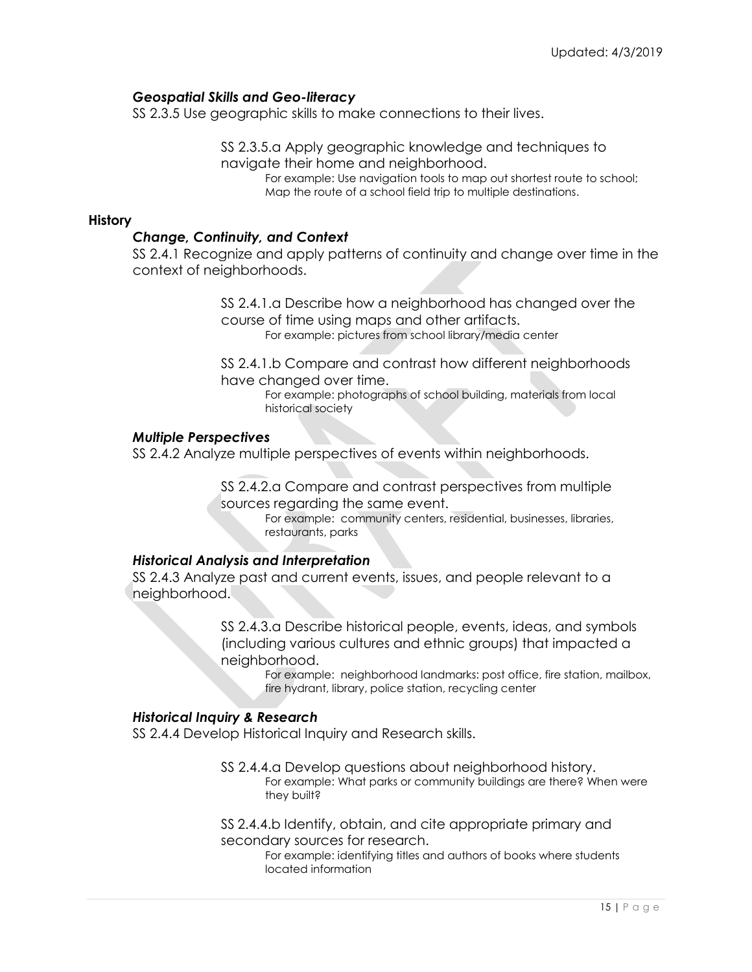## *Geospatial Skills and Geo-literacy*

SS 2.3.5 Use geographic skills to make connections to their lives.

SS 2.3.5.a Apply geographic knowledge and techniques to navigate their home and neighborhood.

For example: Use navigation tools to map out shortest route to school; Map the route of a school field trip to multiple destinations.

#### **History**

#### *Change, Continuity, and Context*

SS 2.4.1 Recognize and apply patterns of continuity and change over time in the context of neighborhoods.

> SS 2.4.1.a Describe how a neighborhood has changed over the course of time using maps and other artifacts. For example: pictures from school library/media center

SS 2.4.1.b Compare and contrast how different neighborhoods have changed over time.

For example: photographs of school building, materials from local historical society

#### *Multiple Perspectives*

SS 2.4.2 Analyze multiple perspectives of events within neighborhoods.

SS 2.4.2.a Compare and contrast perspectives from multiple sources regarding the same event.

For example: community centers, residential, businesses, libraries, restaurants, parks

#### *Historical Analysis and Interpretation*

SS 2.4.3 Analyze past and current events, issues, and people relevant to a neighborhood.

> SS 2.4.3.a Describe historical people, events, ideas, and symbols (including various cultures and ethnic groups) that impacted a neighborhood.

> > For example: neighborhood landmarks: post office, fire station, mailbox, fire hydrant, library, police station, recycling center

#### *Historical Inquiry & Research*

SS 2.4.4 Develop Historical Inquiry and Research skills.

SS 2.4.4.a Develop questions about neighborhood history. For example: What parks or community buildings are there? When were they built?

SS 2.4.4.b Identify, obtain, and cite appropriate primary and secondary sources for research.

For example: identifying titles and authors of books where students located information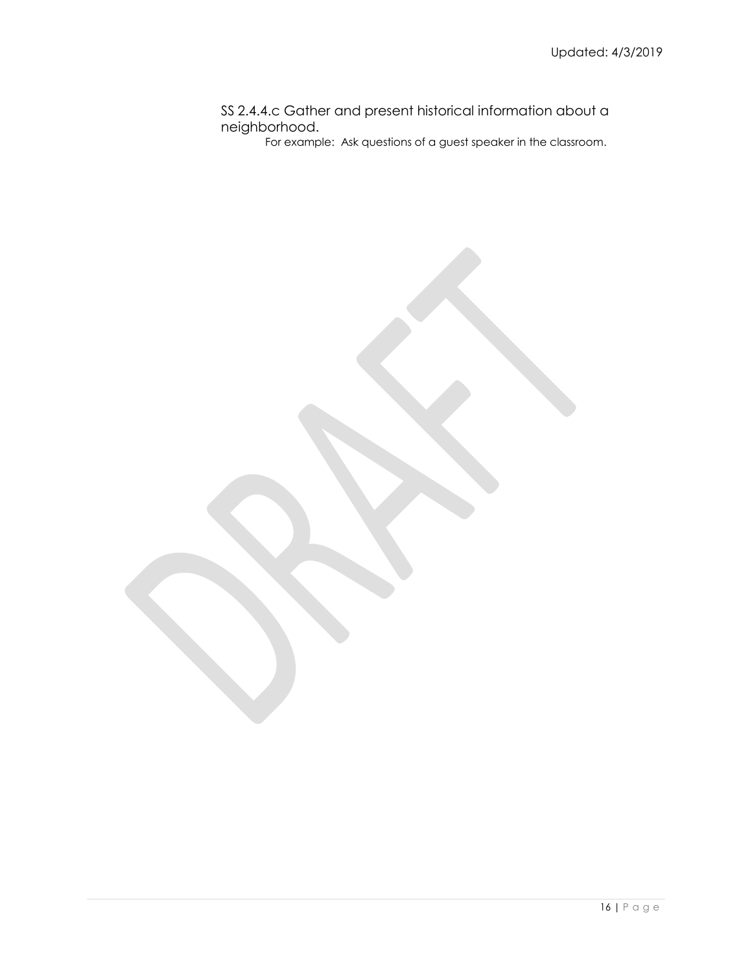## SS 2.4.4.c Gather and present historical information about a neighborhood.

For example: Ask questions of a guest speaker in the classroom.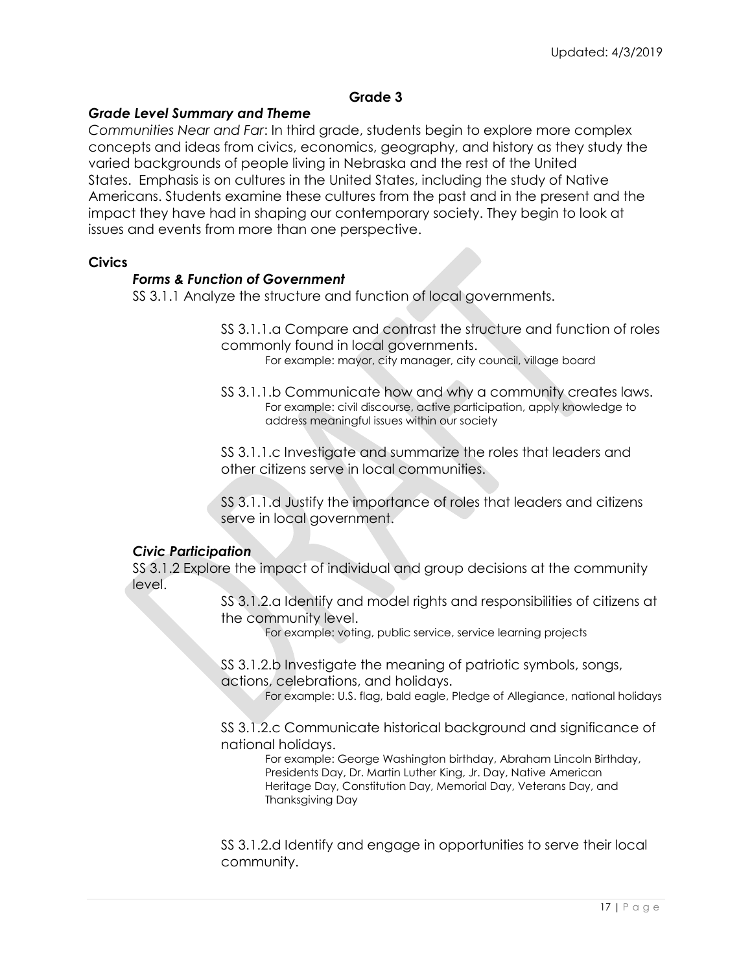## **Grade 3**

## *Grade Level Summary and Theme*

*Communities Near and Far*: In third grade, students begin to explore more complex concepts and ideas from civics, economics, geography, and history as they study the varied backgrounds of people living in Nebraska and the rest of the United States. Emphasis is on cultures in the United States, including the study of Native Americans. Students examine these cultures from the past and in the present and the impact they have had in shaping our contemporary society. They begin to look at issues and events from more than one perspective.

#### **Civics**

## *Forms & Function of Government*

SS 3.1.1 Analyze the structure and function of local governments.

SS 3.1.1.a Compare and contrast the structure and function of roles commonly found in local governments.

For example: mayor, city manager, city council, village board

SS 3.1.1.b Communicate how and why a community creates laws. For example: civil discourse, active participation, apply knowledge to address meaningful issues within our society

SS 3.1.1.c Investigate and summarize the roles that leaders and other citizens serve in local communities.

SS 3.1.1.d Justify the importance of roles that leaders and citizens serve in local government.

## *Civic Participation*

SS 3.1.2 Explore the impact of individual and group decisions at the community level.

> SS 3.1.2.a Identify and model rights and responsibilities of citizens at the community level.

> > For example: voting, public service, service learning projects

SS 3.1.2.b Investigate the meaning of patriotic symbols, songs, actions, celebrations, and holidays.

For example: U.S. flag, bald eagle, Pledge of Allegiance, national holidays

SS 3.1.2.c Communicate historical background and significance of national holidays.

For example: George Washington birthday, Abraham Lincoln Birthday, Presidents Day, Dr. Martin Luther King, Jr. Day, Native American Heritage Day, Constitution Day, Memorial Day, Veterans Day, and Thanksgiving Day

SS 3.1.2.d Identify and engage in opportunities to serve their local community.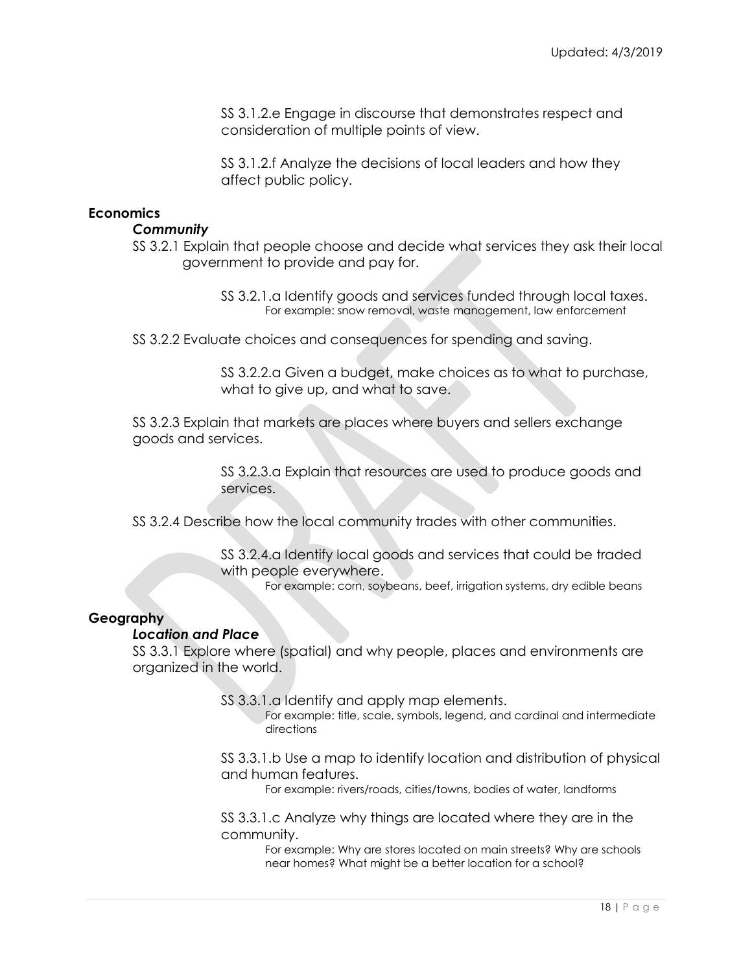SS 3.1.2.e Engage in discourse that demonstrates respect and consideration of multiple points of view.

SS 3.1.2.f Analyze the decisions of local leaders and how they affect public policy.

## **Economics**

## *Community*

SS 3.2.1 Explain that people choose and decide what services they ask their local government to provide and pay for.

> SS 3.2.1.a Identify goods and services funded through local taxes. For example: snow removal, waste management, law enforcement

SS 3.2.2 Evaluate choices and consequences for spending and saving.

SS 3.2.2.a Given a budget, make choices as to what to purchase, what to give up, and what to save.

SS 3.2.3 Explain that markets are places where buyers and sellers exchange goods and services.

> SS 3.2.3.a Explain that resources are used to produce goods and services.

SS 3.2.4 Describe how the local community trades with other communities.

SS 3.2.4.a Identify local goods and services that could be traded with people everywhere.

For example: corn, soybeans, beef, irrigation systems, dry edible beans

## **Geography**

#### *Location and Place*

SS 3.3.1 Explore where (spatial) and why people, places and environments are organized in the world.

SS 3.3.1.a Identify and apply map elements.

For example: title, scale, symbols, legend, and cardinal and intermediate directions

SS 3.3.1.b Use a map to identify location and distribution of physical and human features.

For example: rivers/roads, cities/towns, bodies of water, landforms

SS 3.3.1.c Analyze why things are located where they are in the community.

> For example: Why are stores located on main streets? Why are schools near homes? What might be a better location for a school?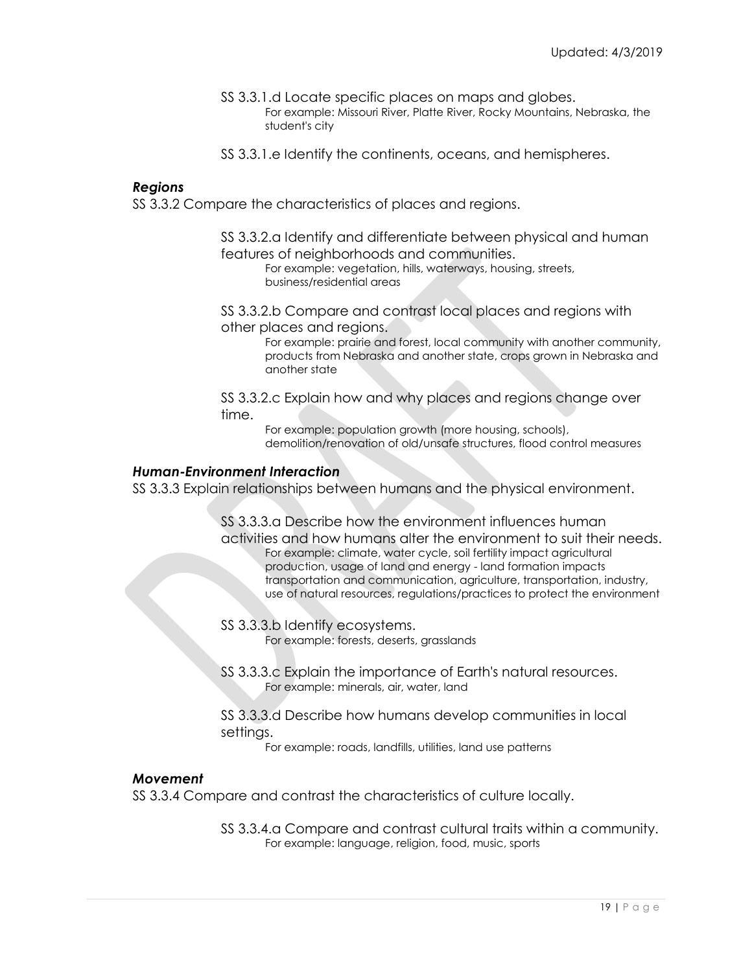SS 3.3.1.d Locate specific places on maps and globes.

For example: Missouri River, Platte River, Rocky Mountains, Nebraska, the student's city

SS 3.3.1.e Identify the continents, oceans, and hemispheres.

#### *Regions*

SS 3.3.2 Compare the characteristics of places and regions.

SS 3.3.2.a Identify and differentiate between physical and human features of neighborhoods and communities.

For example: vegetation, hills, waterways, housing, streets, business/residential areas

SS 3.3.2.b Compare and contrast local places and regions with other places and regions.

> For example: prairie and forest, local community with another community, products from Nebraska and another state, crops grown in Nebraska and another state

SS 3.3.2.c Explain how and why places and regions change over time.

> For example: population growth (more housing, schools), demolition/renovation of old/unsafe structures, flood control measures

#### *Human-Environment Interaction*

SS 3.3.3 Explain relationships between humans and the physical environment.

SS 3.3.3.a Describe how the environment influences human activities and how humans alter the environment to suit their needs. For example: climate, water cycle, soil fertility impact agricultural production, usage of land and energy - land formation impacts transportation and communication, agriculture, transportation, industry, use of natural resources, regulations/practices to protect the environment

- SS 3.3.3.b Identify ecosystems. For example: forests, deserts, grasslands
- SS 3.3.3.c Explain the importance of Earth's natural resources. For example: minerals, air, water, land
- SS 3.3.3.d Describe how humans develop communities in local settings.

For example: roads, landfills, utilities, land use patterns

## *Movement*

SS 3.3.4 Compare and contrast the characteristics of culture locally.

SS 3.3.4.a Compare and contrast cultural traits within a community. For example: language, religion, food, music, sports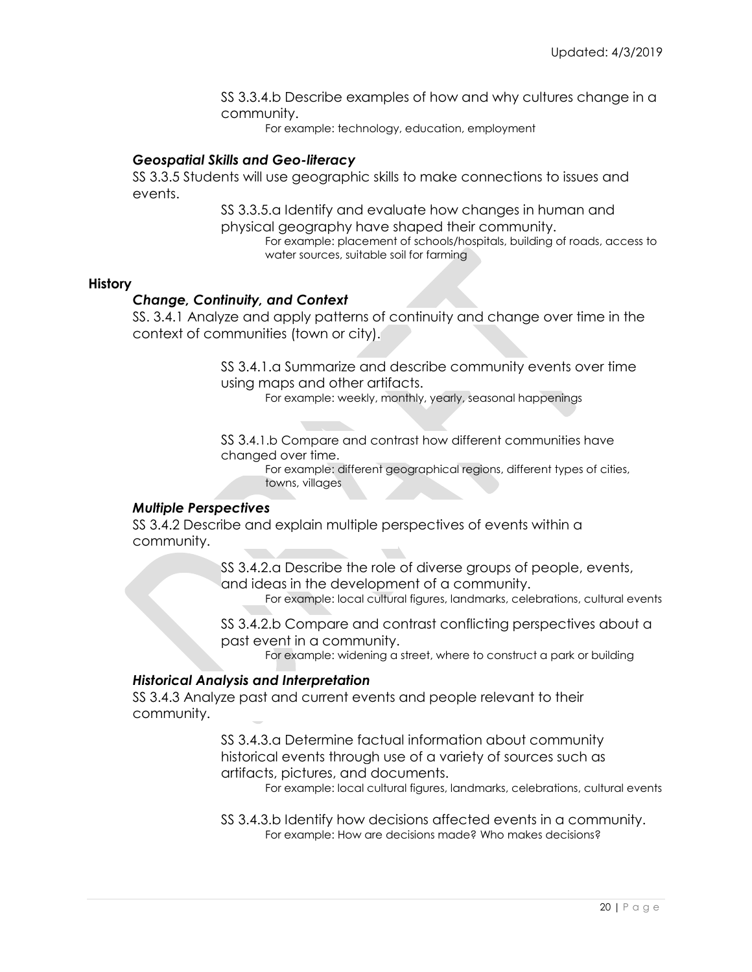SS 3.3.4.b Describe examples of how and why cultures change in a community.

For example: technology, education, employment

## *Geospatial Skills and Geo-literacy*

SS 3.3.5 Students will use geographic skills to make connections to issues and events.

> SS 3.3.5.a Identify and evaluate how changes in human and physical geography have shaped their community.

> > For example: placement of schools/hospitals, building of roads, access to water sources, suitable soil for farming

#### **History**

#### *Change, Continuity, and Context*

SS. 3.4.1 Analyze and apply patterns of continuity and change over time in the context of communities (town or city).

> SS 3.4.1.a Summarize and describe community events over time using maps and other artifacts.

> > For example: weekly, monthly, yearly, seasonal happenings

SS 3.4.1.b Compare and contrast how different communities have changed over time.

For example: different geographical regions, different types of cities, towns, villages

#### *Multiple Perspectives*

SS 3.4.2 Describe and explain multiple perspectives of events within a community.

> SS 3.4.2.a Describe the role of diverse groups of people, events, and ideas in the development of a community.

For example: local cultural figures, landmarks, celebrations, cultural events

SS 3.4.2.b Compare and contrast conflicting perspectives about a past event in a community.

For example: widening a street, where to construct a park or building

#### *Historical Analysis and Interpretation*

SS 3.4.3 Analyze past and current events and people relevant to their community.

> SS 3.4.3.a Determine factual information about community historical events through use of a variety of sources such as artifacts, pictures, and documents.

For example: local cultural figures, landmarks, celebrations, cultural events

SS 3.4.3.b Identify how decisions affected events in a community. For example: How are decisions made? Who makes decisions?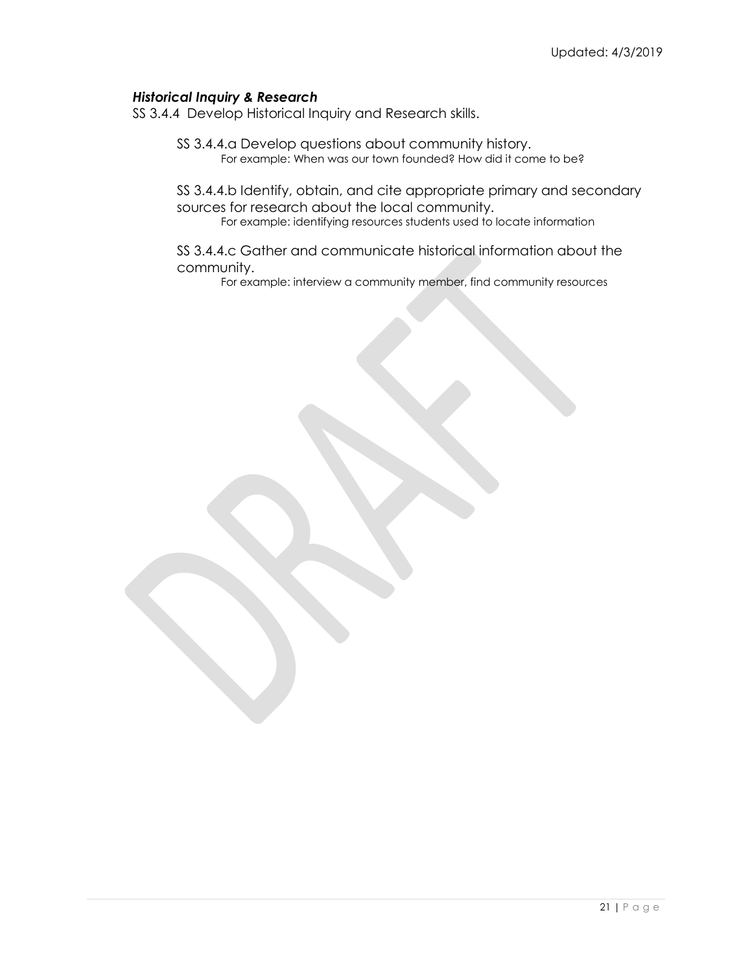## *Historical Inquiry & Research*

SS 3.4.4 Develop Historical Inquiry and Research skills.

SS 3.4.4.a Develop questions about community history. For example: When was our town founded? How did it come to be?

SS 3.4.4.b Identify, obtain, and cite appropriate primary and secondary sources for research about the local community. For example: identifying resources students used to locate information

SS 3.4.4.c Gather and communicate historical information about the community.

For example: interview a community member, find community resources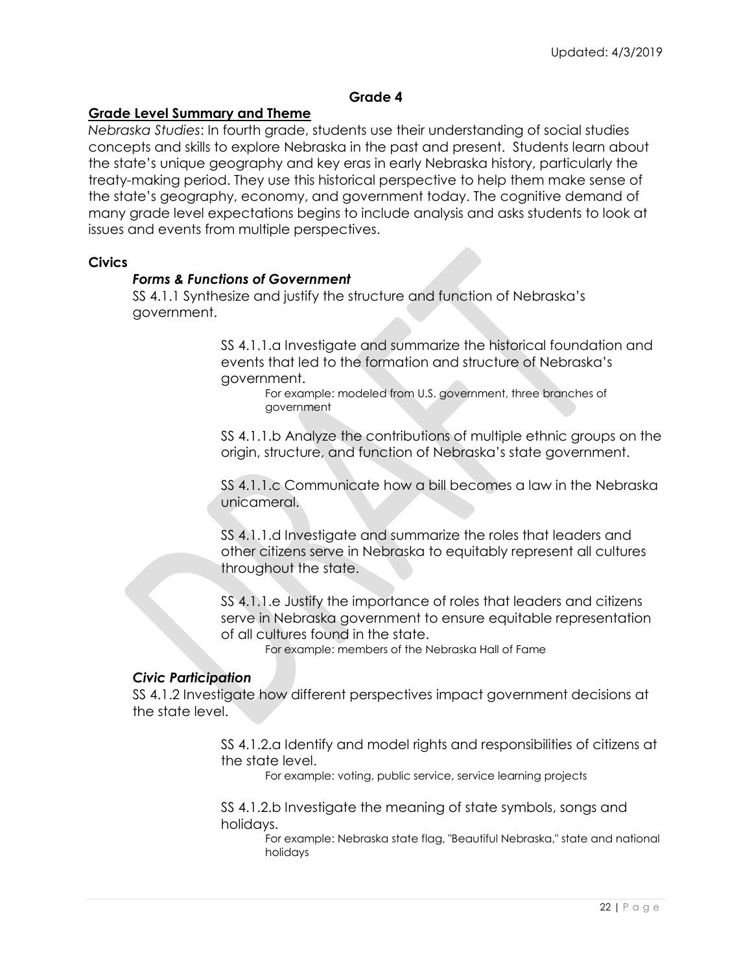## **Grade 4**

## **Grade Level Summary and Theme**

*Nebraska Studies*: In fourth grade, students use their understanding of social studies concepts and skills to explore Nebraska in the past and present. Students learn about the state's unique geography and key eras in early Nebraska history, particularly the treaty-making period. They use this historical perspective to help them make sense of the state's geography, economy, and government today. The cognitive demand of many grade level expectations begins to include analysis and asks students to look at issues and events from multiple perspectives.

#### **Civics**

## *Forms & Functions of Government*

SS 4.1.1 Synthesize and justify the structure and function of Nebraska's government.

> SS 4.1.1.a Investigate and summarize the historical foundation and events that led to the formation and structure of Nebraska's government.

For example: modeled from U.S. government, three branches of government

SS 4.1.1.b Analyze the contributions of multiple ethnic groups on the origin, structure, and function of Nebraska's state government.

SS 4.1.1.c Communicate how a bill becomes a law in the Nebraska unicameral.

SS 4.1.1.d Investigate and summarize the roles that leaders and other citizens serve in Nebraska to equitably represent all cultures throughout the state.

SS 4.1.1.e Justify the importance of roles that leaders and citizens serve in Nebraska government to ensure equitable representation of all cultures found in the state.

For example: members of the Nebraska Hall of Fame

## *Civic Participation*

SS 4.1.2 Investigate how different perspectives impact government decisions at the state level.

> SS 4.1.2.a Identify and model rights and responsibilities of citizens at the state level.

For example: voting, public service, service learning projects

SS 4.1.2.b Investigate the meaning of state symbols, songs and holidays.

For example: Nebraska state flag, "Beautiful Nebraska," state and national holidays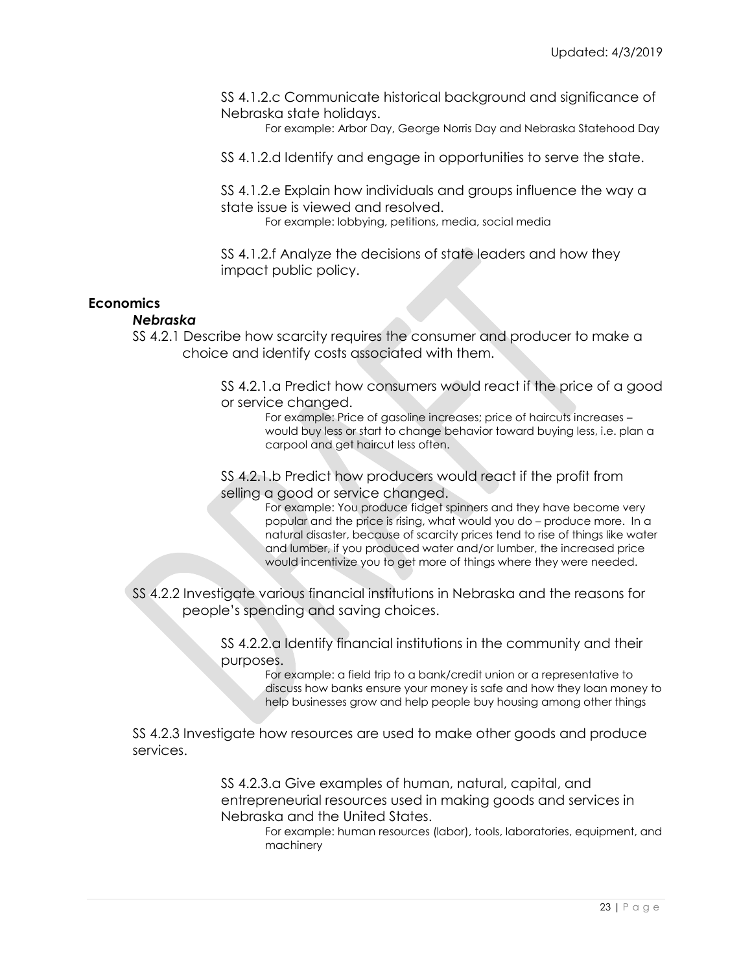SS 4.1.2.c Communicate historical background and significance of Nebraska state holidays.

For example: Arbor Day, George Norris Day and Nebraska Statehood Day

SS 4.1.2.d Identify and engage in opportunities to serve the state.

SS 4.1.2.e Explain how individuals and groups influence the way a state issue is viewed and resolved.

For example: lobbying, petitions, media, social media

SS 4.1.2.f Analyze the decisions of state leaders and how they impact public policy.

## **Economics**

#### *Nebraska*

SS 4.2.1 Describe how scarcity requires the consumer and producer to make a choice and identify costs associated with them.

> SS 4.2.1.a Predict how consumers would react if the price of a good or service changed.

For example: Price of gasoline increases; price of haircuts increases – would buy less or start to change behavior toward buying less, i.e. plan a carpool and get haircut less often.

SS 4.2.1.b Predict how producers would react if the profit from selling a good or service changed.

> For example: You produce fidget spinners and they have become very popular and the price is rising, what would you do – produce more. In a natural disaster, because of scarcity prices tend to rise of things like water and lumber, if you produced water and/or lumber, the increased price would incentivize you to get more of things where they were needed.

SS 4.2.2 Investigate various financial institutions in Nebraska and the reasons for people's spending and saving choices.

> SS 4.2.2.a Identify financial institutions in the community and their purposes.

> > For example: a field trip to a bank/credit union or a representative to discuss how banks ensure your money is safe and how they loan money to help businesses grow and help people buy housing among other things

SS 4.2.3 Investigate how resources are used to make other goods and produce services.

> SS 4.2.3.a Give examples of human, natural, capital, and entrepreneurial resources used in making goods and services in Nebraska and the United States.

For example: human resources (labor), tools, laboratories, equipment, and machinery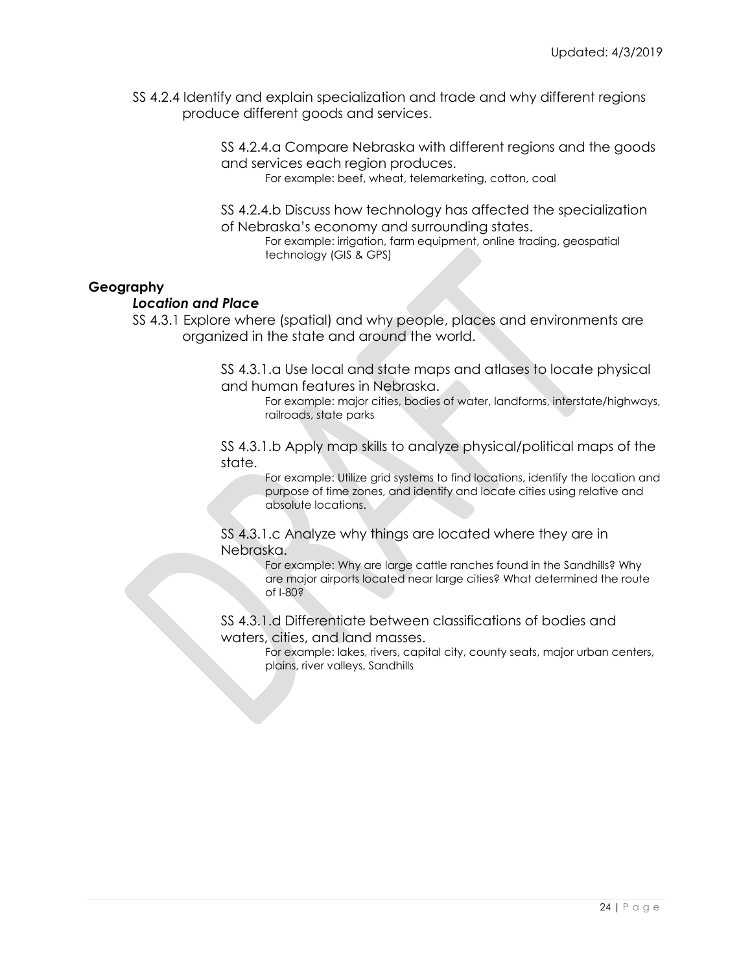SS 4.2.4 Identify and explain specialization and trade and why different regions produce different goods and services.

> SS 4.2.4.a Compare Nebraska with different regions and the goods and services each region produces.

For example: beef, wheat, telemarketing, cotton, coal

SS 4.2.4.b Discuss how technology has affected the specialization of Nebraska's economy and surrounding states.

For example: irrigation, farm equipment, online trading, geospatial technology (GIS & GPS)

## **Geography**

#### *Location and Place*

SS 4.3.1 Explore where (spatial) and why people, places and environments are organized in the state and around the world.

> SS 4.3.1.a Use local and state maps and atlases to locate physical and human features in Nebraska.

For example: major cities, bodies of water, landforms, interstate/highways, railroads, state parks

SS 4.3.1.b Apply map skills to analyze physical/political maps of the state.

For example: Utilize grid systems to find locations, identify the location and purpose of time zones, and identify and locate cities using relative and absolute locations.

SS 4.3.1.c Analyze why things are located where they are in Nebraska.

> For example: Why are large cattle ranches found in the Sandhills? Why are major airports located near large cities? What determined the route of I-80?

SS 4.3.1.d Differentiate between classifications of bodies and waters, cities, and land masses.

For example: lakes, rivers, capital city, county seats, major urban centers, plains, river valleys, Sandhills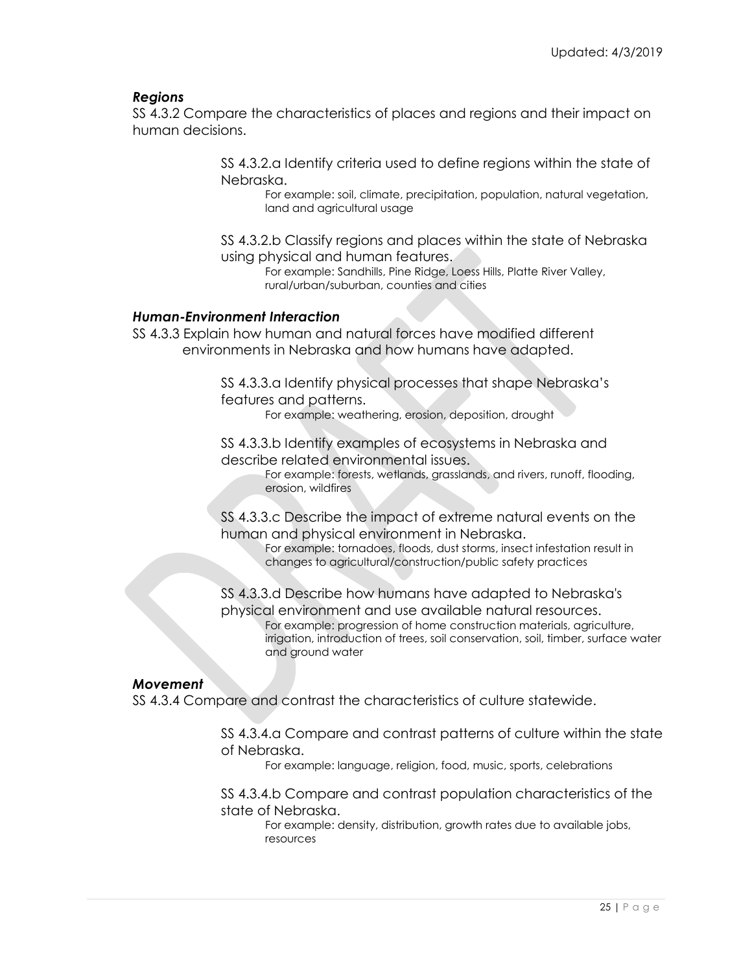## *Regions*

SS 4.3.2 Compare the characteristics of places and regions and their impact on human decisions.

> SS 4.3.2.a Identify criteria used to define regions within the state of Nebraska.

For example: soil, climate, precipitation, population, natural vegetation, land and agricultural usage

SS 4.3.2.b Classify regions and places within the state of Nebraska using physical and human features.

For example: Sandhills, Pine Ridge, Loess Hills, Platte River Valley, rural/urban/suburban, counties and cities

## *Human-Environment Interaction*

SS 4.3.3 Explain how human and natural forces have modified different environments in Nebraska and how humans have adapted.

> SS 4.3.3.a Identify physical processes that shape Nebraska's features and patterns.

For example: weathering, erosion, deposition, drought

SS 4.3.3.b Identify examples of ecosystems in Nebraska and describe related environmental issues.

For example: forests, wetlands, grasslands, and rivers, runoff, flooding, erosion, wildfires

SS 4.3.3.c Describe the impact of extreme natural events on the human and physical environment in Nebraska.

For example: tornadoes, floods, dust storms, insect infestation result in changes to agricultural/construction/public safety practices

SS 4.3.3.d Describe how humans have adapted to Nebraska's physical environment and use available natural resources. For example: progression of home construction materials, agriculture,

irrigation, introduction of trees, soil conservation, soil, timber, surface water and ground water

#### *Movement*

SS 4.3.4 Compare and contrast the characteristics of culture statewide.

SS 4.3.4.a Compare and contrast patterns of culture within the state of Nebraska.

For example: language, religion, food, music, sports, celebrations

SS 4.3.4.b Compare and contrast population characteristics of the state of Nebraska.

For example: density, distribution, growth rates due to available jobs, resources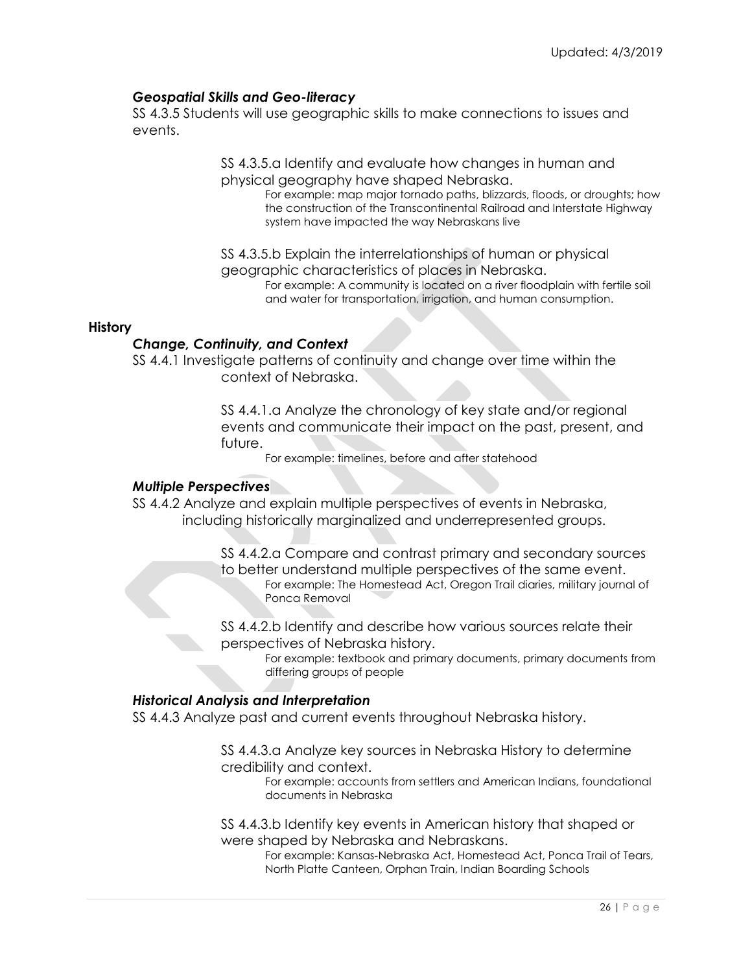## *Geospatial Skills and Geo-literacy*

SS 4.3.5 Students will use geographic skills to make connections to issues and events.

> SS 4.3.5.a Identify and evaluate how changes in human and physical geography have shaped Nebraska.

For example: map major tornado paths, blizzards, floods, or droughts; how the construction of the Transcontinental Railroad and Interstate Highway system have impacted the way Nebraskans live

SS 4.3.5.b Explain the interrelationships of human or physical geographic characteristics of places in Nebraska.

For example: A community is located on a river floodplain with fertile soil and water for transportation, irrigation, and human consumption.

#### **History**

## *Change, Continuity, and Context*

SS 4.4.1 Investigate patterns of continuity and change over time within the context of Nebraska.

> SS 4.4.1.a Analyze the chronology of key state and/or regional events and communicate their impact on the past, present, and future.

For example: timelines, before and after statehood

## *Multiple Perspectives*

SS 4.4.2 Analyze and explain multiple perspectives of events in Nebraska, including historically marginalized and underrepresented groups.

> SS 4.4.2.a Compare and contrast primary and secondary sources to better understand multiple perspectives of the same event. For example: The Homestead Act, Oregon Trail diaries, military journal of Ponca Removal

SS 4.4.2.b Identify and describe how various sources relate their perspectives of Nebraska history.

> For example: textbook and primary documents, primary documents from differing groups of people

#### *Historical Analysis and Interpretation*

SS 4.4.3 Analyze past and current events throughout Nebraska history.

SS 4.4.3.a Analyze key sources in Nebraska History to determine credibility and context.

For example: accounts from settlers and American Indians, foundational documents in Nebraska

SS 4.4.3.b Identify key events in American history that shaped or were shaped by Nebraska and Nebraskans.

For example: Kansas-Nebraska Act, Homestead Act, Ponca Trail of Tears, North Platte Canteen, Orphan Train, Indian Boarding Schools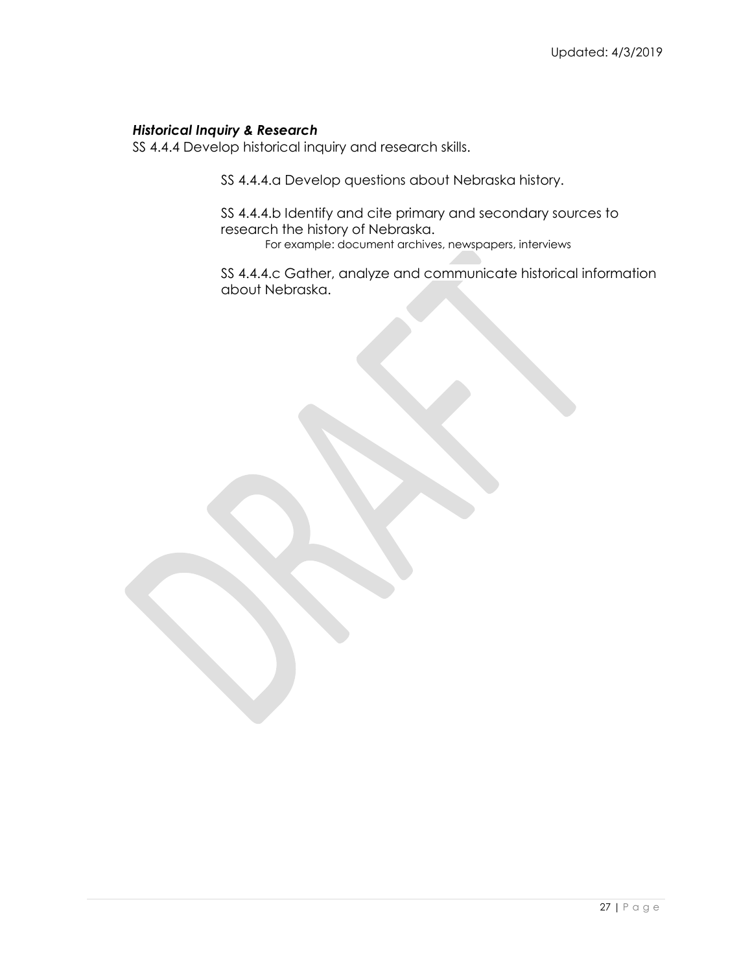## *Historical Inquiry & Research*

SS 4.4.4 Develop historical inquiry and research skills.

SS 4.4.4.a Develop questions about Nebraska history.

SS 4.4.4.b Identify and cite primary and secondary sources to research the history of Nebraska. For example: document archives, newspapers, interviews

SS 4.4.4.c Gather, analyze and communicate historical information about Nebraska.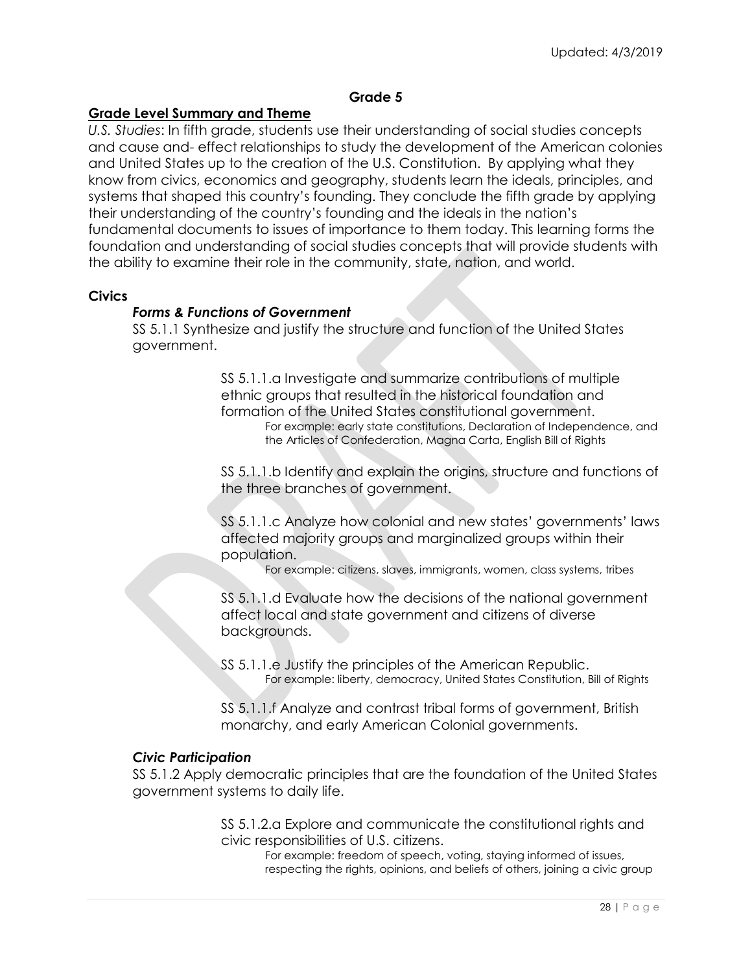#### **Grade 5**

## **Grade Level Summary and Theme**

*U.S. Studies*: In fifth grade, students use their understanding of social studies concepts and cause and- effect relationships to study the development of the American colonies and United States up to the creation of the U.S. Constitution. By applying what they know from civics, economics and geography, students learn the ideals, principles, and systems that shaped this country's founding. They conclude the fifth grade by applying their understanding of the country's founding and the ideals in the nation's fundamental documents to issues of importance to them today. This learning forms the foundation and understanding of social studies concepts that will provide students with the ability to examine their role in the community, state, nation, and world.

#### **Civics**

## *Forms & Functions of Government*

SS 5.1.1 Synthesize and justify the structure and function of the United States government.

> SS 5.1.1.a Investigate and summarize contributions of multiple ethnic groups that resulted in the historical foundation and formation of the United States constitutional government. For example: early state constitutions, Declaration of Independence, and the Articles of Confederation, Magna Carta, English Bill of Rights

> SS 5.1.1.b Identify and explain the origins, structure and functions of the three branches of government.

> SS 5.1.1.c Analyze how colonial and new states' governments' laws affected majority groups and marginalized groups within their population.

For example: citizens, slaves, immigrants, women, class systems, tribes

SS 5.1.1.d Evaluate how the decisions of the national government affect local and state government and citizens of diverse backgrounds.

SS 5.1.1.e Justify the principles of the American Republic. For example: liberty, democracy, United States Constitution, Bill of Rights

SS 5.1.1.f Analyze and contrast tribal forms of government, British monarchy, and early American Colonial governments.

#### *Civic Participation*

SS 5.1.2 Apply democratic principles that are the foundation of the United States government systems to daily life.

> SS 5.1.2.a Explore and communicate the constitutional rights and civic responsibilities of U.S. citizens.

For example: freedom of speech, voting, staying informed of issues, respecting the rights, opinions, and beliefs of others, joining a civic group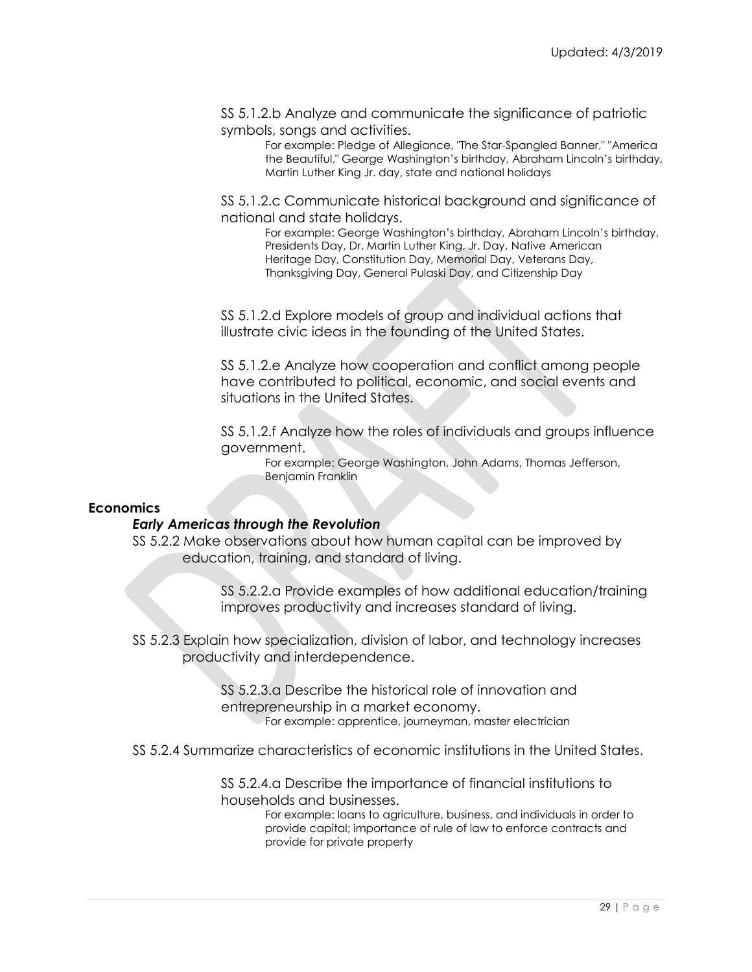SS 5.1.2.b Analyze and communicate the significance of patriotic symbols, songs and activities.

> For example: Pledge of Allegiance, "The Star-Spangled Banner," "America the Beautiful," George Washington's birthday, Abraham Lincoln's birthday, Martin Luther King Jr. day, state and national holidays

SS 5.1.2.c Communicate historical background and significance of national and state holidays.

For example: George Washington's birthday, Abraham Lincoln's birthday, Presidents Day, Dr. Martin Luther King, Jr. Day, Native American Heritage Day, Constitution Day, Memorial Day, Veterans Day, Thanksgiving Day, General Pulaski Day, and Citizenship Day

SS 5.1.2.d Explore models of group and individual actions that illustrate civic ideas in the founding of the United States.

SS 5.1.2.e Analyze how cooperation and conflict among people have contributed to political, economic, and social events and situations in the United States.

SS 5.1.2.f Analyze how the roles of individuals and groups influence government.

For example: George Washington, John Adams, Thomas Jefferson, Benjamin Franklin

#### **Economics**

#### *Early Americas through the Revolution*

SS 5.2.2 Make observations about how human capital can be improved by education, training, and standard of living.

> SS 5.2.2.a Provide examples of how additional education/training improves productivity and increases standard of living.

SS 5.2.3 Explain how specialization, division of labor, and technology increases productivity and interdependence.

> SS 5.2.3.a Describe the historical role of innovation and entrepreneurship in a market economy. For example: apprentice, journeyman, master electrician

SS 5.2.4 Summarize characteristics of economic institutions in the United States.

SS 5.2.4.a Describe the importance of financial institutions to households and businesses.

For example: loans to agriculture, business, and individuals in order to provide capital; importance of rule of law to enforce contracts and provide for private property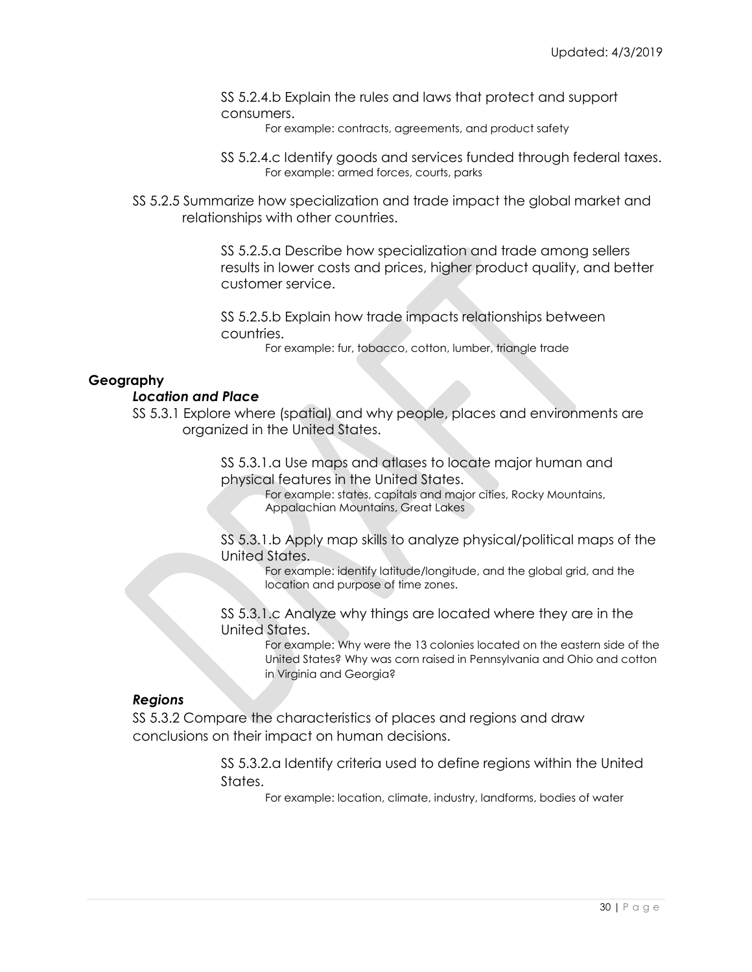SS 5.2.4.b Explain the rules and laws that protect and support consumers.

For example: contracts, agreements, and product safety

- SS 5.2.4.c Identify goods and services funded through federal taxes. For example: armed forces, courts, parks
- SS 5.2.5 Summarize how specialization and trade impact the global market and relationships with other countries.

SS 5.2.5.a Describe how specialization and trade among sellers results in lower costs and prices, higher product quality, and better customer service.

SS 5.2.5.b Explain how trade impacts relationships between countries.

For example: fur, tobacco, cotton, lumber, triangle trade

## **Geography**

#### *Location and Place*

SS 5.3.1 Explore where (spatial) and why people, places and environments are organized in the United States.

> SS 5.3.1.a Use maps and atlases to locate major human and physical features in the United States.

For example: states, capitals and major cities, Rocky Mountains, Appalachian Mountains, Great Lakes

SS 5.3.1.b Apply map skills to analyze physical/political maps of the United States.

For example: identify latitude/longitude, and the global grid, and the location and purpose of time zones.

SS 5.3.1.c Analyze why things are located where they are in the United States.

For example: Why were the 13 colonies located on the eastern side of the United States? Why was corn raised in Pennsylvania and Ohio and cotton in Virginia and Georgia?

#### *Regions*

SS 5.3.2 Compare the characteristics of places and regions and draw conclusions on their impact on human decisions.

> SS 5.3.2.a Identify criteria used to define regions within the United States.

> > For example: location, climate, industry, landforms, bodies of water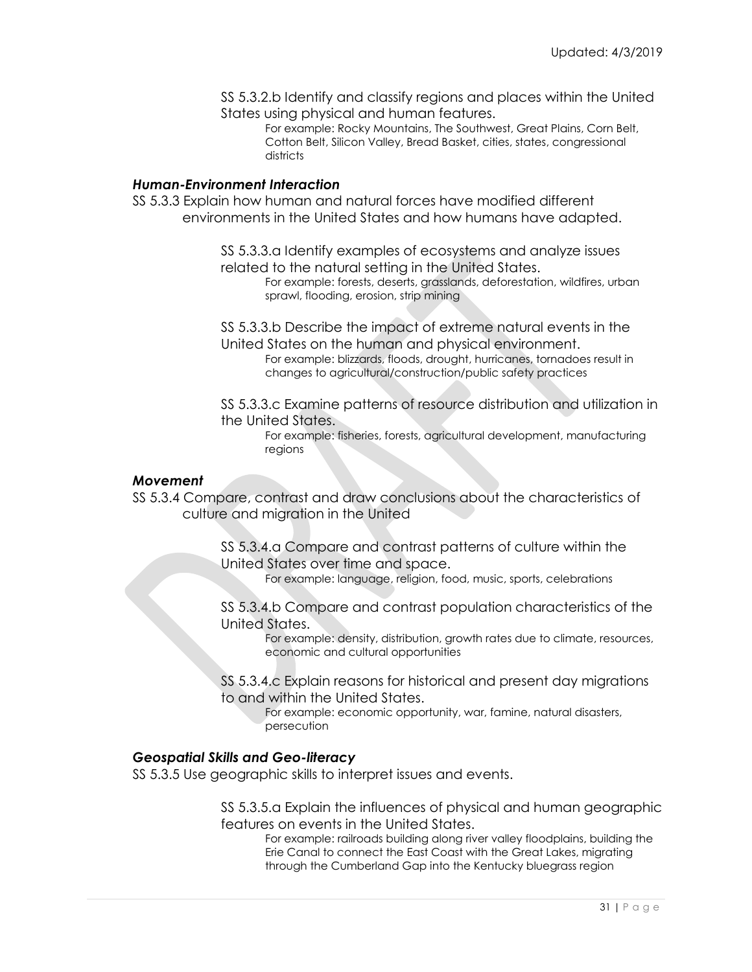SS 5.3.2.b Identify and classify regions and places within the United States using physical and human features.

For example: Rocky Mountains, The Southwest, Great Plains, Corn Belt, Cotton Belt, Silicon Valley, Bread Basket, cities, states, congressional districts

#### *Human-Environment Interaction*

SS 5.3.3 Explain how human and natural forces have modified different environments in the United States and how humans have adapted.

> SS 5.3.3.a Identify examples of ecosystems and analyze issues related to the natural setting in the United States.

For example: forests, deserts, grasslands, deforestation, wildfires, urban sprawl, flooding, erosion, strip mining

SS 5.3.3.b Describe the impact of extreme natural events in the United States on the human and physical environment.

For example: blizzards, floods, drought, hurricanes, tornadoes result in changes to agricultural/construction/public safety practices

SS 5.3.3.c Examine patterns of resource distribution and utilization in the United States.

For example: fisheries, forests, agricultural development, manufacturing regions

## *Movement*

SS 5.3.4 Compare, contrast and draw conclusions about the characteristics of culture and migration in the United

> SS 5.3.4.a Compare and contrast patterns of culture within the United States over time and space.

For example: language, religion, food, music, sports, celebrations

SS 5.3.4.b Compare and contrast population characteristics of the United States.

For example: density, distribution, growth rates due to climate, resources, economic and cultural opportunities

SS 5.3.4.c Explain reasons for historical and present day migrations to and within the United States.

For example: economic opportunity, war, famine, natural disasters, persecution

#### *Geospatial Skills and Geo-literacy*

SS 5.3.5 Use geographic skills to interpret issues and events.

SS 5.3.5.a Explain the influences of physical and human geographic features on events in the United States.

For example: railroads building along river valley floodplains, building the Erie Canal to connect the East Coast with the Great Lakes, migrating through the Cumberland Gap into the Kentucky bluegrass region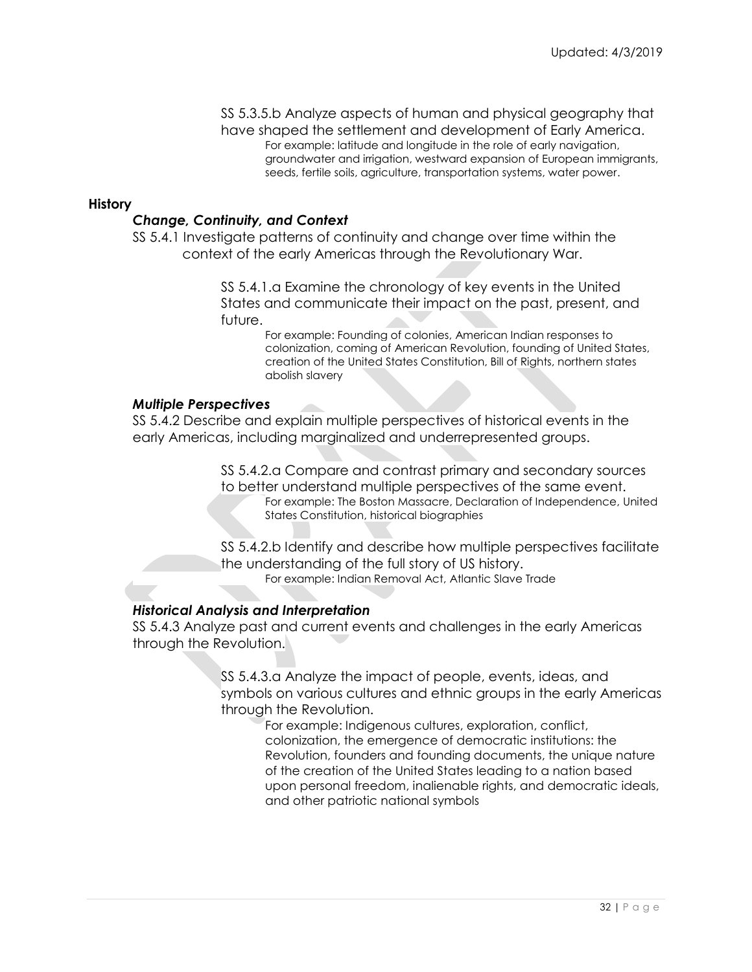#### SS 5.3.5.b Analyze aspects of human and physical geography that have shaped the settlement and development of Early America.

For example: latitude and longitude in the role of early navigation, groundwater and irrigation, westward expansion of European immigrants, seeds, fertile soils, agriculture, transportation systems, water power.

#### **History**

#### *Change, Continuity, and Context*

SS 5.4.1 Investigate patterns of continuity and change over time within the context of the early Americas through the Revolutionary War.

> SS 5.4.1.a Examine the chronology of key events in the United States and communicate their impact on the past, present, and future.

> > For example: Founding of colonies, American Indian responses to colonization, coming of American Revolution, founding of United States, creation of the United States Constitution, Bill of Rights, northern states abolish slavery

#### *Multiple Perspectives*

SS 5.4.2 Describe and explain multiple perspectives of historical events in the early Americas, including marginalized and underrepresented groups.

> SS 5.4.2.a Compare and contrast primary and secondary sources to better understand multiple perspectives of the same event. For example: The Boston Massacre, Declaration of Independence, United States Constitution, historical biographies

> SS 5.4.2.b Identify and describe how multiple perspectives facilitate the understanding of the full story of US history. For example: Indian Removal Act, Atlantic Slave Trade

#### *Historical Analysis and Interpretation*

SS 5.4.3 Analyze past and current events and challenges in the early Americas through the Revolution.

> SS 5.4.3.a Analyze the impact of people, events, ideas, and symbols on various cultures and ethnic groups in the early Americas through the Revolution.

> > For example: Indigenous cultures, exploration, conflict, colonization, the emergence of democratic institutions: the Revolution, founders and founding documents, the unique nature of the creation of the United States leading to a nation based upon personal freedom, inalienable rights, and democratic ideals, and other patriotic national symbols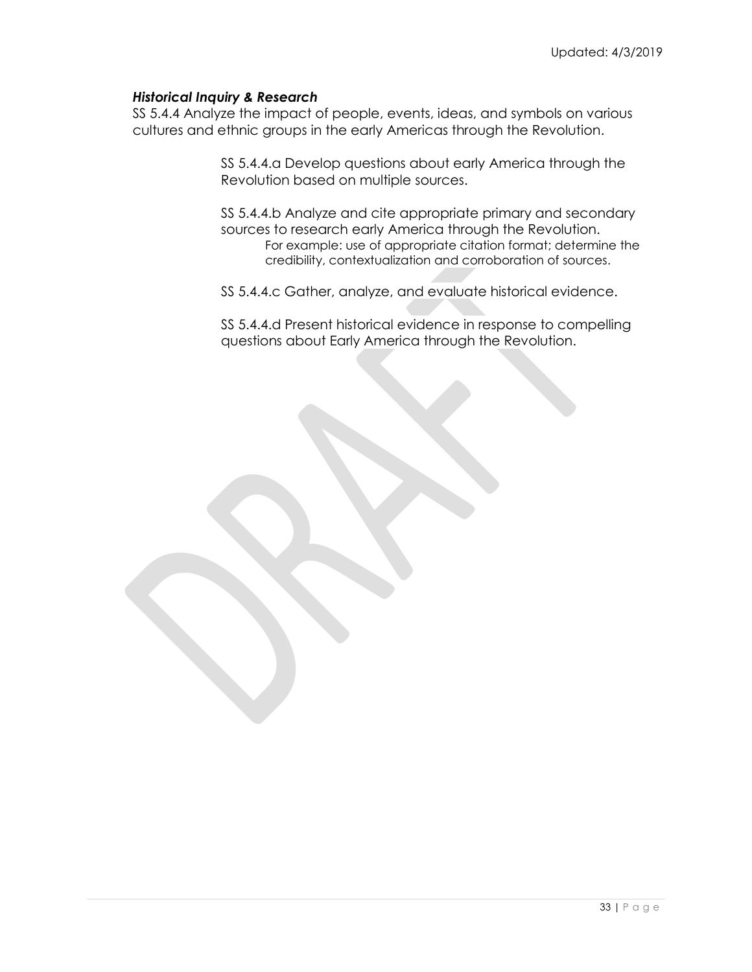## *Historical Inquiry & Research*

SS 5.4.4 Analyze the impact of people, events, ideas, and symbols on various cultures and ethnic groups in the early Americas through the Revolution.

> SS 5.4.4.a Develop questions about early America through the Revolution based on multiple sources.

SS 5.4.4.b Analyze and cite appropriate primary and secondary sources to research early America through the Revolution. For example: use of appropriate citation format; determine the credibility, contextualization and corroboration of sources.

SS 5.4.4.c Gather, analyze, and evaluate historical evidence.

SS 5.4.4.d Present historical evidence in response to compelling questions about Early America through the Revolution.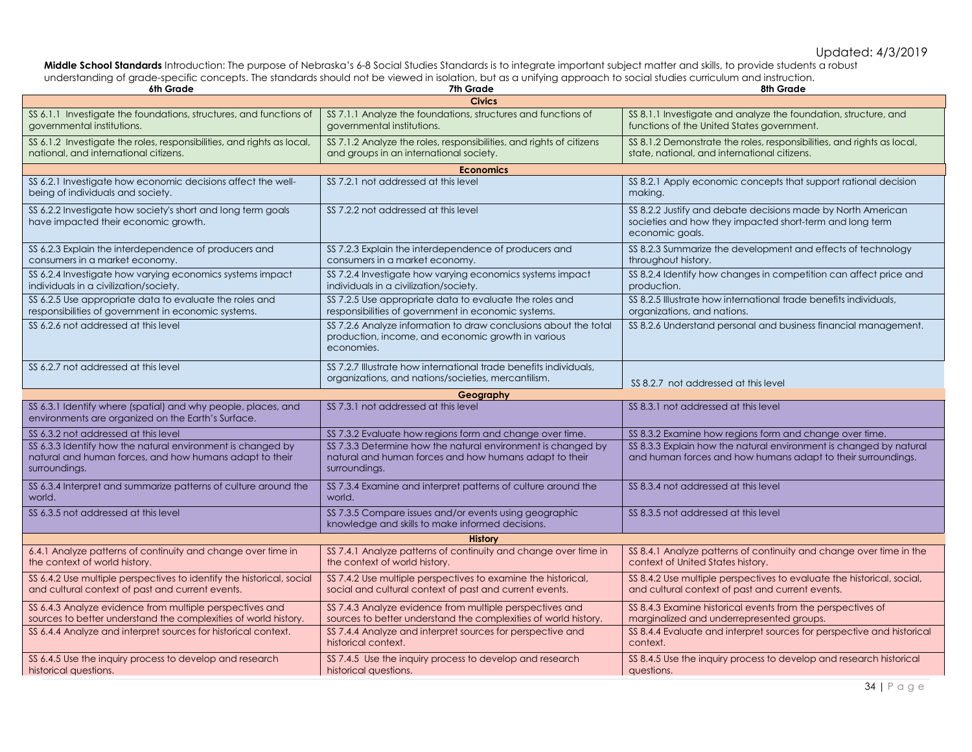**Middle School Standards** Introduction: The purpose of Nebraska's 6-8 Social Studies Standards is to integrate important subject matter and skills, to provide students a robust understanding of grade-specific concepts. The standards should not be viewed in isolation, but as a unifying approach to social studies curriculum and instruction.

| 6th Grade                                                                                                                               | 7th Grade                                                                                                                               | 8th Grade                                                                                                                                   |  |
|-----------------------------------------------------------------------------------------------------------------------------------------|-----------------------------------------------------------------------------------------------------------------------------------------|---------------------------------------------------------------------------------------------------------------------------------------------|--|
|                                                                                                                                         | <b>Civics</b>                                                                                                                           |                                                                                                                                             |  |
| SS 6.1.1 Investigate the foundations, structures, and functions of<br>governmental institutions.                                        | SS 7.1.1 Analyze the foundations, structures and functions of<br>aovernmental institutions.                                             | SS 8.1.1 Investigate and analyze the foundation, structure, and<br>functions of the United States government.                               |  |
| SS 6.1.2 Investigate the roles, responsibilities, and rights as local,<br>national, and international citizens.                         | SS 7.1.2 Analyze the roles, responsibilities, and rights of citizens<br>and groups in an international society.                         | SS 8.1.2 Demonstrate the roles, responsibilities, and rights as local,<br>state, national, and international citizens.                      |  |
| <b>Economics</b>                                                                                                                        |                                                                                                                                         |                                                                                                                                             |  |
| SS 6.2.1 Investigate how economic decisions affect the well-<br>being of individuals and society.                                       | SS 7.2.1 not addressed at this level                                                                                                    | SS 8.2.1 Apply economic concepts that support rational decision<br>makina.                                                                  |  |
| SS 6.2.2 Investigate how society's short and long term goals<br>have impacted their economic growth.                                    | SS 7.2.2 not addressed at this level                                                                                                    | SS 8.2.2 Justify and debate decisions made by North American<br>societies and how they impacted short-term and long term<br>economic goals. |  |
| SS 6.2.3 Explain the interdependence of producers and<br>consumers in a market economy.                                                 | SS 7.2.3 Explain the interdependence of producers and<br>consumers in a market economy.                                                 | SS 8.2.3 Summarize the development and effects of technology<br>throughout history.                                                         |  |
| SS 6.2.4 Investigate how varying economics systems impact<br>individuals in a civilization/society.                                     | SS 7.2.4 Investigate how varying economics systems impact<br>individuals in a civilization/society.                                     | SS 8.2.4 Identify how changes in competition can affect price and<br>production.                                                            |  |
| SS 6.2.5 Use appropriate data to evaluate the roles and<br>responsibilities of government in economic systems.                          | SS 7.2.5 Use appropriate data to evaluate the roles and<br>responsibilities of government in economic systems.                          | SS 8.2.5 Illustrate how international trade benefits individuals,<br>organizations, and nations.                                            |  |
| SS 6.2.6 not addressed at this level                                                                                                    | SS 7.2.6 Analyze information to draw conclusions about the total<br>production, income, and economic growth in various<br>economies.    | SS 8.2.6 Understand personal and business financial management.                                                                             |  |
| SS 6.2.7 not addressed at this level                                                                                                    | SS 7.2.7 Illustrate how international trade benefits individuals.<br>organizations, and nations/societies, mercantilism.                | SS 8.2.7 not addressed at this level                                                                                                        |  |
| Geography                                                                                                                               |                                                                                                                                         |                                                                                                                                             |  |
| SS 6.3.1 Identify where (spatial) and why people, places, and<br>environments are organized on the Earth's Surface.                     | SS 7.3.1 not addressed at this level                                                                                                    | SS 8.3.1 not addressed at this level                                                                                                        |  |
| SS 6.3.2 not addressed at this level                                                                                                    | SS 7.3.2 Evaluate how regions form and change over time.                                                                                | SS 8.3.2 Examine how regions form and change over time.                                                                                     |  |
| SS 6.3.3 Identify how the natural environment is changed by<br>natural and human forces, and how humans adapt to their<br>surroundings. | SS 7.3.3 Determine how the natural environment is changed by<br>natural and human forces and how humans adapt to their<br>surroundings. | SS 8.3.3 Explain how the natural environment is changed by natural<br>and human forces and how humans adapt to their surroundings.          |  |
| SS 6.3.4 Interpret and summarize patterns of culture around the<br>world.                                                               | SS 7.3.4 Examine and interpret patterns of culture around the<br>world.                                                                 | SS 8.3.4 not addressed at this level                                                                                                        |  |
| SS 6.3.5 not addressed at this level                                                                                                    | SS 7.3.5 Compare issues and/or events using geographic<br>knowledge and skills to make informed decisions.                              | SS 8.3.5 not addressed at this level                                                                                                        |  |
| <b>History</b>                                                                                                                          |                                                                                                                                         |                                                                                                                                             |  |
| 6.4.1 Analyze patterns of continuity and change over time in<br>the context of world history.                                           | SS 7.4.1 Analyze patterns of continuity and change over time in<br>the context of world history.                                        | SS 8.4.1 Analyze patterns of continuity and change over time in the<br>context of United States history.                                    |  |
| SS 6.4.2 Use multiple perspectives to identify the historical, social<br>and cultural context of past and current events.               | SS 7.4.2 Use multiple perspectives to examine the historical,<br>social and cultural context of past and current events.                | SS 8.4.2 Use multiple perspectives to evaluate the historical, social,<br>and cultural context of past and current events.                  |  |
| SS 6.4.3 Analyze evidence from multiple perspectives and<br>sources to better understand the complexities of world history.             | SS 7.4.3 Analyze evidence from multiple perspectives and<br>sources to better understand the complexities of world history.             | SS 8.4.3 Examine historical events from the perspectives of<br>marginalized and underrepresented groups.                                    |  |
| SS 6.4.4 Analyze and interpret sources for historical context.                                                                          | SS 7.4.4 Analyze and interpret sources for perspective and<br>historical context.                                                       | SS 8.4.4 Evaluate and interpret sources for perspective and historical<br>context.                                                          |  |
| SS 6.4.5 Use the inquiry process to develop and research<br>historical questions.                                                       | SS 7.4.5 Use the inquiry process to develop and research<br>historical questions.                                                       | SS 8.4.5 Use the inquiry process to develop and research historical<br>questions.                                                           |  |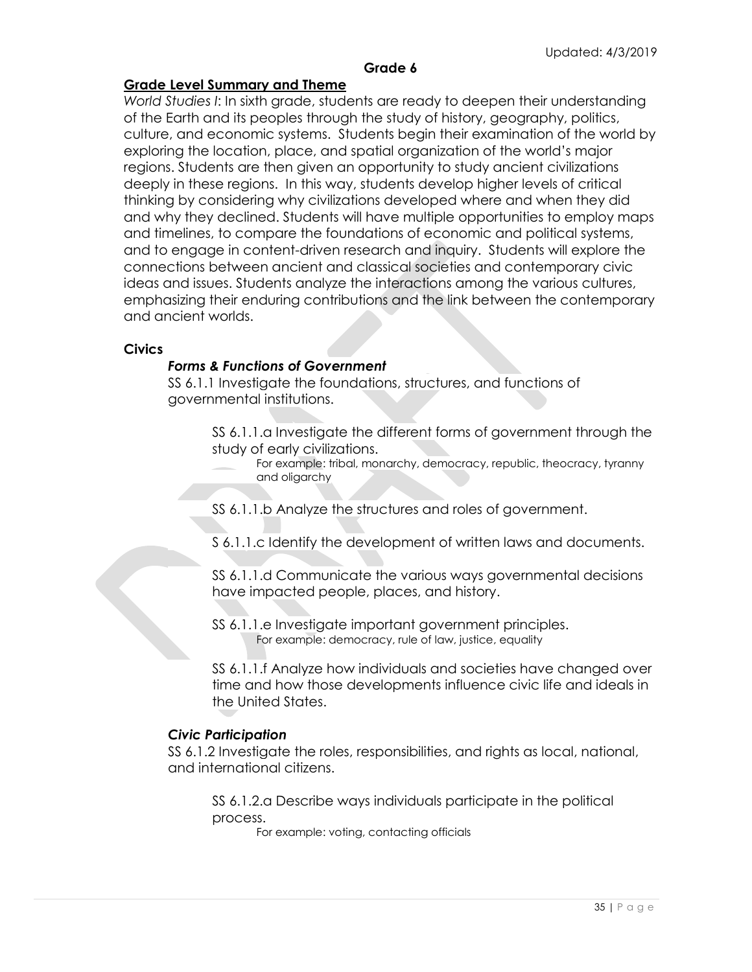## **Grade 6**

## **Grade Level Summary and Theme**

*World Studies I*: In sixth grade, students are ready to deepen their understanding of the Earth and its peoples through the study of history, geography, politics, culture, and economic systems. Students begin their examination of the world by exploring the location, place, and spatial organization of the world's major regions. Students are then given an opportunity to study ancient civilizations deeply in these regions. In this way, students develop higher levels of critical thinking by considering why civilizations developed where and when they did and why they declined. Students will have multiple opportunities to employ maps and timelines, to compare the foundations of economic and political systems, and to engage in content-driven research and inquiry. Students will explore the connections between ancient and classical societies and contemporary civic ideas and issues. Students analyze the interactions among the various cultures, emphasizing their enduring contributions and the link between the contemporary and ancient worlds.

#### **Civics**

## *Forms & Functions of Government*

SS 6.1.1 Investigate the foundations, structures, and functions of governmental institutions.

- SS 6.1.1.a Investigate the different forms of government through the study of early civilizations.
	- For example: tribal, monarchy, democracy, republic, theocracy, tyranny and oligarchy
- SS 6.1.1.b Analyze the structures and roles of government.
- S 6.1.1.c Identify the development of written laws and documents.
- SS 6.1.1.d Communicate the various ways governmental decisions have impacted people, places, and history.
- SS 6.1.1.e Investigate important government principles. For example: democracy, rule of law, justice, equality

SS 6.1.1.f Analyze how individuals and societies have changed over time and how those developments influence civic life and ideals in the United States.

#### *Civic Participation*

SS 6.1.2 Investigate the roles, responsibilities, and rights as local, national, and international citizens.

SS 6.1.2.a Describe ways individuals participate in the political process.

For example: voting, contacting officials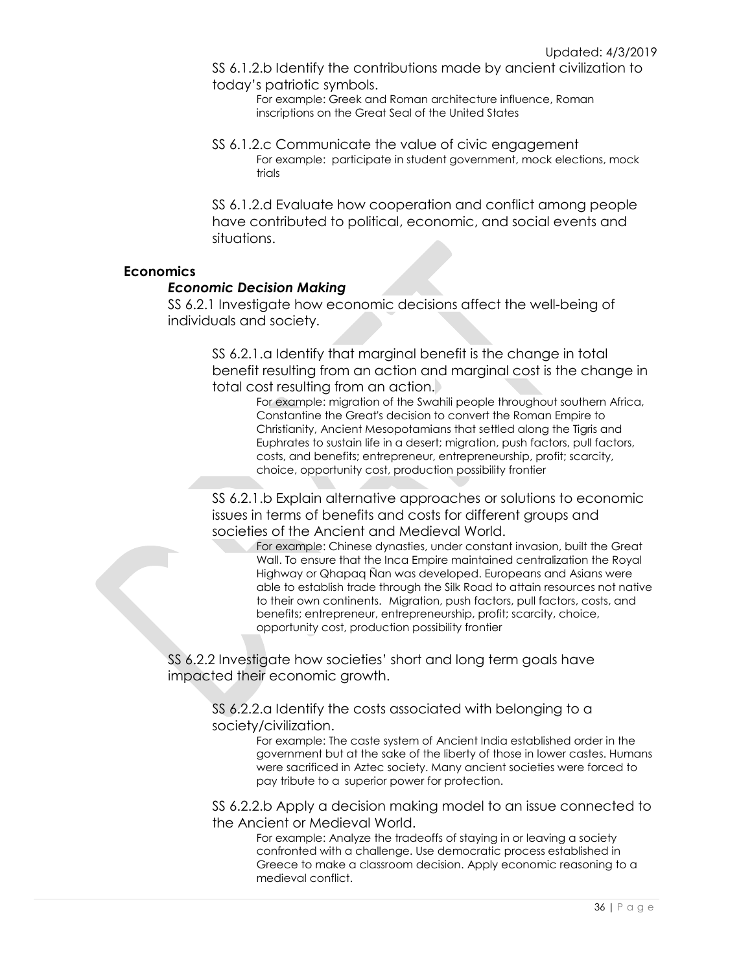SS 6.1.2.b Identify the contributions made by ancient civilization to today's patriotic symbols.

For example: Greek and Roman architecture influence, Roman inscriptions on the Great Seal of the United States

SS 6.1.2.c Communicate the value of civic engagement For example: participate in student government, mock elections, mock trials

SS 6.1.2.d Evaluate how cooperation and conflict among people have contributed to political, economic, and social events and situations.

## **Economics**

#### *Economic Decision Making*

SS 6.2.1 Investigate how economic decisions affect the well-being of individuals and society.

SS 6.2.1.a Identify that marginal benefit is the change in total benefit resulting from an action and marginal cost is the change in total cost resulting from an action.

For example: migration of the Swahili people throughout southern Africa, Constantine the Great's decision to convert the Roman Empire to Christianity, Ancient Mesopotamians that settled along the Tigris and Euphrates to sustain life in a desert; migration, push factors, pull factors, costs, and benefits; entrepreneur, entrepreneurship, profit; scarcity, choice, opportunity cost, production possibility frontier

SS 6.2.1.b Explain alternative approaches or solutions to economic issues in terms of benefits and costs for different groups and societies of the Ancient and Medieval World.

For example: Chinese dynasties, under constant invasion, built the Great Wall. To ensure that the Inca Empire maintained centralization the Royal Highway or Qhapaq Ñan was developed. Europeans and Asians were able to establish trade through the Silk Road to attain resources not native to their own continents. Migration, push factors, pull factors, costs, and benefits; entrepreneur, entrepreneurship, profit; scarcity, choice, opportunity cost, production possibility frontier

SS 6.2.2 Investigate how societies' short and long term goals have impacted their economic growth.

> SS 6.2.2.a Identify the costs associated with belonging to a society/civilization.

> > For example: The caste system of Ancient India established order in the government but at the sake of the liberty of those in lower castes. Humans were sacrificed in Aztec society. Many ancient societies were forced to pay tribute to a superior power for protection.

SS 6.2.2.b Apply a decision making model to an issue connected to the Ancient or Medieval World.

> For example: Analyze the tradeoffs of staying in or leaving a society confronted with a challenge. Use democratic process established in Greece to make a classroom decision. Apply economic reasoning to a medieval conflict.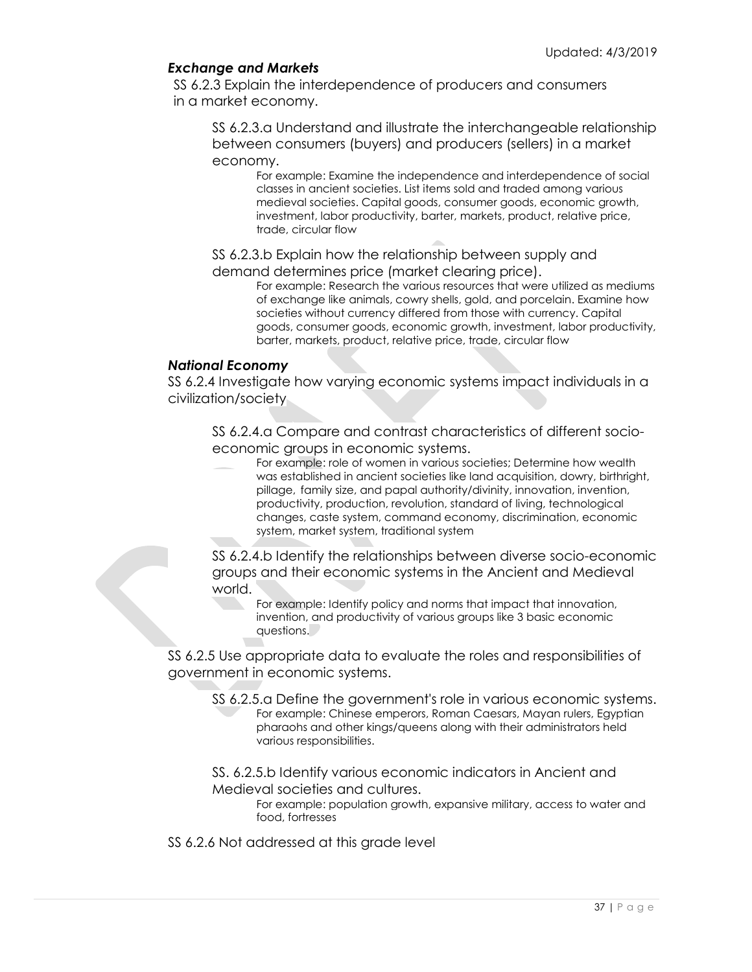## *Exchange and Markets*

SS 6.2.3 Explain the interdependence of producers and consumers in a market economy.

SS 6.2.3.a Understand and illustrate the interchangeable relationship between consumers (buyers) and producers (sellers) in a market economy.

For example: Examine the independence and interdependence of social classes in ancient societies. List items sold and traded among various medieval societies. Capital goods, consumer goods, economic growth, investment, labor productivity, barter, markets, product, relative price, trade, circular flow

SS 6.2.3.b Explain how the relationship between supply and demand determines price (market clearing price).

For example: Research the various resources that were utilized as mediums of exchange like animals, cowry shells, gold, and porcelain. Examine how societies without currency differed from those with currency. Capital goods, consumer goods, economic growth, investment, labor productivity, barter, markets, product, relative price, trade, circular flow

#### *National Economy*

SS 6.2.4 Investigate how varying economic systems impact individuals in a civilization/society

SS 6.2.4.a Compare and contrast characteristics of different socioeconomic groups in economic systems.

For example: role of women in various societies; Determine how wealth was established in ancient societies like land acquisition, dowry, birthright, pillage, family size, and papal authority/divinity, innovation, invention, productivity, production, revolution, standard of living, technological changes, caste system, command economy, discrimination, economic system, market system, traditional system

SS 6.2.4.b Identify the relationships between diverse socio-economic groups and their economic systems in the Ancient and Medieval world.

For example: Identify policy and norms that impact that innovation, invention, and productivity of various groups like 3 basic economic questions.

SS 6.2.5 Use appropriate data to evaluate the roles and responsibilities of government in economic systems.

SS 6.2.5.a Define the government's role in various economic systems. For example: Chinese emperors, Roman Caesars, Mayan rulers, Egyptian pharaohs and other kings/queens along with their administrators held various responsibilities.

SS. 6.2.5.b Identify various economic indicators in Ancient and Medieval societies and cultures.

For example: population growth, expansive military, access to water and food, fortresses

SS 6.2.6 Not addressed at this grade level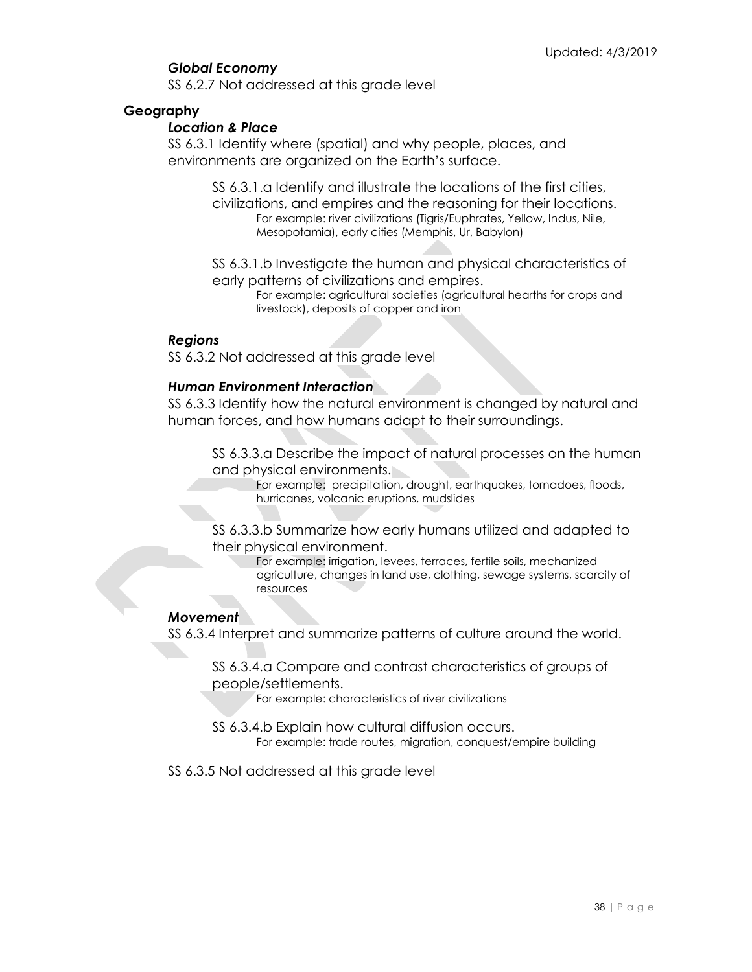## *Global Economy*

SS 6.2.7 Not addressed at this grade level

## **Geography**

## *Location & Place*

SS 6.3.1 Identify where (spatial) and why people, places, and environments are organized on the Earth's surface.

> SS 6.3.1.a Identify and illustrate the locations of the first cities, civilizations, and empires and the reasoning for their locations. For example: river civilizations (Tigris/Euphrates, Yellow, Indus, Nile, Mesopotamia), early cities (Memphis, Ur, Babylon)

SS 6.3.1.b Investigate the human and physical characteristics of early patterns of civilizations and empires.

For example: agricultural societies (agricultural hearths for crops and livestock), deposits of copper and iron

## *Regions*

SS 6.3.2 Not addressed at this grade level

## *Human Environment Interaction*

SS 6.3.3 Identify how the natural environment is changed by natural and human forces, and how humans adapt to their surroundings.

SS 6.3.3.a Describe the impact of natural processes on the human and physical environments.

For example: precipitation, drought, earthquakes, tornadoes, floods, hurricanes, volcanic eruptions, mudslides

SS 6.3.3.b Summarize how early humans utilized and adapted to their physical environment.

For example: irrigation, levees, terraces, fertile soils, mechanized agriculture, changes in land use, clothing, sewage systems, scarcity of resources

## *Movement*

SS 6.3.4 Interpret and summarize patterns of culture around the world.

SS 6.3.4.a Compare and contrast characteristics of groups of people/settlements.

For example: characteristics of river civilizations

SS 6.3.4.b Explain how cultural diffusion occurs. For example: trade routes, migration, conquest/empire building

SS 6.3.5 Not addressed at this grade level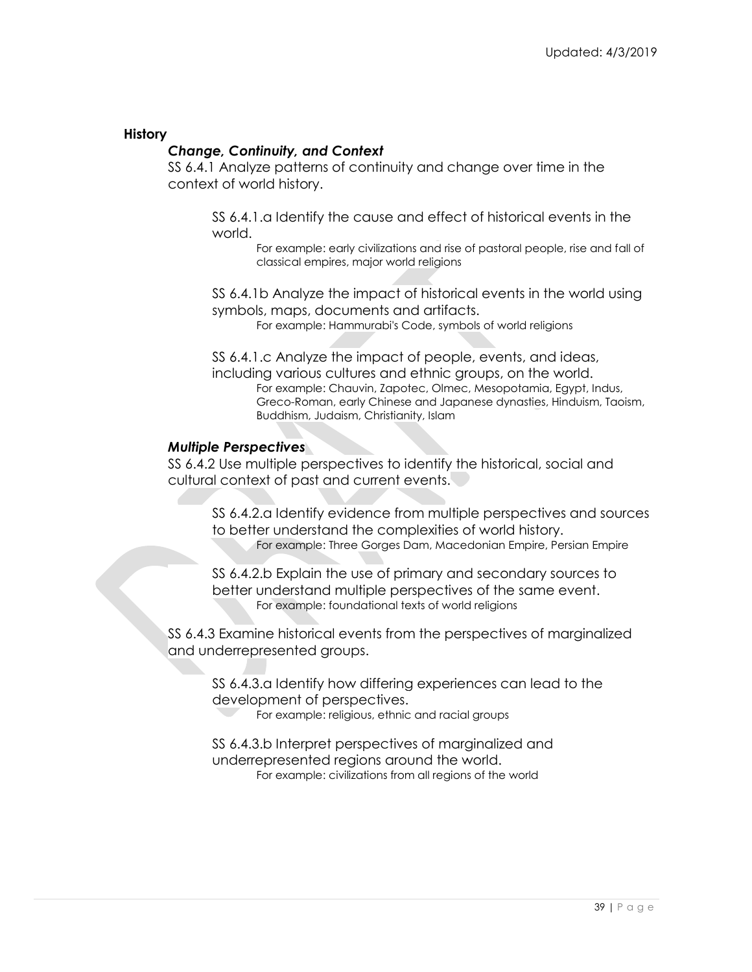## **History**

## *Change, Continuity, and Context*

SS 6.4.1 Analyze patterns of continuity and change over time in the context of world history.

SS 6.4.1.a Identify the cause and effect of historical events in the world.

For example: early civilizations and rise of pastoral people, rise and fall of classical empires, major world religions

SS 6.4.1b Analyze the impact of historical events in the world using symbols, maps, documents and artifacts.

For example: Hammurabi's Code, symbols of world religions

SS 6.4.1.c Analyze the impact of people, events, and ideas, including various cultures and ethnic groups, on the world. For example: Chauvin, Zapotec, Olmec, Mesopotamia, Egypt, Indus, Greco-Roman, early Chinese and Japanese dynasties, Hinduism, Taoism, Buddhism, Judaism, Christianity, Islam

#### *Multiple Perspectives*

SS 6.4.2 Use multiple perspectives to identify the historical, social and cultural context of past and current events.

SS 6.4.2.a Identify evidence from multiple perspectives and sources to better understand the complexities of world history. For example: Three Gorges Dam, Macedonian Empire, Persian Empire

SS 6.4.2.b Explain the use of primary and secondary sources to better understand multiple perspectives of the same event. For example: foundational texts of world religions

SS 6.4.3 Examine historical events from the perspectives of marginalized and underrepresented groups.

SS 6.4.3.a Identify how differing experiences can lead to the development of perspectives.

For example: religious, ethnic and racial groups

SS 6.4.3.b Interpret perspectives of marginalized and underrepresented regions around the world. For example: civilizations from all regions of the world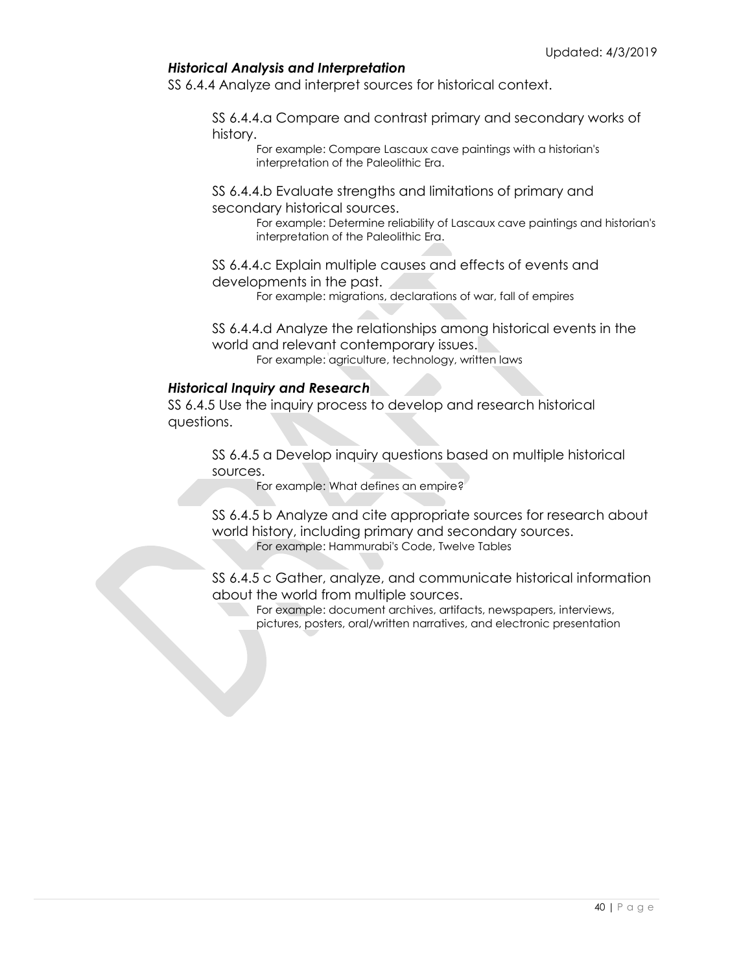## *Historical Analysis and Interpretation*

SS 6.4.4 Analyze and interpret sources for historical context.

SS 6.4.4.a Compare and contrast primary and secondary works of history.

> For example: Compare Lascaux cave paintings with a historian's interpretation of the Paleolithic Era.

SS 6.4.4.b Evaluate strengths and limitations of primary and secondary historical sources.

> For example: Determine reliability of Lascaux cave paintings and historian's interpretation of the Paleolithic Era.

SS 6.4.4.c Explain multiple causes and effects of events and developments in the past.

For example: migrations, declarations of war, fall of empires

SS 6.4.4.d Analyze the relationships among historical events in the world and relevant contemporary issues. For example: agriculture, technology, written laws

#### *Historical Inquiry and Research*

SS 6.4.5 Use the inquiry process to develop and research historical questions.

SS 6.4.5 a Develop inquiry questions based on multiple historical sources.

For example: What defines an empire?

SS 6.4.5 b Analyze and cite appropriate sources for research about world history, including primary and secondary sources. For example: Hammurabi's Code, Twelve Tables

SS 6.4.5 c Gather, analyze, and communicate historical information about the world from multiple sources.

> For example: document archives, artifacts, newspapers, interviews, pictures, posters, oral/written narratives, and electronic presentation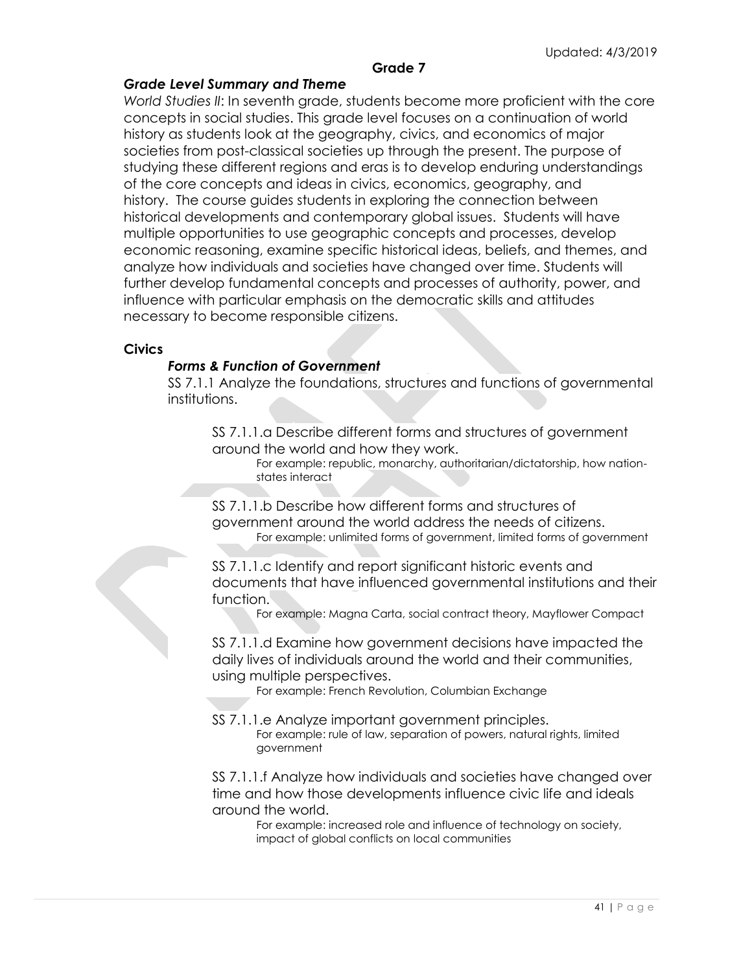## **Grade 7**

## *Grade Level Summary and Theme*

*World Studies II*: In seventh grade, students become more proficient with the core concepts in social studies. This grade level focuses on a continuation of world history as students look at the geography, civics, and economics of major societies from post-classical societies up through the present. The purpose of studying these different regions and eras is to develop enduring understandings of the core concepts and ideas in civics, economics, geography, and history. The course guides students in exploring the connection between historical developments and contemporary global issues. Students will have multiple opportunities to use geographic concepts and processes, develop economic reasoning, examine specific historical ideas, beliefs, and themes, and analyze how individuals and societies have changed over time. Students will further develop fundamental concepts and processes of authority, power, and influence with particular emphasis on the democratic skills and attitudes necessary to become responsible citizens.

#### **Civics**

#### *Forms & Function of Government*

SS 7.1.1 Analyze the foundations, structures and functions of governmental institutions.

SS 7.1.1.a Describe different forms and structures of government around the world and how they work.

For example: republic, monarchy, authoritarian/dictatorship, how nationstates interact

SS 7.1.1.b Describe how different forms and structures of government around the world address the needs of citizens. For example: unlimited forms of government, limited forms of government

SS 7.1.1.c Identify and report significant historic events and documents that have influenced governmental institutions and their function.

For example: Magna Carta, social contract theory, Mayflower Compact

SS 7.1.1.d Examine how government decisions have impacted the daily lives of individuals around the world and their communities, using multiple perspectives.

For example: French Revolution, Columbian Exchange

SS 7.1.1.e Analyze important government principles. For example: rule of law, separation of powers, natural rights, limited government

SS 7.1.1.f Analyze how individuals and societies have changed over time and how those developments influence civic life and ideals around the world.

For example: increased role and influence of technology on society, impact of global conflicts on local communities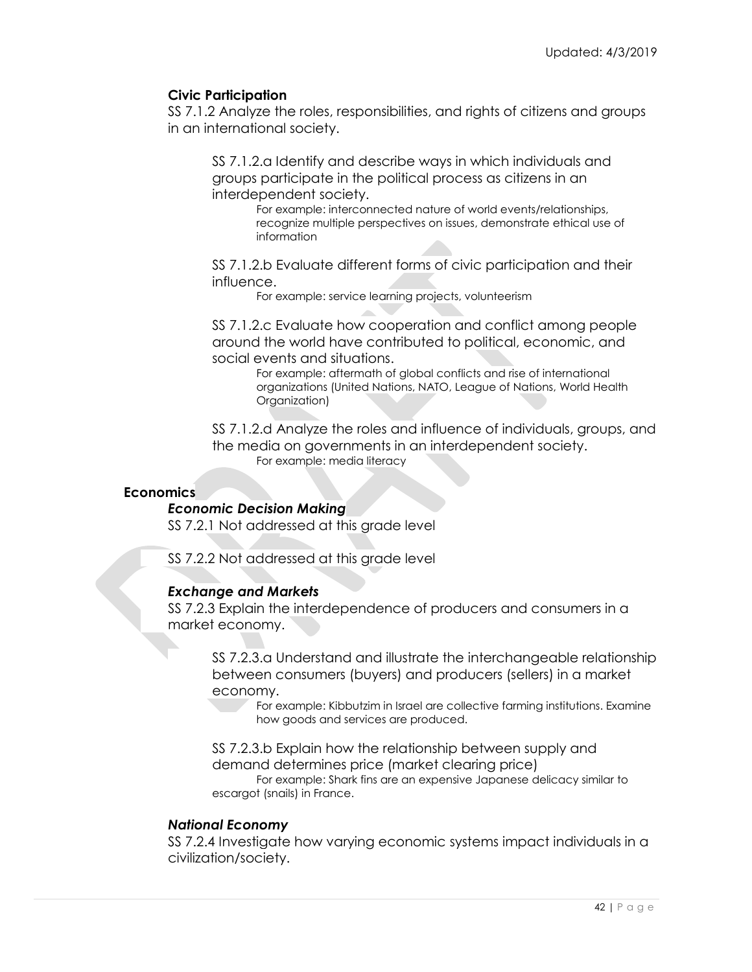## **Civic Participation**

SS 7.1.2 Analyze the roles, responsibilities, and rights of citizens and groups in an international society.

SS 7.1.2.a Identify and describe ways in which individuals and groups participate in the political process as citizens in an interdependent society.

For example: interconnected nature of world events/relationships, recognize multiple perspectives on issues, demonstrate ethical use of information

SS 7.1.2.b Evaluate different forms of civic participation and their influence.

For example: service learning projects, volunteerism

SS 7.1.2.c Evaluate how cooperation and conflict among people around the world have contributed to political, economic, and social events and situations.

For example: aftermath of global conflicts and rise of international organizations (United Nations, NATO, League of Nations, World Health Organization)

SS 7.1.2.d Analyze the roles and influence of individuals, groups, and the media on governments in an interdependent society. For example: media literacy

## **Economics**

## *Economic Decision Making*

SS 7.2.1 Not addressed at this grade level

SS 7.2.2 Not addressed at this grade level

## *Exchange and Markets*

SS 7.2.3 Explain the interdependence of producers and consumers in a market economy.

SS 7.2.3.a Understand and illustrate the interchangeable relationship between consumers (buyers) and producers (sellers) in a market economy.

For example: Kibbutzim in Israel are collective farming institutions. Examine how goods and services are produced.

SS 7.2.3.b Explain how the relationship between supply and demand determines price (market clearing price)

For example: Shark fins are an expensive Japanese delicacy similar to escargot (snails) in France.

## *National Economy*

SS 7.2.4 Investigate how varying economic systems impact individuals in a civilization/society.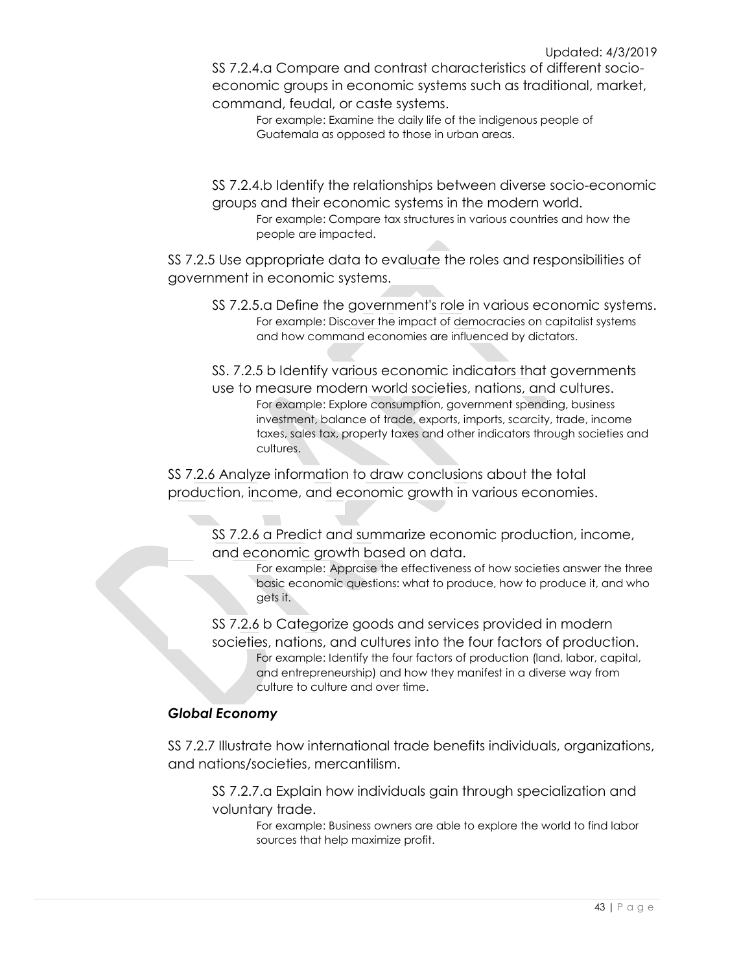SS 7.2.4.a Compare and contrast characteristics of different socioeconomic groups in economic systems such as traditional, market, command, feudal, or caste systems.

> For example: Examine the daily life of the indigenous people of Guatemala as opposed to those in urban areas.

SS 7.2.4.b Identify the relationships between diverse socio-economic groups and their economic systems in the modern world.

For example: Compare tax structures in various countries and how the people are impacted.

SS 7.2.5 Use appropriate data to evaluate the roles and responsibilities of government in economic systems.

SS 7.2.5.a Define the government's role in various economic systems. For example: Discover the impact of democracies on capitalist systems and how command economies are influenced by dictators.

SS. 7.2.5 b Identify various economic indicators that governments use to measure modern world societies, nations, and cultures. For example: Explore consumption, government spending, business investment, balance of trade, exports, imports, scarcity, trade, income taxes, sales tax, property taxes and other indicators through societies and cultures.

SS 7.2.6 Analyze information to draw conclusions about the total production, income, and economic growth in various economies.

SS 7.2.6 a Predict and summarize economic production, income, and economic growth based on data.

For example: Appraise the effectiveness of how societies answer the three basic economic questions: what to produce, how to produce it, and who gets it.

SS 7.2.6 b Categorize goods and services provided in modern societies, nations, and cultures into the four factors of production. For example: Identify the four factors of production (land, labor, capital, and entrepreneurship) and how they manifest in a diverse way from culture to culture and over time.

## *Global Economy*

SS 7.2.7 Illustrate how international trade benefits individuals, organizations, and nations/societies, mercantilism.

SS 7.2.7.a Explain how individuals gain through specialization and voluntary trade.

For example: Business owners are able to explore the world to find labor sources that help maximize profit.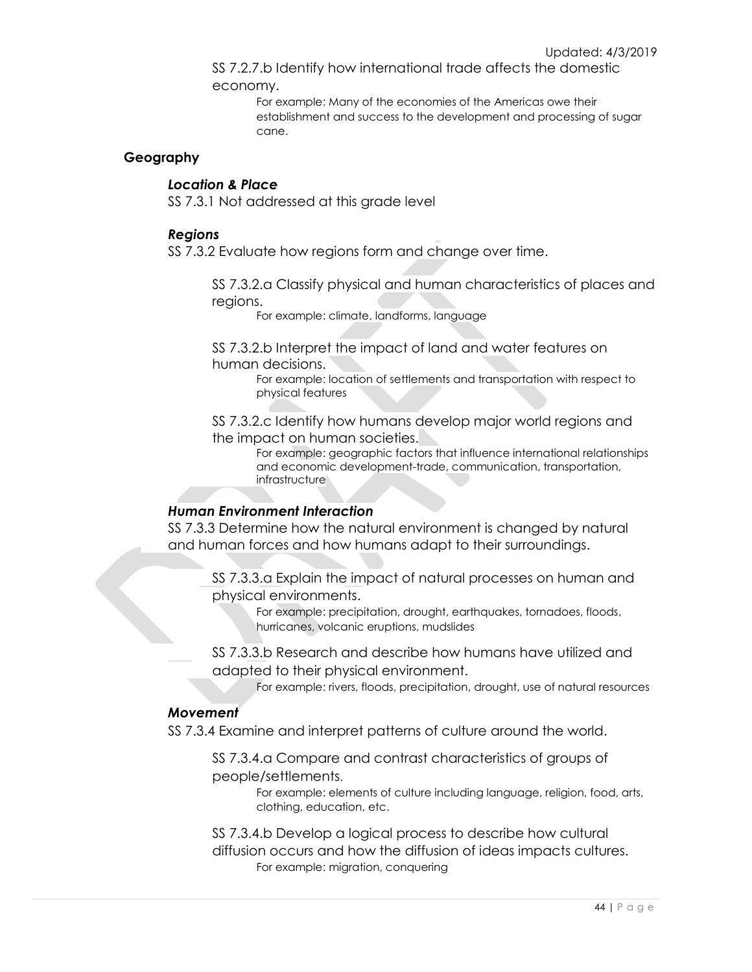SS 7.2.7.b Identify how international trade affects the domestic economy.

> For example: Many of the economies of the Americas owe their establishment and success to the development and processing of sugar cane.

## **Geography**

## *Location & Place*

SS 7.3.1 Not addressed at this grade level

#### *Regions*

SS 7.3.2 Evaluate how regions form and change over time.

SS 7.3.2.a Classify physical and human characteristics of places and regions.

For example: climate, landforms, language

SS 7.3.2.b Interpret the impact of land and water features on human decisions.

> For example: location of settlements and transportation with respect to physical features

SS 7.3.2.c Identify how humans develop major world regions and the impact on human societies.

For example: geographic factors that influence international relationships and economic development-trade, communication, transportation, infrastructure

#### *Human Environment Interaction*

SS 7.3.3 Determine how the natural environment is changed by natural and human forces and how humans adapt to their surroundings.

SS 7.3.3.a Explain the impact of natural processes on human and physical environments.

> For example: precipitation, drought, earthquakes, tornadoes, floods, hurricanes, volcanic eruptions, mudslides

SS 7.3.3.b Research and describe how humans have utilized and adapted to their physical environment.

For example: rivers, floods, precipitation, drought, use of natural resources

## *Movement*

SS 7.3.4 Examine and interpret patterns of culture around the world.

SS 7.3.4.a Compare and contrast characteristics of groups of people/settlements.

> For example: elements of culture including language, religion, food, arts, clothing, education, etc.

SS 7.3.4.b Develop a logical process to describe how cultural diffusion occurs and how the diffusion of ideas impacts cultures. For example: migration, conquering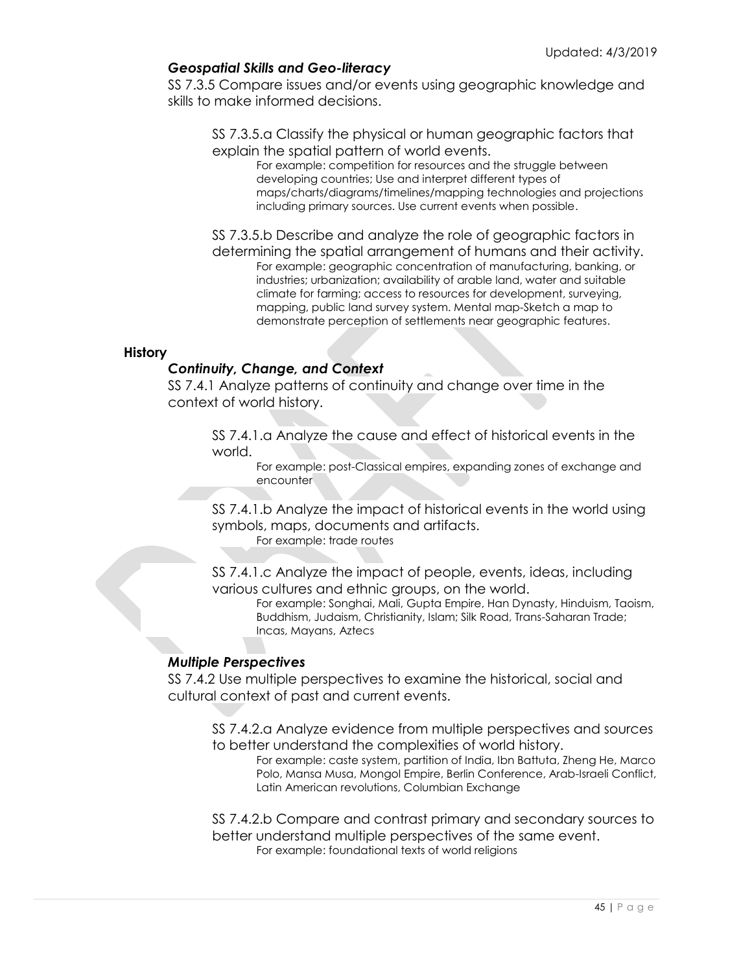## *Geospatial Skills and Geo-literacy*

SS 7.3.5 Compare issues and/or events using geographic knowledge and skills to make informed decisions.

SS 7.3.5.a Classify the physical or human geographic factors that explain the spatial pattern of world events.

For example: competition for resources and the struggle between developing countries; Use and interpret different types of maps/charts/diagrams/timelines/mapping technologies and projections including primary sources. Use current events when possible.

SS 7.3.5.b Describe and analyze the role of geographic factors in determining the spatial arrangement of humans and their activity.

For example: geographic concentration of manufacturing, banking, or industries; urbanization; availability of arable land, water and suitable climate for farming; access to resources for development, surveying, mapping, public land survey system. Mental map-Sketch a map to demonstrate perception of settlements near geographic features.

#### **History**

## *Continuity, Change, and Context*

SS 7.4.1 Analyze patterns of continuity and change over time in the context of world history.

SS 7.4.1.a Analyze the cause and effect of historical events in the world.

For example: post-Classical empires, expanding zones of exchange and encounter

SS 7.4.1.b Analyze the impact of historical events in the world using symbols, maps, documents and artifacts.

For example: trade routes

SS 7.4.1.c Analyze the impact of people, events, ideas, including various cultures and ethnic groups, on the world.

For example: Songhai, Mali, Gupta Empire, Han Dynasty, Hinduism, Taoism, Buddhism, Judaism, Christianity, Islam; Silk Road, Trans-Saharan Trade; Incas, Mayans, Aztecs

## *Multiple Perspectives*

SS 7.4.2 Use multiple perspectives to examine the historical, social and cultural context of past and current events.

SS 7.4.2.a Analyze evidence from multiple perspectives and sources to better understand the complexities of world history.

For example: caste system, partition of India, Ibn Battuta, Zheng He, Marco Polo, Mansa Musa, Mongol Empire, Berlin Conference, Arab-Israeli Conflict, Latin American revolutions, Columbian Exchange

SS 7.4.2.b Compare and contrast primary and secondary sources to better understand multiple perspectives of the same event. For example: foundational texts of world religions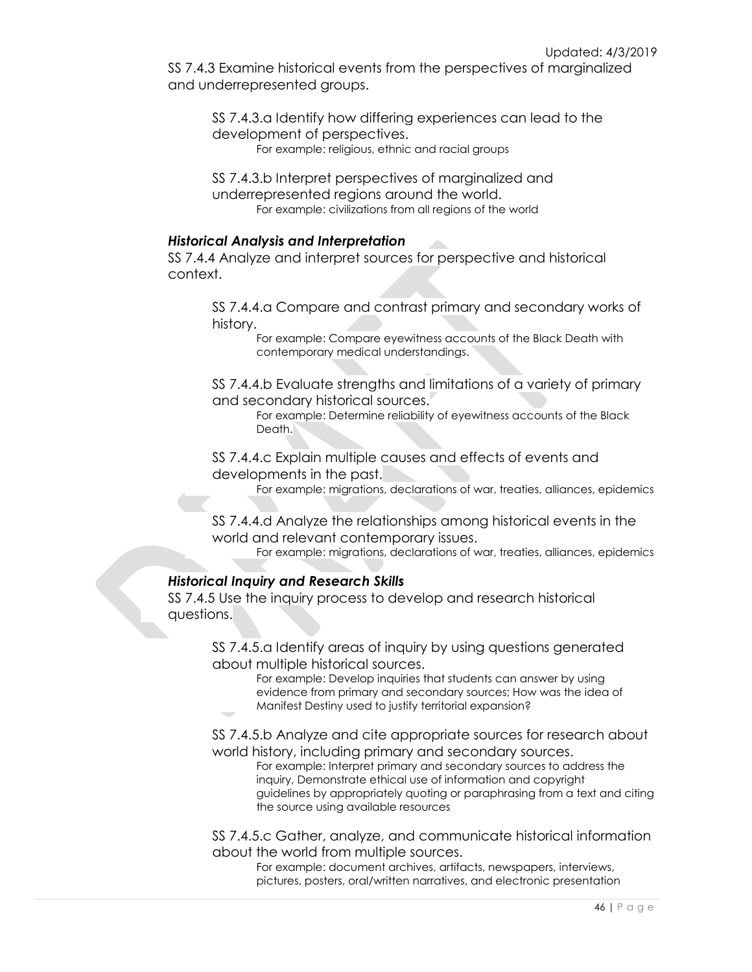SS 7.4.3 Examine historical events from the perspectives of marginalized and underrepresented groups.

SS 7.4.3.a Identify how differing experiences can lead to the development of perspectives. For example: religious, ethnic and racial groups

SS 7.4.3.b Interpret perspectives of marginalized and underrepresented regions around the world. For example: civilizations from all regions of the world

## *Historical Analysis and Interpretation*

SS 7.4.4 Analyze and interpret sources for perspective and historical context.

SS 7.4.4.a Compare and contrast primary and secondary works of history.

For example: Compare eyewitness accounts of the Black Death with contemporary medical understandings.

SS 7.4.4.b Evaluate strengths and limitations of a variety of primary and secondary historical sources.

For example: Determine reliability of eyewitness accounts of the Black Death<sup>1</sup>

SS 7.4.4.c Explain multiple causes and effects of events and developments in the past.

For example: migrations, declarations of war, treaties, alliances, epidemics

SS 7.4.4.d Analyze the relationships among historical events in the world and relevant contemporary issues.

For example: migrations, declarations of war, treaties, alliances, epidemics

## *Historical Inquiry and Research Skills*

SS 7.4.5 Use the inquiry process to develop and research historical questions.

> SS 7.4.5.a Identify areas of inquiry by using questions generated about multiple historical sources.

For example: Develop inquiries that students can answer by using evidence from primary and secondary sources; How was the idea of Manifest Destiny used to justify territorial expansion?

SS 7.4.5.b Analyze and cite appropriate sources for research about world history, including primary and secondary sources.

For example: Interpret primary and secondary sources to address the inquiry, Demonstrate ethical use of information and copyright guidelines by appropriately quoting or paraphrasing from a text and citing the source using available resources

SS 7.4.5.c Gather, analyze, and communicate historical information about the world from multiple sources.

For example: document archives, artifacts, newspapers, interviews, pictures, posters, oral/written narratives, and electronic presentation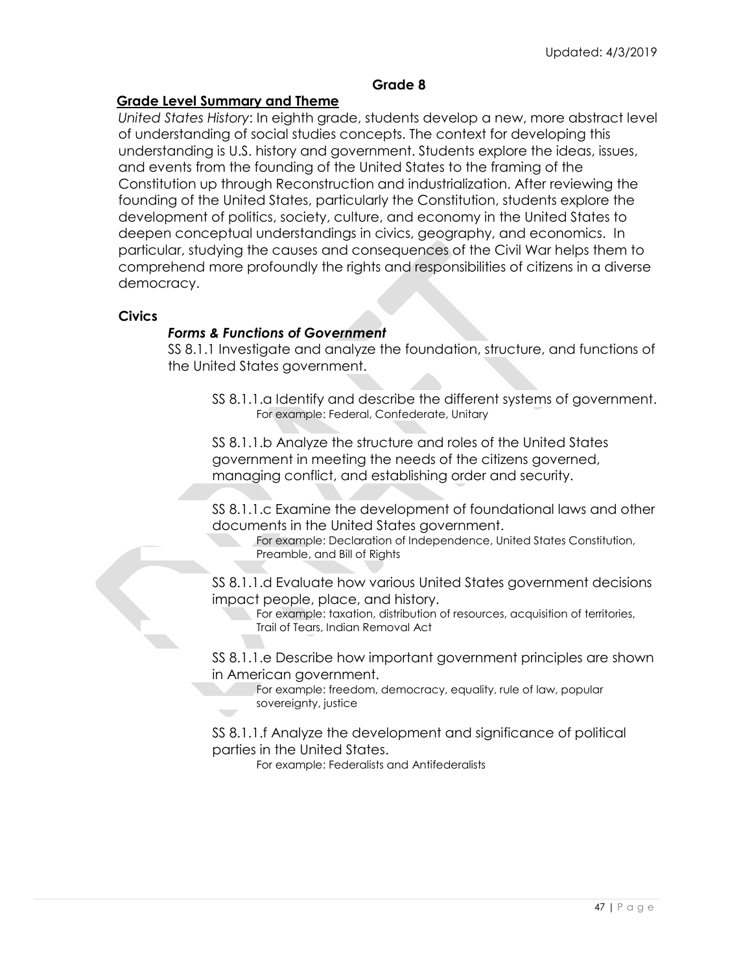## **Grade 8**

## **Grade Level Summary and Theme**

*United States History*: In eighth grade, students develop a new, more abstract level of understanding of social studies concepts. The context for developing this understanding is U.S. history and government. Students explore the ideas, issues, and events from the founding of the United States to the framing of the Constitution up through Reconstruction and industrialization. After reviewing the founding of the United States, particularly the Constitution, students explore the development of politics, society, culture, and economy in the United States to deepen conceptual understandings in civics, geography, and economics. In particular, studying the causes and consequences of the Civil War helps them to comprehend more profoundly the rights and responsibilities of citizens in a diverse democracy.

## **Civics**

## *Forms & Functions of Government*

SS 8.1.1 Investigate and analyze the foundation, structure, and functions of the United States government.

SS 8.1.1.a Identify and describe the different systems of government. For example: Federal, Confederate, Unitary

SS 8.1.1.b Analyze the structure and roles of the United States government in meeting the needs of the citizens governed, managing conflict, and establishing order and security.

SS 8.1.1.c Examine the development of foundational laws and other documents in the United States government.

For example: Declaration of Independence, United States Constitution, Preamble, and Bill of Rights

SS 8.1.1.d Evaluate how various United States government decisions impact people, place, and history.

For example: taxation, distribution of resources, acquisition of territories, Trail of Tears, Indian Removal Act

SS 8.1.1.e Describe how important government principles are shown in American government.

For example: freedom, democracy, equality, rule of law, popular sovereignty, justice

SS 8.1.1.f Analyze the development and significance of political parties in the United States.

For example: Federalists and Antifederalists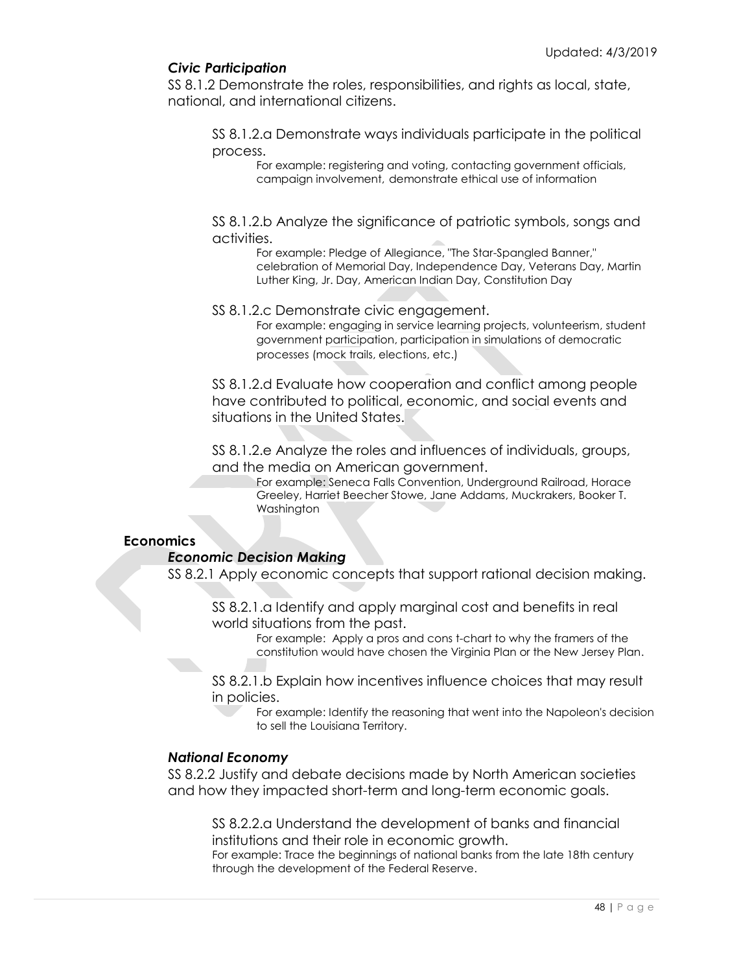## *Civic Participation*

SS 8.1.2 Demonstrate the roles, responsibilities, and rights as local, state, national, and international citizens.

SS 8.1.2.a Demonstrate ways individuals participate in the political process.

For example: registering and voting, contacting government officials, campaign involvement, demonstrate ethical use of information

SS 8.1.2.b Analyze the significance of patriotic symbols, songs and activities.

For example: Pledge of Allegiance, "The Star-Spangled Banner," celebration of Memorial Day, Independence Day, Veterans Day, Martin Luther King, Jr. Day, American Indian Day, Constitution Day

## SS 8.1.2.c Demonstrate civic engagement.

For example: engaging in service learning projects, volunteerism, student government participation, participation in simulations of democratic processes (mock trails, elections, etc.)

SS 8.1.2.d Evaluate how cooperation and conflict among people have contributed to political, economic, and social events and situations in the United States.

SS 8.1.2.e Analyze the roles and influences of individuals, groups, and the media on American government.

For example: Seneca Falls Convention, Underground Railroad, Horace Greeley, Harriet Beecher Stowe, Jane Addams, Muckrakers, Booker T. Washington

## **Economics**

## *Economic Decision Making*

SS 8.2.1 Apply economic concepts that support rational decision making.

SS 8.2.1.a Identify and apply marginal cost and benefits in real world situations from the past.

For example: Apply a pros and cons t-chart to why the framers of the constitution would have chosen the Virginia Plan or the New Jersey Plan.

SS 8.2.1.b Explain how incentives influence choices that may result in policies.

For example: Identify the reasoning that went into the Napoleon's decision to sell the Louisiana Territory.

## *National Economy*

SS 8.2.2 Justify and debate decisions made by North American societies and how they impacted short-term and long-term economic goals.

SS 8.2.2.a Understand the development of banks and financial institutions and their role in economic growth.

For example: Trace the beginnings of national banks from the late 18th century through the development of the Federal Reserve.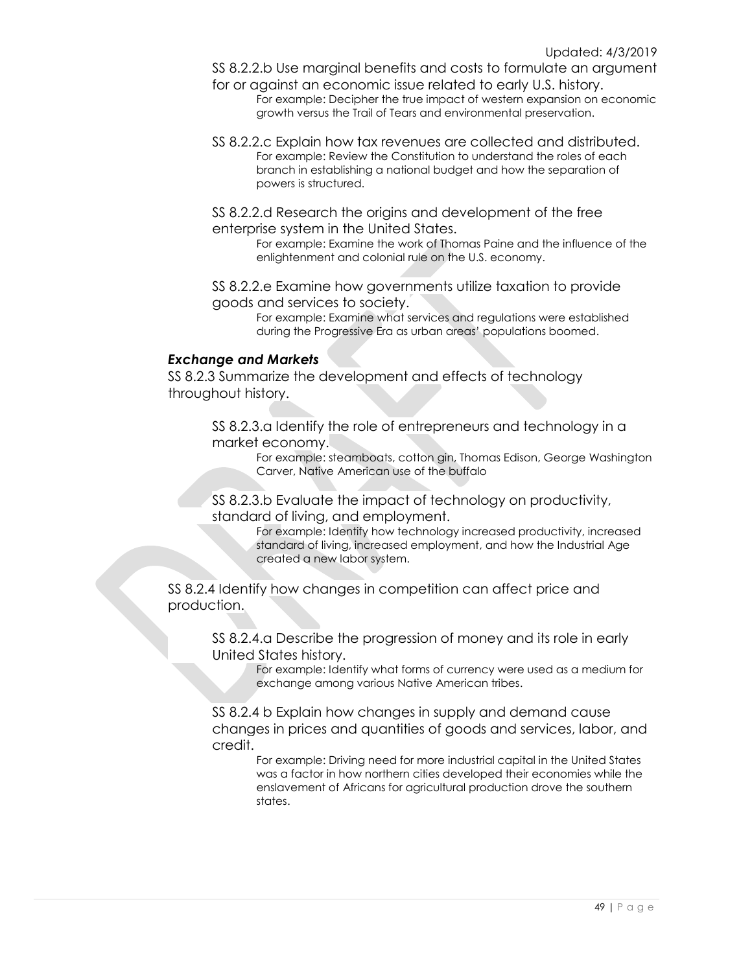SS 8.2.2.b Use marginal benefits and costs to formulate an argument for or against an economic issue related to early U.S. history.

- For example: Decipher the true impact of western expansion on economic growth versus the Trail of Tears and environmental preservation.
- SS 8.2.2.c Explain how tax revenues are collected and distributed. For example: Review the Constitution to understand the roles of each branch in establishing a national budget and how the separation of powers is structured.
- SS 8.2.2.d Research the origins and development of the free enterprise system in the United States.

For example: Examine the work of Thomas Paine and the influence of the enlightenment and colonial rule on the U.S. economy.

SS 8.2.2.e Examine how governments utilize taxation to provide goods and services to society.

> For example: Examine what services and regulations were established during the Progressive Era as urban areas' populations boomed.

## *Exchange and Markets*

SS 8.2.3 Summarize the development and effects of technology throughout history.

> SS 8.2.3.a Identify the role of entrepreneurs and technology in a market economy.

For example: steamboats, cotton gin, Thomas Edison, George Washington Carver, Native American use of the buffalo

SS 8.2.3.b Evaluate the impact of technology on productivity, standard of living, and employment.

> For example: Identify how technology increased productivity, increased standard of living, increased employment, and how the Industrial Age created a new labor system.

SS 8.2.4 Identify how changes in competition can affect price and production.

SS 8.2.4.a Describe the progression of money and its role in early United States history.

> For example: Identify what forms of currency were used as a medium for exchange among various Native American tribes.

SS 8.2.4 b Explain how changes in supply and demand cause changes in prices and quantities of goods and services, labor, and credit.

> For example: Driving need for more industrial capital in the United States was a factor in how northern cities developed their economies while the enslavement of Africans for agricultural production drove the southern states.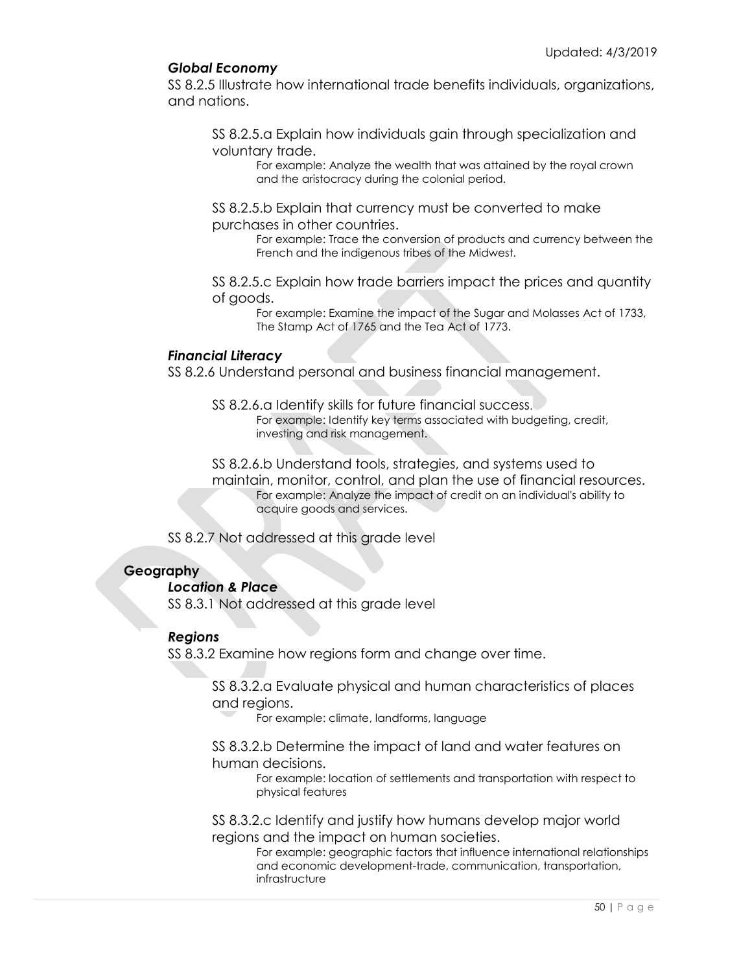## *Global Economy*

SS 8.2.5 Illustrate how international trade benefits individuals, organizations, and nations.

SS 8.2.5.a Explain how individuals gain through specialization and voluntary trade.

For example: Analyze the wealth that was attained by the royal crown and the aristocracy during the colonial period.

SS 8.2.5.b Explain that currency must be converted to make purchases in other countries.

> For example: Trace the conversion of products and currency between the French and the indigenous tribes of the Midwest.

SS 8.2.5.c Explain how trade barriers impact the prices and quantity of goods.

For example: Examine the impact of the Sugar and Molasses Act of 1733, The Stamp Act of 1765 and the Tea Act of 1773.

## *Financial Literacy*

SS 8.2.6 Understand personal and business financial management.

SS 8.2.6.a Identify skills for future financial success. For example: Identify key terms associated with budgeting, credit, investing and risk management.

SS 8.2.6.b Understand tools, strategies, and systems used to maintain, monitor, control, and plan the use of financial resources. For example: Analyze the impact of credit on an individual's ability to acquire goods and services.

SS 8.2.7 Not addressed at this grade level

## **Geography**

*Location & Place*

SS 8.3.1 Not addressed at this grade level

## *Regions*

SS 8.3.2 Examine how regions form and change over time.

SS 8.3.2.a Evaluate physical and human characteristics of places and regions.

For example: climate, landforms, language

SS 8.3.2.b Determine the impact of land and water features on human decisions.

For example: location of settlements and transportation with respect to physical features

SS 8.3.2.c Identify and justify how humans develop major world regions and the impact on human societies.

For example: geographic factors that influence international relationships and economic development-trade, communication, transportation, infrastructure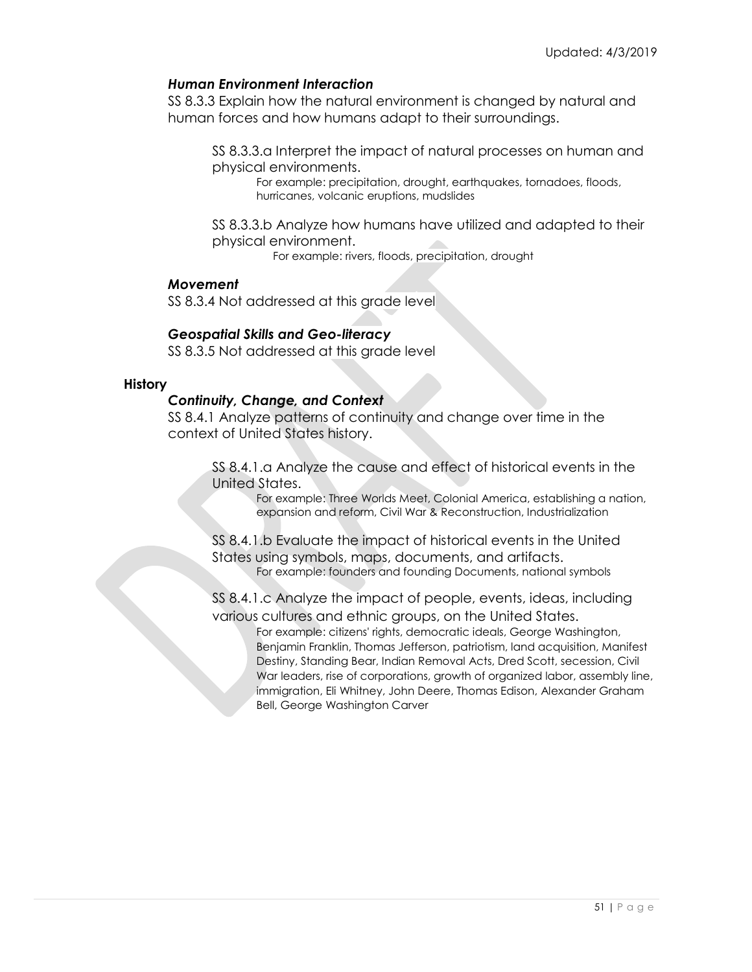## *Human Environment Interaction*

SS 8.3.3 Explain how the natural environment is changed by natural and human forces and how humans adapt to their surroundings.

SS 8.3.3.a Interpret the impact of natural processes on human and physical environments.

For example: precipitation, drought, earthquakes, tornadoes, floods, hurricanes, volcanic eruptions, mudslides

SS 8.3.3.b Analyze how humans have utilized and adapted to their physical environment.

For example: rivers, floods, precipitation, drought

#### *Movement*

SS 8.3.4 Not addressed at this grade level

## *Geospatial Skills and Geo-literacy*

SS 8.3.5 Not addressed at this grade level

## **History**

## *Continuity, Change, and Context*

SS 8.4.1 Analyze patterns of continuity and change over time in the context of United States history.

> SS 8.4.1.a Analyze the cause and effect of historical events in the United States.

> > For example: Three Worlds Meet, Colonial America, establishing a nation, expansion and reform, Civil War & Reconstruction, Industrialization

SS 8.4.1.b Evaluate the impact of historical events in the United States using symbols, maps, documents, and artifacts. For example: founders and founding Documents, national symbols

SS 8.4.1.c Analyze the impact of people, events, ideas, including various cultures and ethnic groups, on the United States.

> For example: citizens' rights, democratic ideals, George Washington, Benjamin Franklin, Thomas Jefferson, patriotism, land acquisition, Manifest Destiny, Standing Bear, Indian Removal Acts, Dred Scott, secession, Civil War leaders, rise of corporations, growth of organized labor, assembly line, immigration, Eli Whitney, John Deere, Thomas Edison, Alexander Graham Bell, George Washington Carver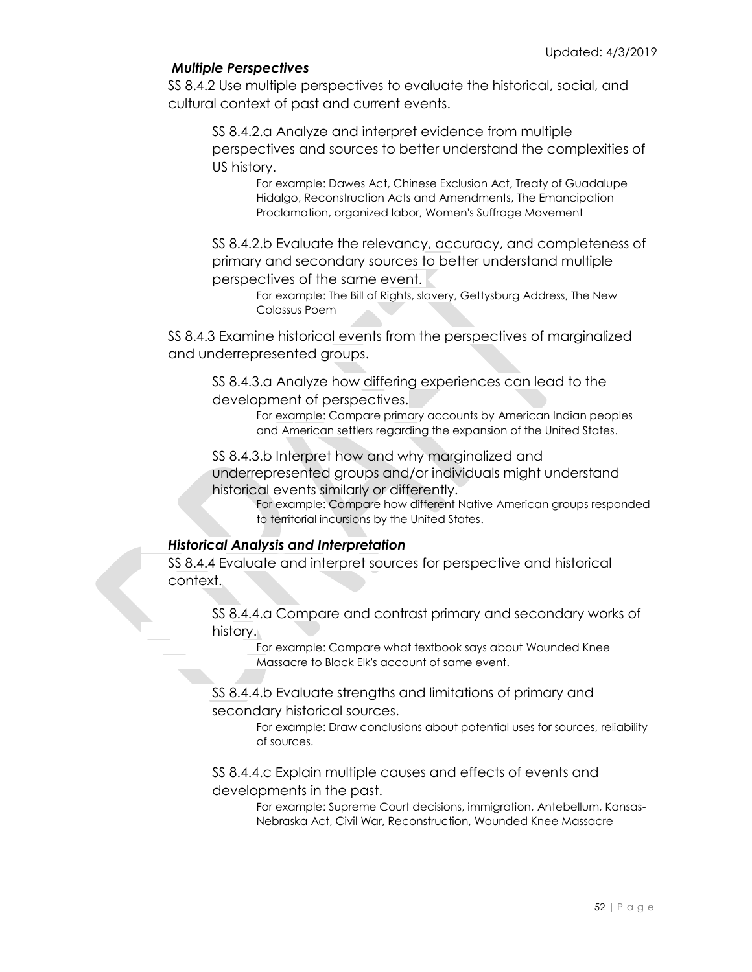## *Multiple Perspectives*

SS 8.4.2 Use multiple perspectives to evaluate the historical, social, and cultural context of past and current events.

SS 8.4.2.a Analyze and interpret evidence from multiple perspectives and sources to better understand the complexities of US history.

For example: Dawes Act, Chinese Exclusion Act, Treaty of Guadalupe Hidalgo, Reconstruction Acts and Amendments, The Emancipation Proclamation, organized labor, Women's Suffrage Movement

SS 8.4.2.b Evaluate the relevancy, accuracy, and completeness of primary and secondary sources to better understand multiple perspectives of the same event.

For example: The Bill of Rights, slavery, Gettysburg Address, The New Colossus Poem

SS 8.4.3 Examine historical events from the perspectives of marginalized and underrepresented groups.

SS 8.4.3.a Analyze how differing experiences can lead to the development of perspectives.

> For example: Compare primary accounts by American Indian peoples and American settlers regarding the expansion of the United States.

SS 8.4.3.b Interpret how and why marginalized and underrepresented groups and/or individuals might understand historical events similarly or differently.

For example: Compare how different Native American groups responded to territorial incursions by the United States.

## *Historical Analysis and Interpretation*

SS 8.4.4 Evaluate and interpret sources for perspective and historical context.

> SS 8.4.4.a Compare and contrast primary and secondary works of history.

> > For example: Compare what textbook says about Wounded Knee Massacre to Black Elk's account of same event.

SS 8.4.4.b Evaluate strengths and limitations of primary and secondary historical sources.

> For example: Draw conclusions about potential uses for sources, reliability of sources.

SS 8.4.4.c Explain multiple causes and effects of events and developments in the past.

> For example: Supreme Court decisions, immigration, Antebellum, Kansas-Nebraska Act, Civil War, Reconstruction, Wounded Knee Massacre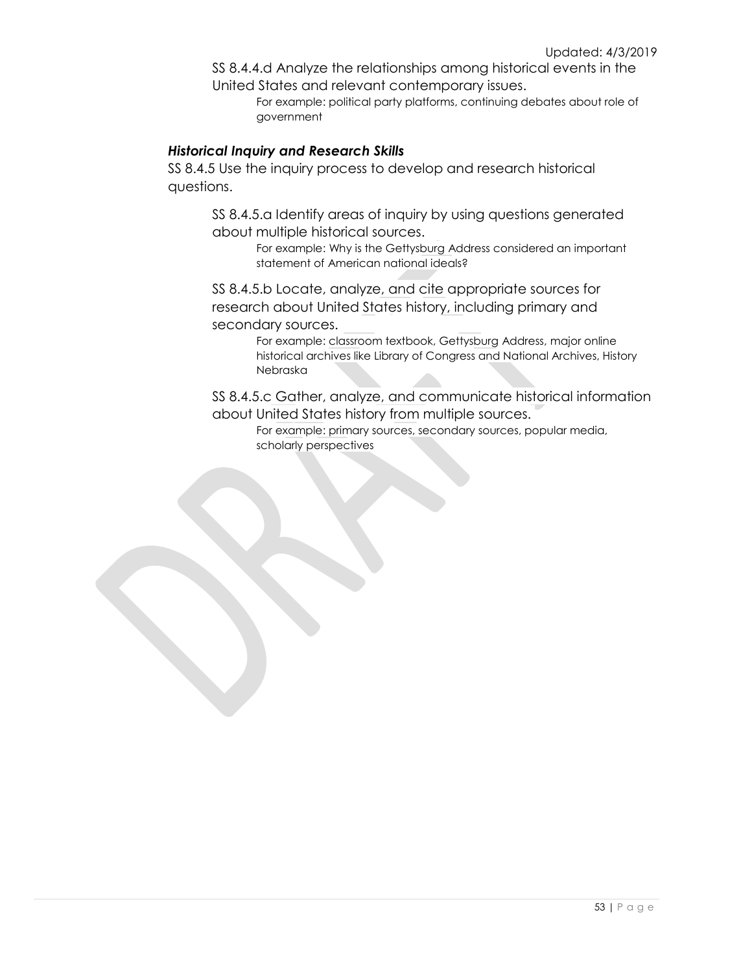SS 8.4.4.d Analyze the relationships among historical events in the United States and relevant contemporary issues.

For example: political party platforms, continuing debates about role of government

## *Historical Inquiry and Research Skills*

SS 8.4.5 Use the inquiry process to develop and research historical questions.

> SS 8.4.5.a Identify areas of inquiry by using questions generated about multiple historical sources.

For example: Why is the Gettysburg Address considered an important statement of American national ideals?

SS 8.4.5.b Locate, analyze, and cite appropriate sources for research about United States history, including primary and secondary sources.

> For example: classroom textbook, Gettysburg Address, major online historical archives like Library of Congress and National Archives, History Nebraska

SS 8.4.5.c Gather, analyze, and communicate historical information about United States history from multiple sources.

For example: primary sources, secondary sources, popular media, scholarly perspectives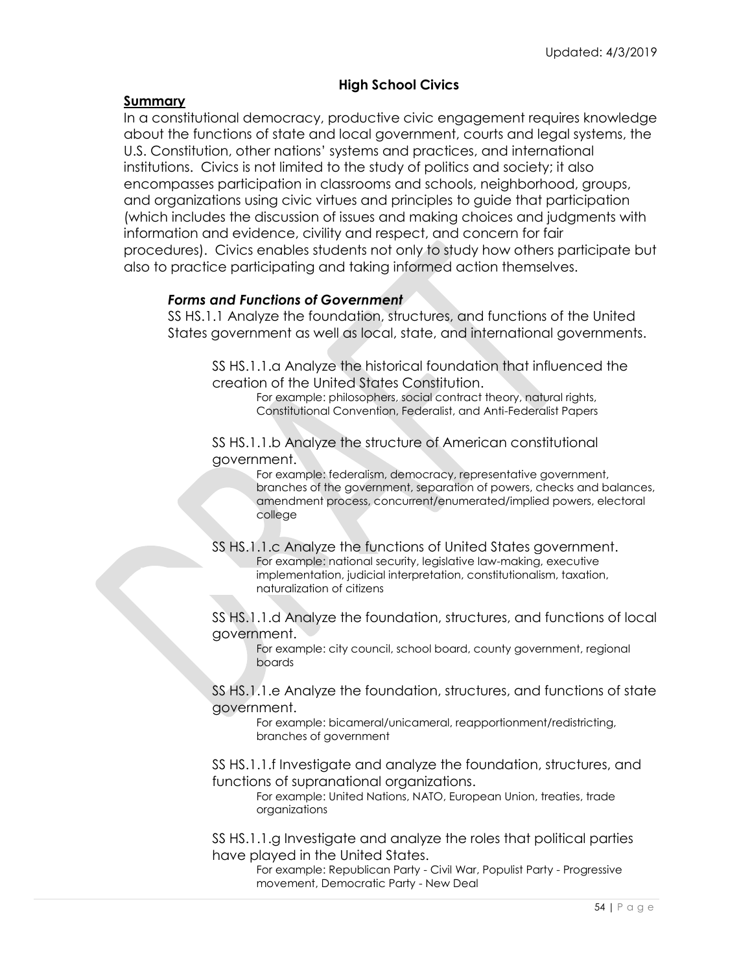## **High School Civics**

## **Summary**

In a constitutional democracy, productive civic engagement requires knowledge about the functions of state and local government, courts and legal systems, the U.S. Constitution, other nations' systems and practices, and international institutions. Civics is not limited to the study of politics and society; it also encompasses participation in classrooms and schools, neighborhood, groups, and organizations using civic virtues and principles to guide that participation (which includes the discussion of issues and making choices and judgments with information and evidence, civility and respect, and concern for fair procedures). Civics enables students not only to study how others participate but also to practice participating and taking informed action themselves.

## *Forms and Functions of Government*

SS HS.1.1 Analyze the foundation, structures, and functions of the United States government as well as local, state, and international governments.

SS HS.1.1.a Analyze the historical foundation that influenced the creation of the United States Constitution.

For example: philosophers, social contract theory, natural rights, Constitutional Convention, Federalist, and Anti-Federalist Papers

SS HS.1.1.b Analyze the structure of American constitutional government.

> For example: federalism, democracy, representative government, branches of the government, separation of powers, checks and balances, amendment process, concurrent/enumerated/implied powers, electoral college

SS HS.1.1.c Analyze the functions of United States government. For example: national security, legislative law-making, executive implementation, judicial interpretation, constitutionalism, taxation, naturalization of citizens

SS HS.1.1.d Analyze the foundation, structures, and functions of local government.

For example: city council, school board, county government, regional boards

SS HS.1.1.e Analyze the foundation, structures, and functions of state government.

For example: bicameral/unicameral, reapportionment/redistricting, branches of government

SS HS.1.1.f Investigate and analyze the foundation, structures, and functions of supranational organizations.

For example: United Nations, NATO, European Union, treaties, trade organizations

SS HS.1.1.g Investigate and analyze the roles that political parties have played in the United States.

> For example: Republican Party - Civil War, Populist Party - Progressive movement, Democratic Party - New Deal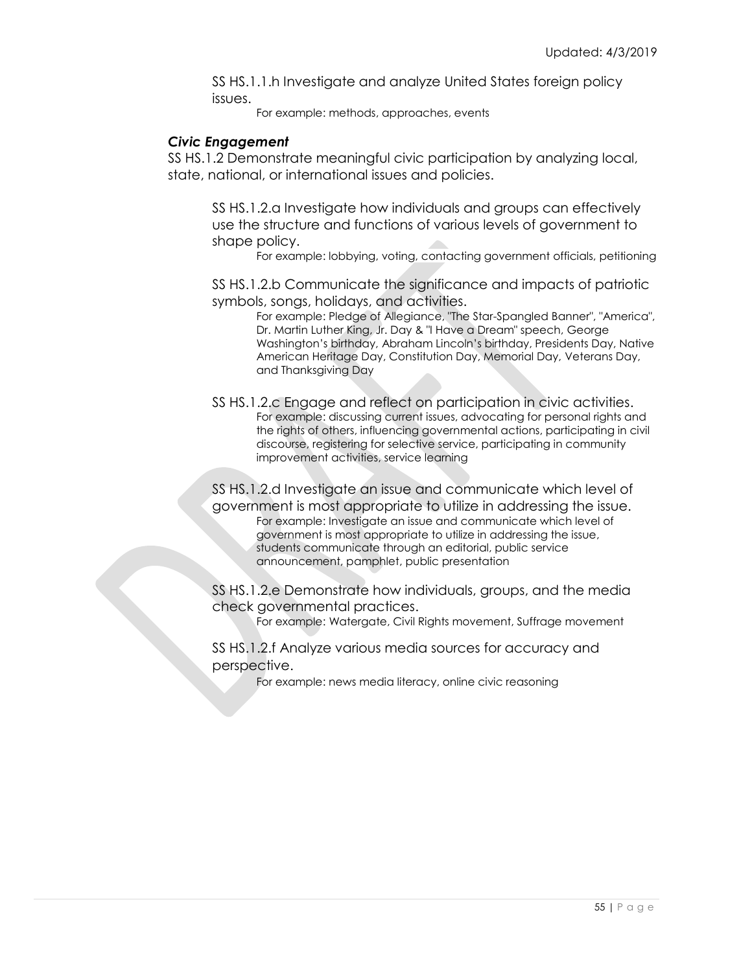SS HS.1.1.h Investigate and analyze United States foreign policy issues.

For example: methods, approaches, events

## *Civic Engagement*

SS HS.1.2 Demonstrate meaningful civic participation by analyzing local, state, national, or international issues and policies.

SS HS.1.2.a Investigate how individuals and groups can effectively use the structure and functions of various levels of government to shape policy.

For example: lobbying, voting, contacting government officials, petitioning

SS HS.1.2.b Communicate the significance and impacts of patriotic symbols, songs, holidays, and activities.

For example: Pledge of Allegiance, "The Star-Spangled Banner", "America", Dr. Martin Luther King, Jr. Day & "I Have a Dream" speech, George Washington's birthday, Abraham Lincoln's birthday, Presidents Day, Native American Heritage Day, Constitution Day, Memorial Day, Veterans Day, and Thanksgiving Day

SS HS.1.2.c Engage and reflect on participation in civic activities. For example: discussing current issues, advocating for personal rights and the rights of others, influencing governmental actions, participating in civil discourse, registering for selective service, participating in community improvement activities, service learning

SS HS.1.2.d Investigate an issue and communicate which level of government is most appropriate to utilize in addressing the issue. For example: Investigate an issue and communicate which level of government is most appropriate to utilize in addressing the issue, students communicate through an editorial, public service announcement, pamphlet, public presentation

SS HS.1.2.e Demonstrate how individuals, groups, and the media check governmental practices.

For example: Watergate, Civil Rights movement, Suffrage movement

SS HS.1.2.f Analyze various media sources for accuracy and perspective.

For example: news media literacy, online civic reasoning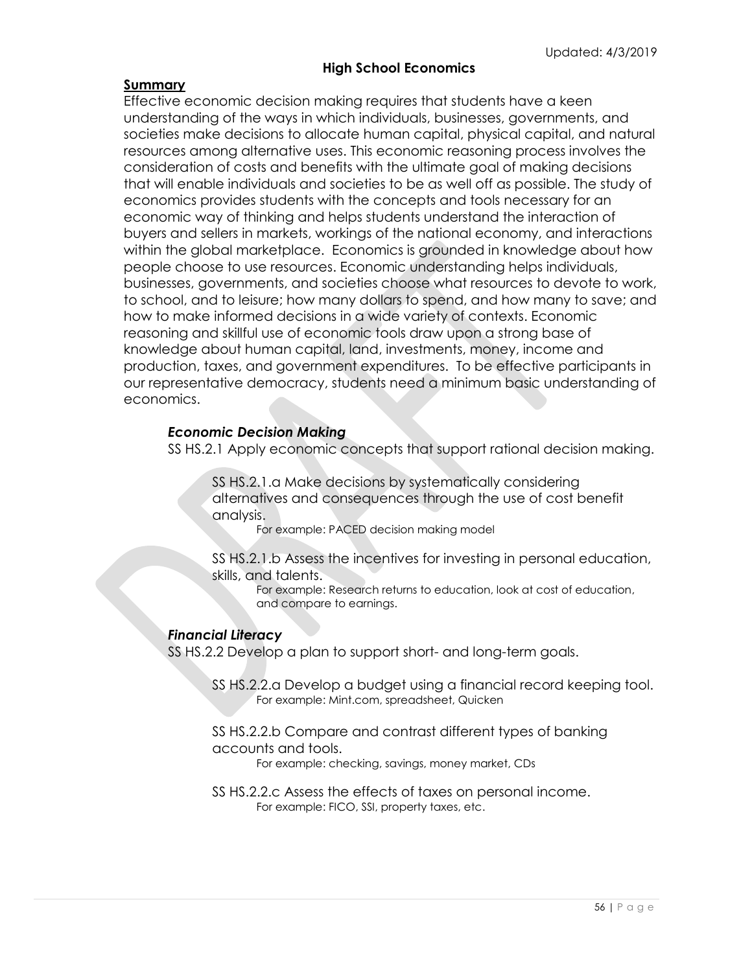## **High School Economics**

## **Summary**

Effective economic decision making requires that students have a keen understanding of the ways in which individuals, businesses, governments, and societies make decisions to allocate human capital, physical capital, and natural resources among alternative uses. This economic reasoning process involves the consideration of costs and benefits with the ultimate goal of making decisions that will enable individuals and societies to be as well off as possible. The study of economics provides students with the concepts and tools necessary for an economic way of thinking and helps students understand the interaction of buyers and sellers in markets, workings of the national economy, and interactions within the global marketplace. Economics is grounded in knowledge about how people choose to use resources. Economic understanding helps individuals, businesses, governments, and societies choose what resources to devote to work, to school, and to leisure; how many dollars to spend, and how many to save; and how to make informed decisions in a wide variety of contexts. Economic reasoning and skillful use of economic tools draw upon a strong base of knowledge about human capital, land, investments, money, income and production, taxes, and government expenditures. To be effective participants in our representative democracy, students need a minimum basic understanding of economics.

## *Economic Decision Making*

SS HS.2.1 Apply economic concepts that support rational decision making.

SS HS.2.1.a Make decisions by systematically considering alternatives and consequences through the use of cost benefit analysis.

For example: PACED decision making model

SS HS.2.1.b Assess the incentives for investing in personal education, skills, and talents.

For example: Research returns to education, look at cost of education, and compare to earnings.

## *Financial Literacy*

SS HS.2.2 Develop a plan to support short- and long-term goals.

SS HS.2.2.a Develop a budget using a financial record keeping tool. For example: Mint.com, spreadsheet, Quicken

SS HS.2.2.b Compare and contrast different types of banking accounts and tools.

For example: checking, savings, money market, CDs

SS HS.2.2.c Assess the effects of taxes on personal income. For example: FICO, SSI, property taxes, etc.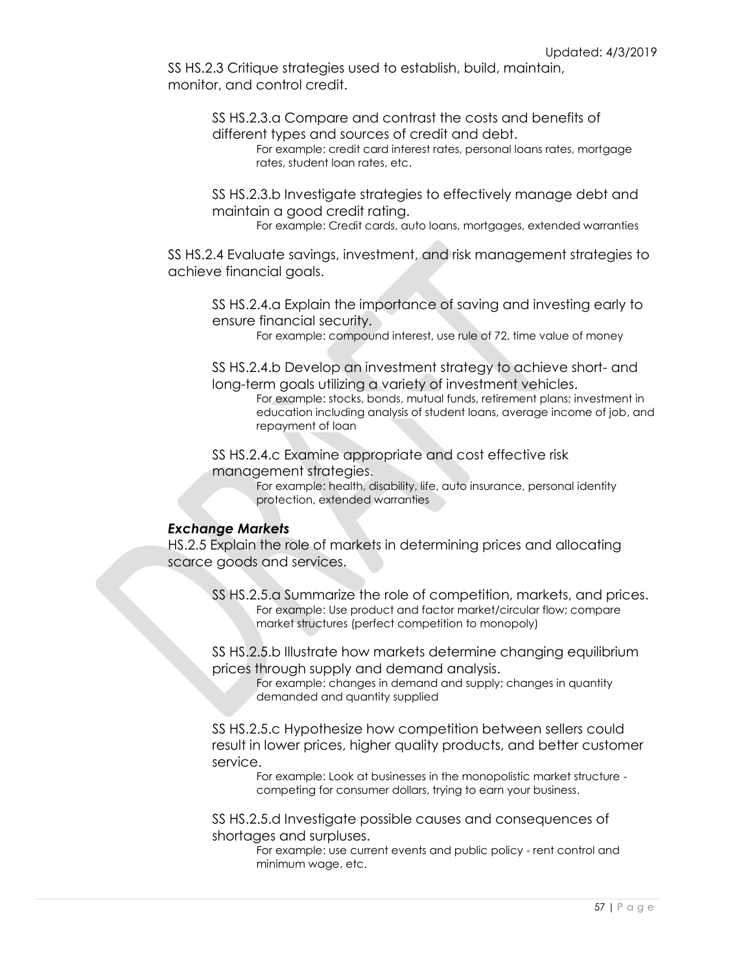SS HS.2.3 Critique strategies used to establish, build, maintain, monitor, and control credit.

> SS HS.2.3.a Compare and contrast the costs and benefits of different types and sources of credit and debt.

For example: credit card interest rates, personal loans rates, mortgage rates, student loan rates, etc.

SS HS.2.3.b Investigate strategies to effectively manage debt and maintain a good credit rating.

For example: Credit cards, auto loans, mortgages, extended warranties

SS HS.2.4 Evaluate savings, investment, and risk management strategies to achieve financial goals.

SS HS.2.4.a Explain the importance of saving and investing early to ensure financial security.

For example: compound interest, use rule of 72, time value of money

SS HS.2.4.b Develop an investment strategy to achieve short- and long-term goals utilizing a variety of investment vehicles.

For example: stocks, bonds, mutual funds, retirement plans; investment in education including analysis of student loans, average income of job, and repayment of loan

SS HS.2.4.c Examine appropriate and cost effective risk management strategies.

> For example: health, disability, life, auto insurance, personal identity protection, extended warranties

#### *Exchange Markets*

HS.2.5 Explain the role of markets in determining prices and allocating scarce goods and services.

SS HS.2.5.a Summarize the role of competition, markets, and prices. For example: Use product and factor market/circular flow; compare market structures (perfect competition to monopoly)

SS HS.2.5.b Illustrate how markets determine changing equilibrium prices through supply and demand analysis.

For example: changes in demand and supply; changes in quantity demanded and quantity supplied

SS HS.2.5.c Hypothesize how competition between sellers could result in lower prices, higher quality products, and better customer service.

For example: Look at businesses in the monopolistic market structure competing for consumer dollars, trying to earn your business.

SS HS.2.5.d Investigate possible causes and consequences of shortages and surpluses.

> For example: use current events and public policy - rent control and minimum wage, etc.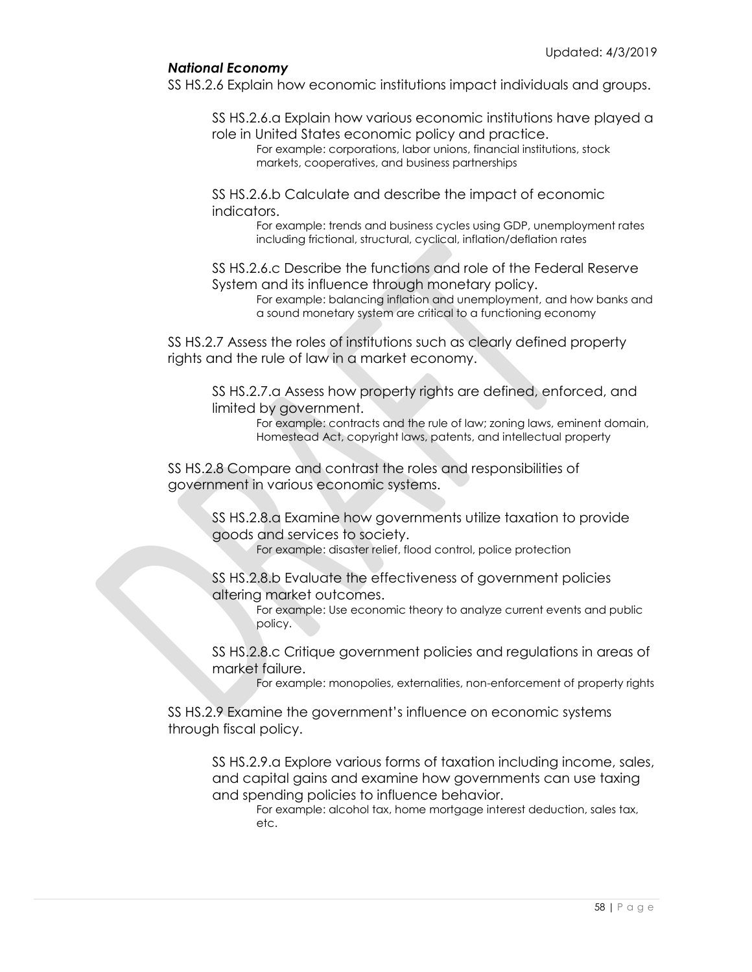## *National Economy*

SS HS.2.6 Explain how economic institutions impact individuals and groups.

SS HS.2.6.a Explain how various economic institutions have played a

role in United States economic policy and practice. For example: corporations, labor unions, financial institutions, stock markets, cooperatives, and business partnerships

SS HS.2.6.b Calculate and describe the impact of economic indicators.

> For example: trends and business cycles using GDP, unemployment rates including frictional, structural, cyclical, inflation/deflation rates

SS HS.2.6.c Describe the functions and role of the Federal Reserve System and its influence through monetary policy.

For example: balancing inflation and unemployment, and how banks and a sound monetary system are critical to a functioning economy

SS HS.2.7 Assess the roles of institutions such as clearly defined property rights and the rule of law in a market economy.

SS HS.2.7.a Assess how property rights are defined, enforced, and limited by government.

> For example: contracts and the rule of law; zoning laws, eminent domain, Homestead Act, copyright laws, patents, and intellectual property

SS HS.2.8 Compare and contrast the roles and responsibilities of government in various economic systems.

> SS HS.2.8.a Examine how governments utilize taxation to provide goods and services to society.

For example: disaster relief, flood control, police protection

SS HS.2.8.b Evaluate the effectiveness of government policies altering market outcomes.

> For example: Use economic theory to analyze current events and public policy.

SS HS.2.8.c Critique government policies and regulations in areas of market failure.

For example: monopolies, externalities, non-enforcement of property rights

SS HS.2.9 Examine the government's influence on economic systems through fiscal policy.

SS HS.2.9.a Explore various forms of taxation including income, sales, and capital gains and examine how governments can use taxing and spending policies to influence behavior.

For example: alcohol tax, home mortgage interest deduction, sales tax, etc.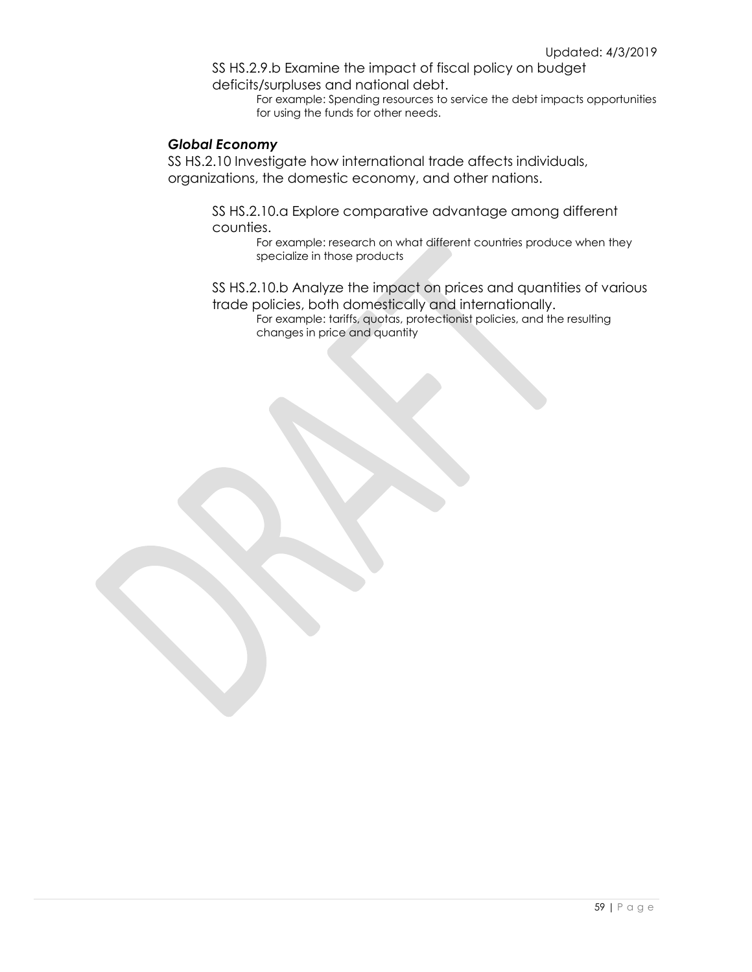SS HS.2.9.b Examine the impact of fiscal policy on budget deficits/surpluses and national debt.

For example: Spending resources to service the debt impacts opportunities for using the funds for other needs.

## *Global Economy*

SS HS.2.10 Investigate how international trade affects individuals, organizations, the domestic economy, and other nations.

> SS HS.2.10.a Explore comparative advantage among different counties.

For example: research on what different countries produce when they specialize in those products

SS HS.2.10.b Analyze the impact on prices and quantities of various trade policies, both domestically and internationally.

For example: tariffs, quotas, protectionist policies, and the resulting changes in price and quantity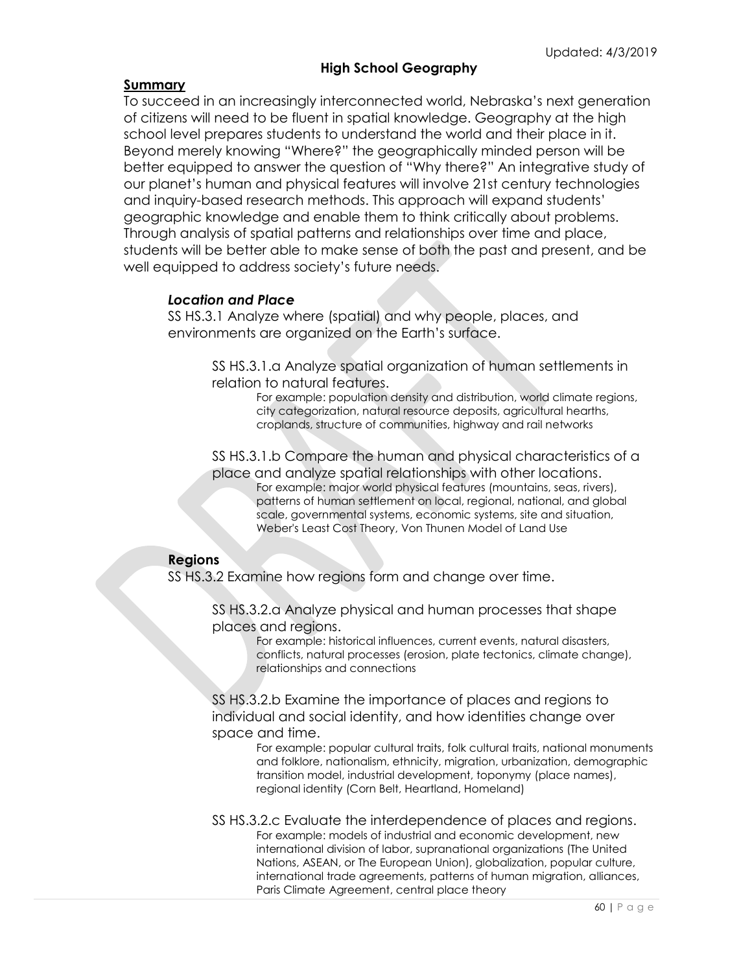## **High School Geography**

## **Summary**

To succeed in an increasingly interconnected world, Nebraska's next generation of citizens will need to be fluent in spatial knowledge. Geography at the high school level prepares students to understand the world and their place in it. Beyond merely knowing "Where?" the geographically minded person will be better equipped to answer the question of "Why there?" An integrative study of our planet's human and physical features will involve 21st century technologies and inquiry-based research methods. This approach will expand students' geographic knowledge and enable them to think critically about problems. Through analysis of spatial patterns and relationships over time and place, students will be better able to make sense of both the past and present, and be well equipped to address society's future needs.

## *Location and Place*

SS HS.3.1 Analyze where (spatial) and why people, places, and environments are organized on the Earth's surface.

> SS HS.3.1.a Analyze spatial organization of human settlements in relation to natural features.

For example: population density and distribution, world climate regions, city categorization, natural resource deposits, agricultural hearths, croplands, structure of communities, highway and rail networks

SS HS.3.1.b Compare the human and physical characteristics of a place and analyze spatial relationships with other locations. For example: major world physical features (mountains, seas, rivers), patterns of human settlement on local, regional, national, and global scale, governmental systems, economic systems, site and situation, Weber's Least Cost Theory, Von Thunen Model of Land Use

## **Regions**

SS HS.3.2 Examine how regions form and change over time.

SS HS.3.2.a Analyze physical and human processes that shape places and regions.

> For example: historical influences, current events, natural disasters, conflicts, natural processes (erosion, plate tectonics, climate change), relationships and connections

SS HS.3.2.b Examine the importance of places and regions to individual and social identity, and how identities change over space and time.

> For example: popular cultural traits, folk cultural traits, national monuments and folklore, nationalism, ethnicity, migration, urbanization, demographic transition model, industrial development, toponymy (place names), regional identity (Corn Belt, Heartland, Homeland)

SS HS.3.2.c Evaluate the interdependence of places and regions. For example: models of industrial and economic development, new international division of labor, supranational organizations (The United Nations, ASEAN, or The European Union), globalization, popular culture, international trade agreements, patterns of human migration, alliances, Paris Climate Agreement, central place theory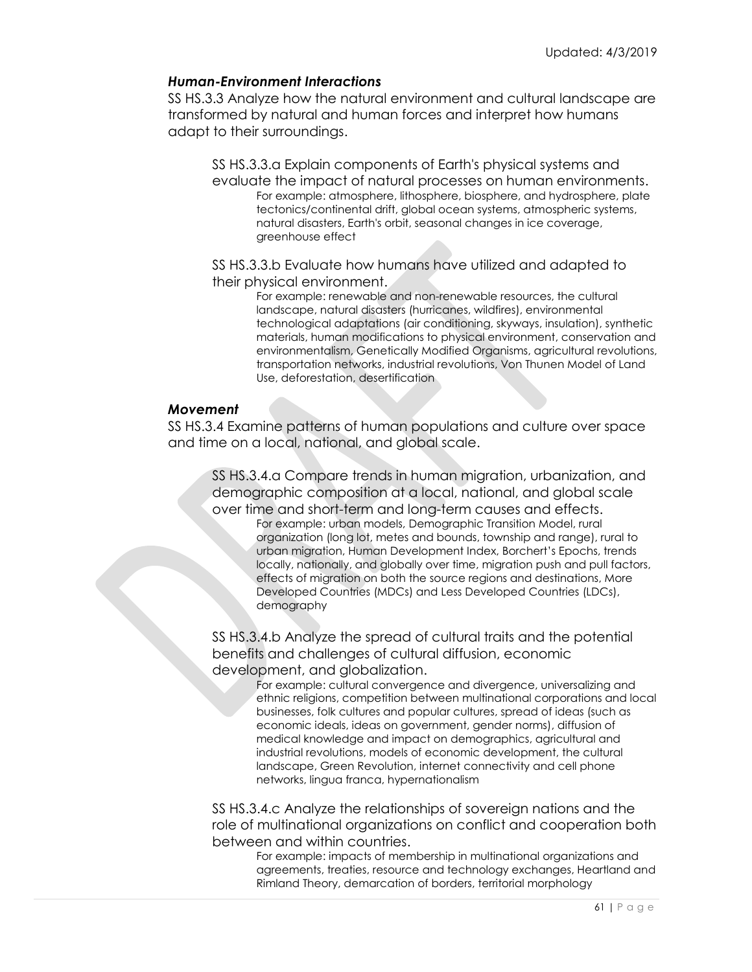## *Human-Environment Interactions*

SS HS.3.3 Analyze how the natural environment and cultural landscape are transformed by natural and human forces and interpret how humans adapt to their surroundings.

SS HS.3.3.a Explain components of Earth's physical systems and evaluate the impact of natural processes on human environments. For example: atmosphere, lithosphere, biosphere, and hydrosphere, plate tectonics/continental drift, global ocean systems, atmospheric systems, natural disasters, Earth's orbit, seasonal changes in ice coverage, greenhouse effect

SS HS.3.3.b Evaluate how humans have utilized and adapted to their physical environment.

> For example: renewable and non-renewable resources, the cultural landscape, natural disasters (hurricanes, wildfires), environmental technological adaptations (air conditioning, skyways, insulation), synthetic materials, human modifications to physical environment, conservation and environmentalism, Genetically Modified Organisms, agricultural revolutions, transportation networks, industrial revolutions, Von Thunen Model of Land Use, deforestation, desertification

## *Movement*

SS HS.3.4 Examine patterns of human populations and culture over space and time on a local, national, and global scale.

SS HS.3.4.a Compare trends in human migration, urbanization, and demographic composition at a local, national, and global scale over time and short-term and long-term causes and effects.

For example: urban models, Demographic Transition Model, rural organization (long lot, metes and bounds, township and range), rural to urban migration, Human Development Index, Borchert's Epochs, trends locally, nationally, and globally over time, migration push and pull factors, effects of migration on both the source regions and destinations, More Developed Countries (MDCs) and Less Developed Countries (LDCs), demography

SS HS.3.4.b Analyze the spread of cultural traits and the potential benefits and challenges of cultural diffusion, economic development, and globalization.

For example: cultural convergence and divergence, universalizing and ethnic religions, competition between multinational corporations and local businesses, folk cultures and popular cultures, spread of ideas (such as economic ideals, ideas on government, gender norms), diffusion of medical knowledge and impact on demographics, agricultural and industrial revolutions, models of economic development, the cultural landscape, Green Revolution, internet connectivity and cell phone networks, lingua franca, hypernationalism

SS HS.3.4.c Analyze the relationships of sovereign nations and the role of multinational organizations on conflict and cooperation both between and within countries.

For example: impacts of membership in multinational organizations and agreements, treaties, resource and technology exchanges, Heartland and Rimland Theory, demarcation of borders, territorial morphology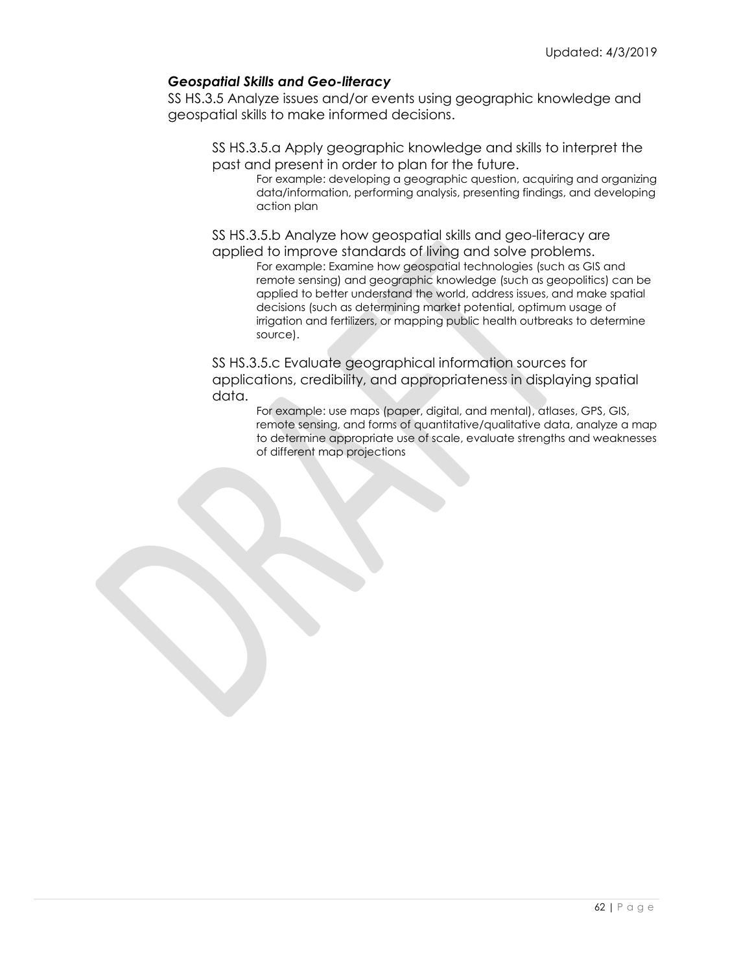## *Geospatial Skills and Geo-literacy*

SS HS.3.5 Analyze issues and/or events using geographic knowledge and geospatial skills to make informed decisions.

SS HS.3.5.a Apply geographic knowledge and skills to interpret the past and present in order to plan for the future.

For example: developing a geographic question, acquiring and organizing data/information, performing analysis, presenting findings, and developing action plan

SS HS.3.5.b Analyze how geospatial skills and geo-literacy are applied to improve standards of living and solve problems.

For example: Examine how geospatial technologies (such as GIS and remote sensing) and geographic knowledge (such as geopolitics) can be applied to better understand the world, address issues, and make spatial decisions (such as determining market potential, optimum usage of irrigation and fertilizers, or mapping public health outbreaks to determine source).

SS HS.3.5.c Evaluate geographical information sources for applications, credibility, and appropriateness in displaying spatial data.

> For example: use maps (paper, digital, and mental), atlases, GPS, GIS, remote sensing, and forms of quantitative/qualitative data, analyze a map to determine appropriate use of scale, evaluate strengths and weaknesses of different map projections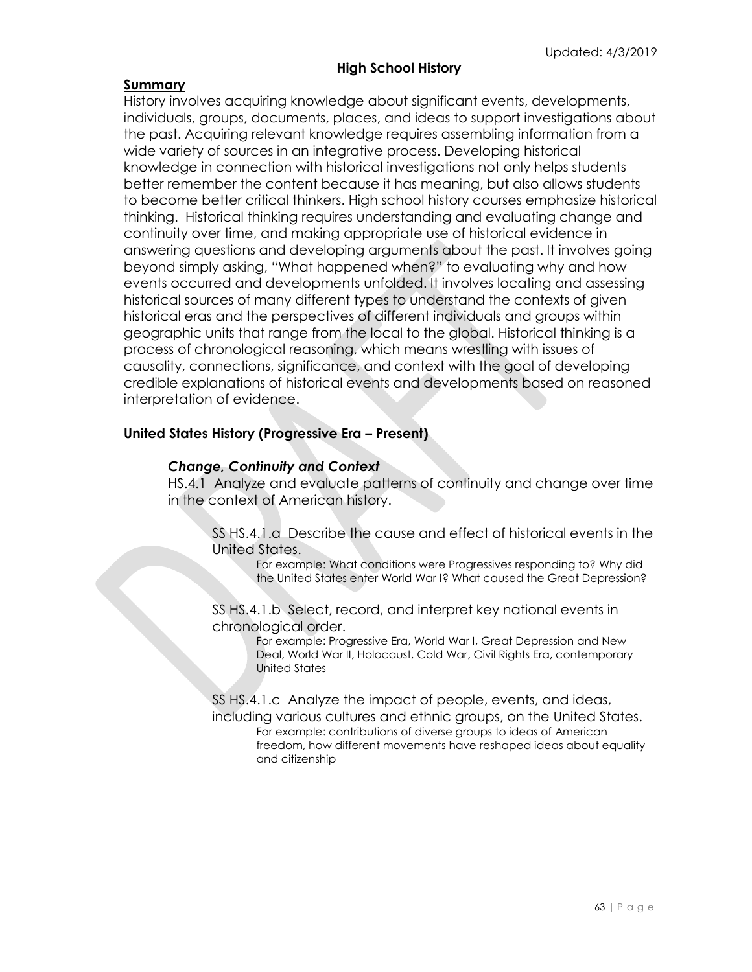## **High School History**

## **Summary**

History involves acquiring knowledge about significant events, developments, individuals, groups, documents, places, and ideas to support investigations about the past. Acquiring relevant knowledge requires assembling information from a wide variety of sources in an integrative process. Developing historical knowledge in connection with historical investigations not only helps students better remember the content because it has meaning, but also allows students to become better critical thinkers. High school history courses emphasize historical thinking. Historical thinking requires understanding and evaluating change and continuity over time, and making appropriate use of historical evidence in answering questions and developing arguments about the past. It involves going beyond simply asking, "What happened when?" to evaluating why and how events occurred and developments unfolded. It involves locating and assessing historical sources of many different types to understand the contexts of given historical eras and the perspectives of different individuals and groups within geographic units that range from the local to the global. Historical thinking is a process of chronological reasoning, which means wrestling with issues of causality, connections, significance, and context with the goal of developing credible explanations of historical events and developments based on reasoned interpretation of evidence.

## **United States History (Progressive Era – Present)**

## *Change, Continuity and Context*

HS.4.1 Analyze and evaluate patterns of continuity and change over time in the context of American history.

SS HS.4.1.a Describe the cause and effect of historical events in the United States.

For example: What conditions were Progressives responding to? Why did the United States enter World War I? What caused the Great Depression?

SS HS.4.1.b Select, record, and interpret key national events in chronological order.

> For example: Progressive Era, World War I, Great Depression and New Deal, World War II, Holocaust, Cold War, Civil Rights Era, contemporary United States

SS HS.4.1.c Analyze the impact of people, events, and ideas, including various cultures and ethnic groups, on the United States. For example: contributions of diverse groups to ideas of American freedom, how different movements have reshaped ideas about equality and citizenship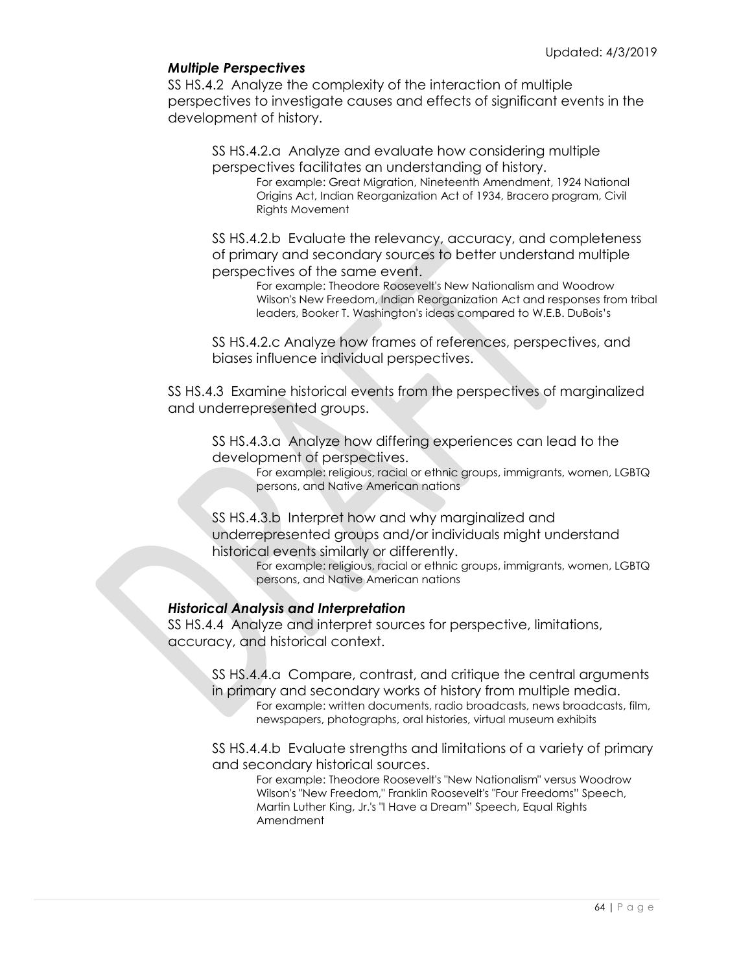## *Multiple Perspectives*

SS HS.4.2 Analyze the complexity of the interaction of multiple perspectives to investigate causes and effects of significant events in the development of history.

SS HS.4.2.a Analyze and evaluate how considering multiple perspectives facilitates an understanding of history.

For example: Great Migration, Nineteenth Amendment, 1924 National Origins Act, Indian Reorganization Act of 1934, Bracero program, Civil Rights Movement

SS HS.4.2.b Evaluate the relevancy, accuracy, and completeness of primary and secondary sources to better understand multiple perspectives of the same event.

For example: Theodore Roosevelt's New Nationalism and Woodrow Wilson's New Freedom, Indian Reorganization Act and responses from tribal leaders, Booker T. Washington's ideas compared to W.E.B. DuBois's

SS HS.4.2.c Analyze how frames of references, perspectives, and biases influence individual perspectives.

SS HS.4.3 Examine historical events from the perspectives of marginalized and underrepresented groups.

SS HS.4.3.a Analyze how differing experiences can lead to the development of perspectives.

For example: religious, racial or ethnic groups, immigrants, women, LGBTQ persons, and Native American nations

SS HS.4.3.b Interpret how and why marginalized and underrepresented groups and/or individuals might understand historical events similarly or differently.

For example: religious, racial or ethnic groups, immigrants, women, LGBTQ persons, and Native American nations

## *Historical Analysis and Interpretation*

SS HS.4.4 Analyze and interpret sources for perspective, limitations, accuracy, and historical context.

SS HS.4.4.a Compare, contrast, and critique the central arguments in primary and secondary works of history from multiple media. For example: written documents, radio broadcasts, news broadcasts, film, newspapers, photographs, oral histories, virtual museum exhibits

SS HS.4.4.b Evaluate strengths and limitations of a variety of primary and secondary historical sources.

For example: Theodore Roosevelt's "New Nationalism" versus Woodrow Wilson's "New Freedom," Franklin Roosevelt's "Four Freedoms" Speech, Martin Luther King, Jr.'s "I Have a Dream" Speech, Equal Rights Amendment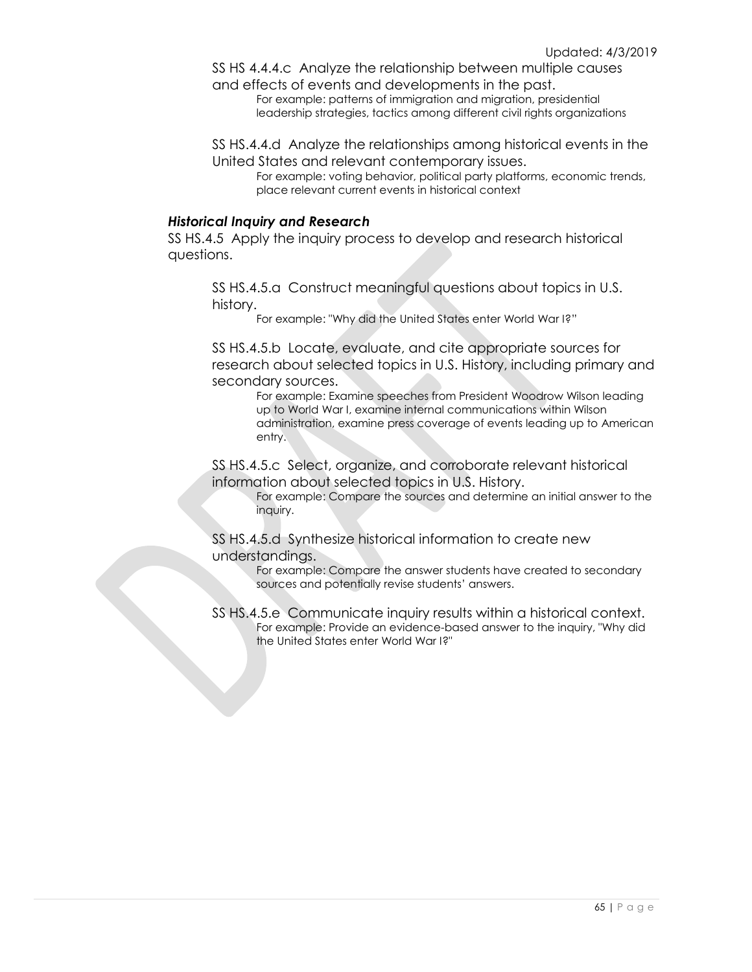SS HS 4.4.4.c Analyze the relationship between multiple causes and effects of events and developments in the past.

For example: patterns of immigration and migration, presidential leadership strategies, tactics among different civil rights organizations

SS HS.4.4.d Analyze the relationships among historical events in the United States and relevant contemporary issues.

For example: voting behavior, political party platforms, economic trends, place relevant current events in historical context

#### *Historical Inquiry and Research*

SS HS.4.5 Apply the inquiry process to develop and research historical questions.

SS HS.4.5.a Construct meaningful questions about topics in U.S. history.

For example: "Why did the United States enter World War I?"

SS HS.4.5.b Locate, evaluate, and cite appropriate sources for research about selected topics in U.S. History, including primary and secondary sources.

For example: Examine speeches from President Woodrow Wilson leading up to World War I, examine internal communications within Wilson administration, examine press coverage of events leading up to American entry.

SS HS.4.5.c Select, organize, and corroborate relevant historical information about selected topics in U.S. History.

For example: Compare the sources and determine an initial answer to the inquiry.

SS HS.4.5.d Synthesize historical information to create new understandings.

> For example: Compare the answer students have created to secondary sources and potentially revise students' answers.

SS HS.4.5.e Communicate inquiry results within a historical context. For example: Provide an evidence-based answer to the inquiry, "Why did the United States enter World War I?"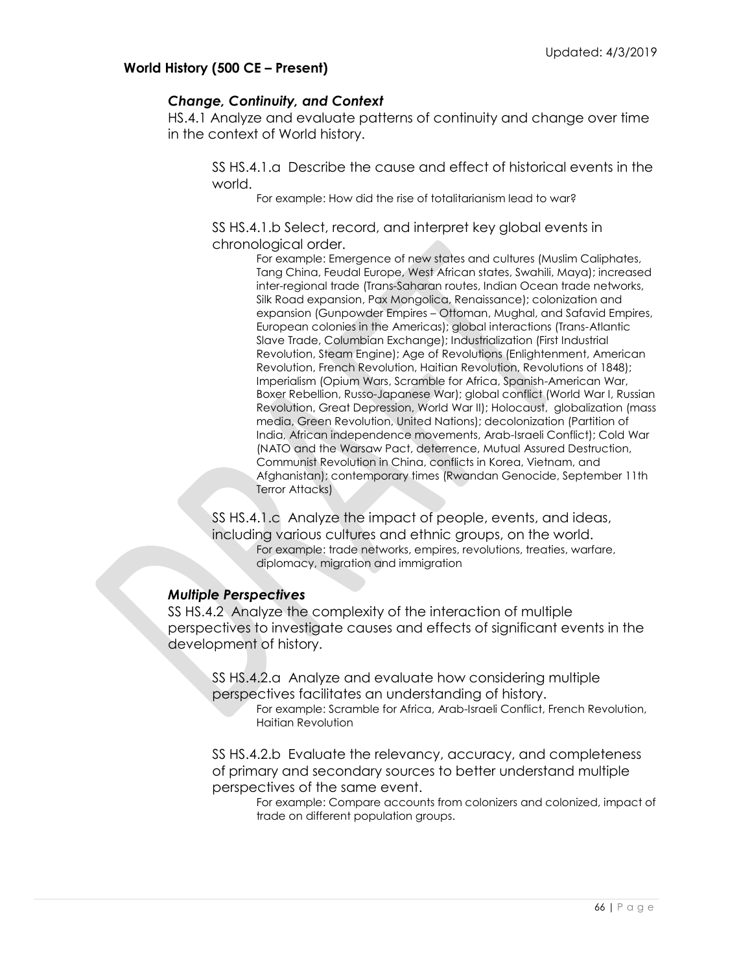## **World History (500 CE – Present)**

## *Change, Continuity, and Context*

HS.4.1 Analyze and evaluate patterns of continuity and change over time in the context of World history.

SS HS.4.1.a Describe the cause and effect of historical events in the world.

For example: How did the rise of totalitarianism lead to war?

SS HS.4.1.b Select, record, and interpret key global events in chronological order.

> For example: Emergence of new states and cultures (Muslim Caliphates, Tang China, Feudal Europe, West African states, Swahili, Maya); increased inter-regional trade (Trans-Saharan routes, Indian Ocean trade networks, Silk Road expansion, Pax Mongolica, Renaissance); colonization and expansion (Gunpowder Empires – Ottoman, Mughal, and Safavid Empires, European colonies in the Americas); global interactions (Trans-Atlantic Slave Trade, Columbian Exchange); Industrialization (First Industrial Revolution, Steam Engine); Age of Revolutions (Enlightenment, American Revolution, French Revolution, Haitian Revolution, Revolutions of 1848); Imperialism (Opium Wars, Scramble for Africa, Spanish-American War, Boxer Rebellion, Russo-Japanese War); global conflict (World War I, Russian Revolution, Great Depression, World War II); Holocaust, globalization (mass media, Green Revolution, United Nations); decolonization (Partition of India, African independence movements, Arab-Israeli Conflict); Cold War (NATO and the Warsaw Pact, deterrence, Mutual Assured Destruction, Communist Revolution in China, conflicts in Korea, Vietnam, and Afghanistan); contemporary times (Rwandan Genocide, September 11th Terror Attacks)

SS HS.4.1.c Analyze the impact of people, events, and ideas, including various cultures and ethnic groups, on the world. For example: trade networks, empires, revolutions, treaties, warfare, diplomacy, migration and immigration

## *Multiple Perspectives*

SS HS.4.2 Analyze the complexity of the interaction of multiple perspectives to investigate causes and effects of significant events in the development of history.

SS HS.4.2.a Analyze and evaluate how considering multiple perspectives facilitates an understanding of history.

For example: Scramble for Africa, Arab-Israeli Conflict, French Revolution, Haitian Revolution

SS HS.4.2.b Evaluate the relevancy, accuracy, and completeness of primary and secondary sources to better understand multiple perspectives of the same event.

For example: Compare accounts from colonizers and colonized, impact of trade on different population groups.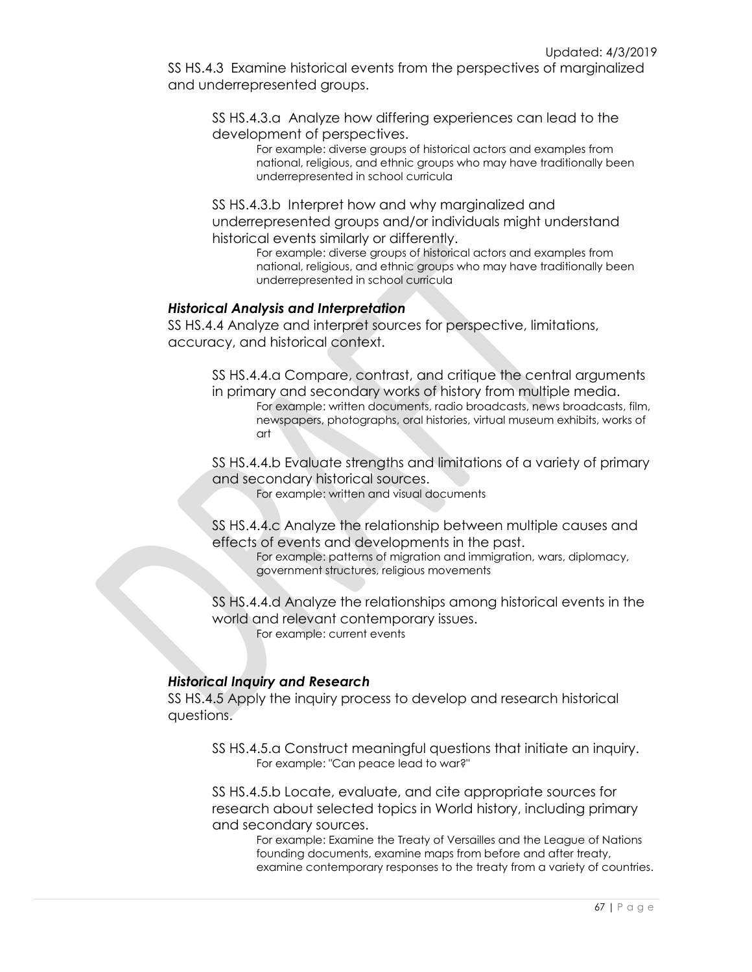SS HS.4.3 Examine historical events from the perspectives of marginalized and underrepresented groups.

SS HS.4.3.a Analyze how differing experiences can lead to the development of perspectives.

For example: diverse groups of historical actors and examples from national, religious, and ethnic groups who may have traditionally been underrepresented in school curricula

SS HS.4.3.b Interpret how and why marginalized and underrepresented groups and/or individuals might understand historical events similarly or differently.

For example: diverse groups of historical actors and examples from national, religious, and ethnic groups who may have traditionally been underrepresented in school curricula

## *Historical Analysis and Interpretation*

SS HS.4.4 Analyze and interpret sources for perspective, limitations, accuracy, and historical context.

SS HS.4.4.a Compare, contrast, and critique the central arguments in primary and secondary works of history from multiple media. For example: written documents, radio broadcasts, news broadcasts, film, newspapers, photographs, oral histories, virtual museum exhibits, works of art

SS HS.4.4.b Evaluate strengths and limitations of a variety of primary and secondary historical sources.

For example: written and visual documents

SS HS.4.4.c Analyze the relationship between multiple causes and effects of events and developments in the past.

For example: patterns of migration and immigration, wars, diplomacy, government structures, religious movements

SS HS.4.4.d Analyze the relationships among historical events in the world and relevant contemporary issues. For example: current events

## *Historical Inquiry and Research*

SS HS.4.5 Apply the inquiry process to develop and research historical questions.

SS HS.4.5.a Construct meaningful questions that initiate an inquiry. For example: "Can peace lead to war?"

SS HS.4.5.b Locate, evaluate, and cite appropriate sources for research about selected topics in World history, including primary and secondary sources.

For example: Examine the Treaty of Versailles and the League of Nations founding documents, examine maps from before and after treaty, examine contemporary responses to the treaty from a variety of countries.